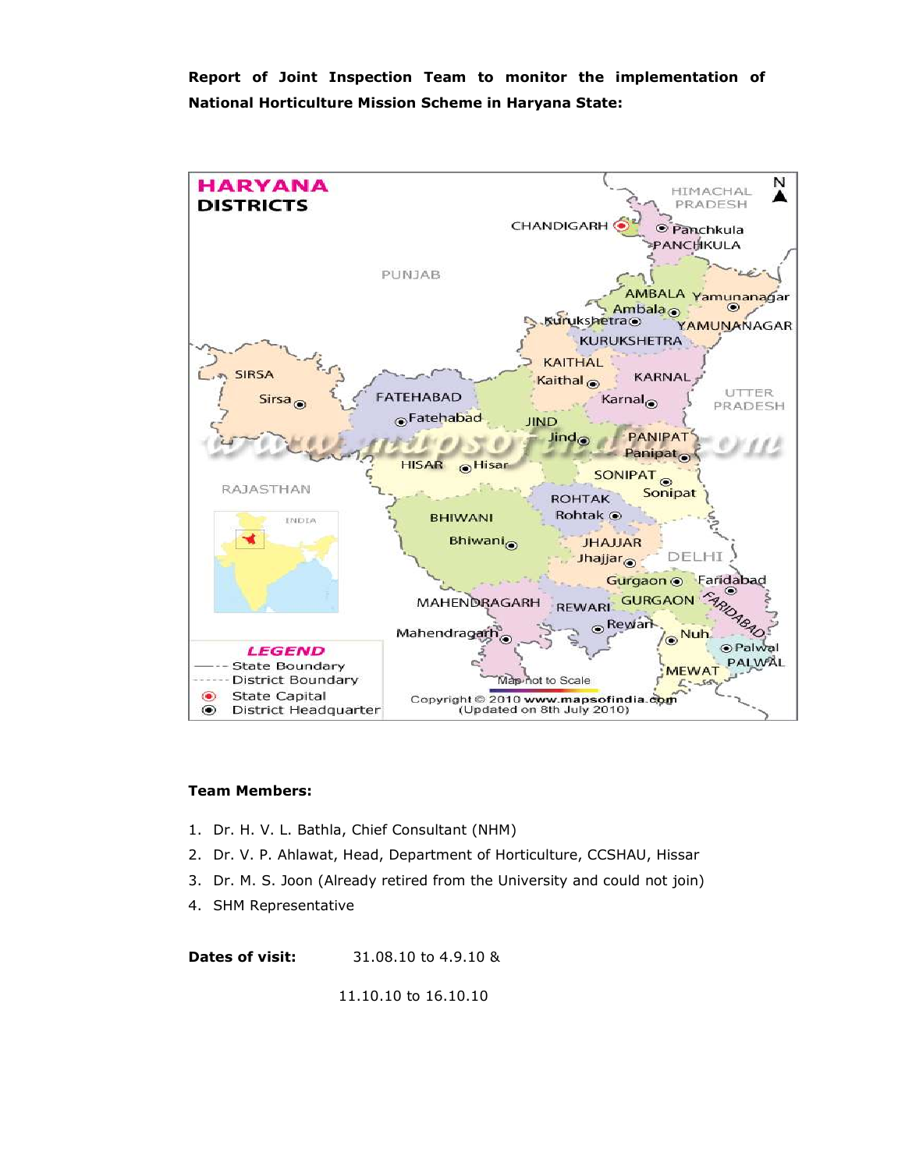Report of Joint Inspection Team to monitor the implementation of National Horticulture Mission Scheme in Haryana State:



## Team Members:

- 1. Dr. H. V. L. Bathla, Chief Consultant (NHM)
- 2. Dr. V. P. Ahlawat, Head, Department of Horticulture, CCSHAU, Hissar
- 3. Dr. M. S. Joon (Already retired from the University and could not join)
- 4. SHM Representative

**Dates of visit:** 31.08.10 to 4.9.10 &

11.10.10 to 16.10.10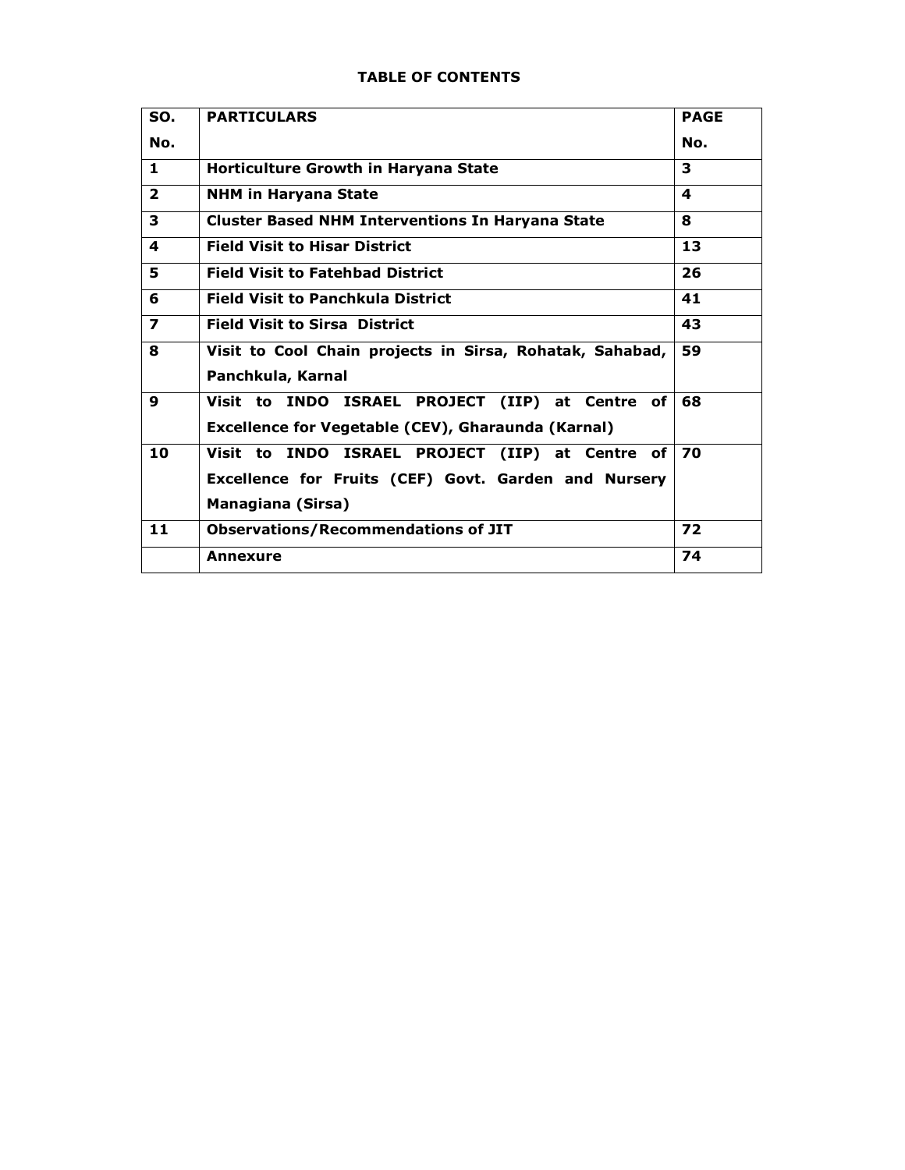# TABLE OF CONTENTS

| SO.                     | <b>PARTICULARS</b>                                                                                                           | <b>PAGE</b> |  |  |
|-------------------------|------------------------------------------------------------------------------------------------------------------------------|-------------|--|--|
| No.                     |                                                                                                                              | No.         |  |  |
| $\mathbf{1}$            | <b>Horticulture Growth in Haryana State</b>                                                                                  | 3           |  |  |
| $\overline{2}$          | <b>NHM in Haryana State</b>                                                                                                  | 4           |  |  |
| 3                       | <b>Cluster Based NHM Interventions In Haryana State</b>                                                                      | 8           |  |  |
| 4                       | <b>Field Visit to Hisar District</b>                                                                                         | 13          |  |  |
| 5                       | <b>Field Visit to Fatehbad District</b>                                                                                      | 26          |  |  |
| 6                       | <b>Field Visit to Panchkula District</b>                                                                                     |             |  |  |
| $\overline{\mathbf{z}}$ | <b>Field Visit to Sirsa District</b>                                                                                         |             |  |  |
| 8                       | Visit to Cool Chain projects in Sirsa, Rohatak, Sahabad,<br>Panchkula, Karnal                                                | 59          |  |  |
| 9                       | Visit to INDO ISRAEL PROJECT (IIP) at Centre of<br>Excellence for Vegetable (CEV), Gharaunda (Karnal)                        | 68          |  |  |
| 10                      | Visit to INDO ISRAEL PROJECT (IIP) at Centre of<br>Excellence for Fruits (CEF) Govt. Garden and Nursery<br>Managiana (Sirsa) | 70          |  |  |
| 11                      | <b>Observations/Recommendations of JIT</b>                                                                                   | 72          |  |  |
|                         | <b>Annexure</b>                                                                                                              | 74          |  |  |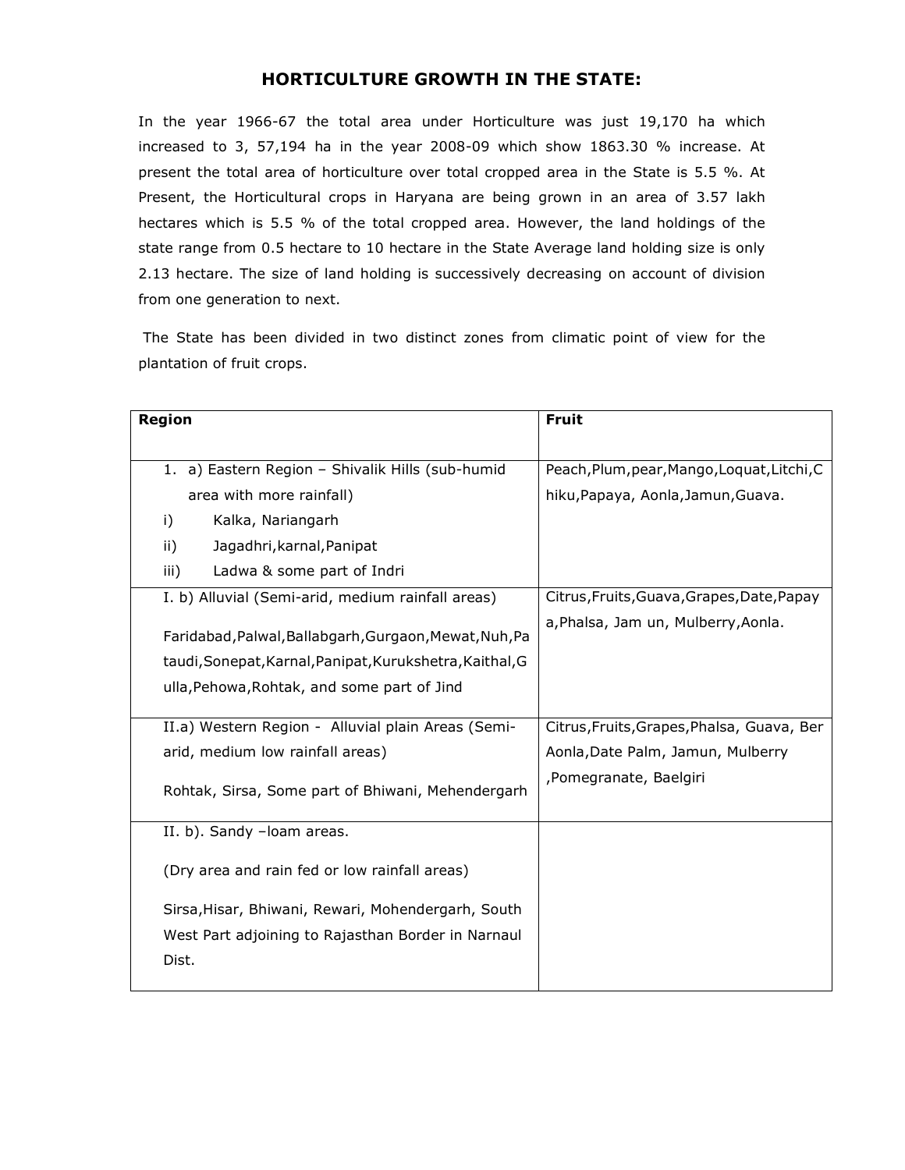# HORTICULTURE GROWTH IN THE STATE:

In the year 1966-67 the total area under Horticulture was just 19,170 ha which increased to 3, 57,194 ha in the year 2008-09 which show 1863.30 % increase. At present the total area of horticulture over total cropped area in the State is 5.5 %. At Present, the Horticultural crops in Haryana are being grown in an area of 3.57 lakh hectares which is 5.5 % of the total cropped area. However, the land holdings of the state range from 0.5 hectare to 10 hectare in the State Average land holding size is only 2.13 hectare. The size of land holding is successively decreasing on account of division from one generation to next.

 The State has been divided in two distinct zones from climatic point of view for the plantation of fruit crops.

| <b>Region</b>                                            | <b>Fruit</b>                                |
|----------------------------------------------------------|---------------------------------------------|
|                                                          |                                             |
| 1. a) Eastern Region - Shivalik Hills (sub-humid         | Peach, Plum, pear, Mango, Loquat, Litchi, C |
| area with more rainfall)                                 | hiku, Papaya, Aonla, Jamun, Guava.          |
| i)<br>Kalka, Nariangarh                                  |                                             |
| Jagadhri, karnal, Panipat<br>ii)                         |                                             |
| Ladwa & some part of Indri<br>iii)                       |                                             |
| I. b) Alluvial (Semi-arid, medium rainfall areas)        | Citrus, Fruits, Guava, Grapes, Date, Papay  |
| Faridabad, Palwal, Ballabgarh, Gurgaon, Mewat, Nuh, Pa   | a, Phalsa, Jam un, Mulberry, Aonla.         |
| taudi, Sonepat, Karnal, Panipat, Kurukshetra, Kaithal, G |                                             |
| ulla, Pehowa, Rohtak, and some part of Jind              |                                             |
|                                                          |                                             |
| II.a) Western Region - Alluvial plain Areas (Semi-       | Citrus, Fruits, Grapes, Phalsa, Guava, Ber  |
| arid, medium low rainfall areas)                         | Aonla, Date Palm, Jamun, Mulberry           |
| Rohtak, Sirsa, Some part of Bhiwani, Mehendergarh        | ,Pomegranate, Baelgiri                      |
| II. b). Sandy -loam areas.                               |                                             |
| (Dry area and rain fed or low rainfall areas)            |                                             |
| Sirsa, Hisar, Bhiwani, Rewari, Mohendergarh, South       |                                             |
| West Part adjoining to Rajasthan Border in Narnaul       |                                             |
| Dist.                                                    |                                             |
|                                                          |                                             |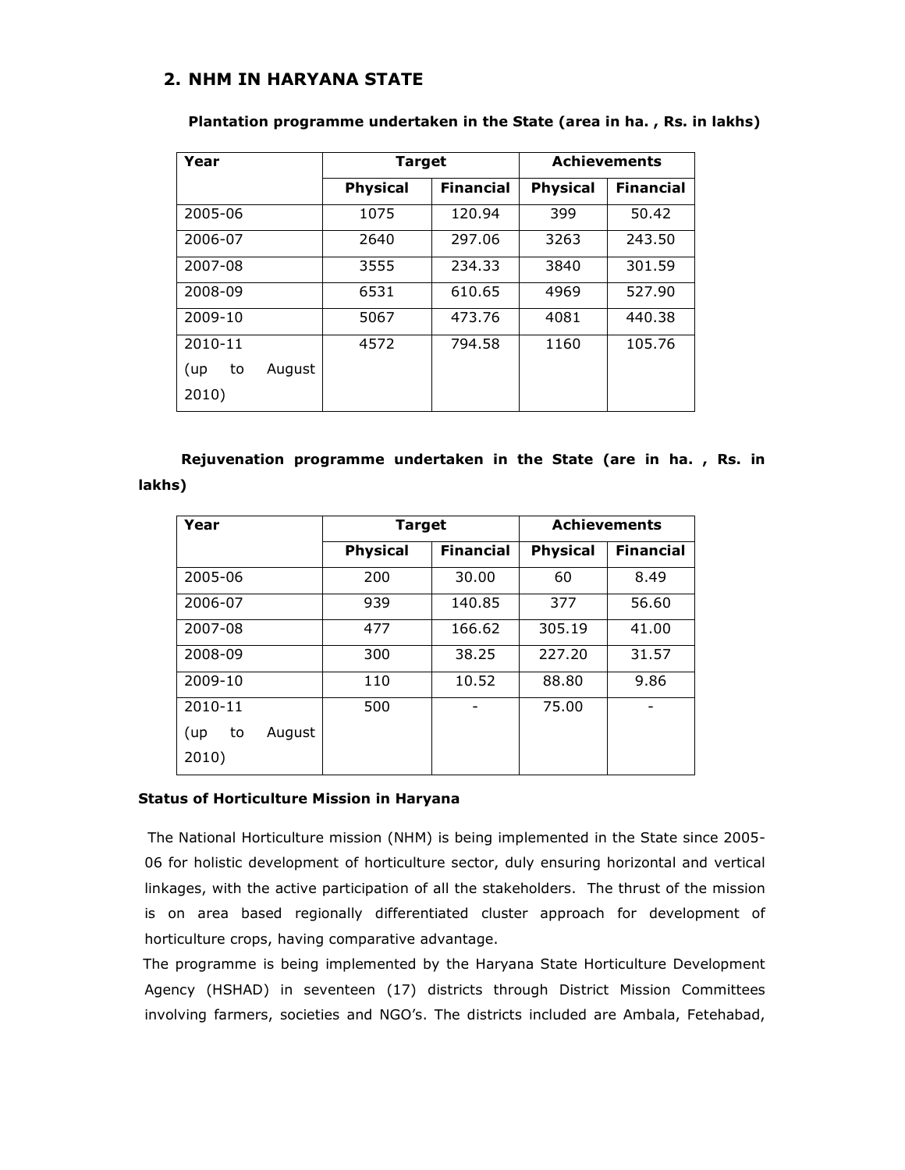# 2. NHM IN HARYANA STATE

| Year                         | <b>Target</b>   |                  | <b>Achievements</b> |                  |  |
|------------------------------|-----------------|------------------|---------------------|------------------|--|
|                              | <b>Physical</b> | <b>Financial</b> | <b>Physical</b>     | <b>Financial</b> |  |
| 2005-06                      | 1075            | 120.94           | 399                 | 50.42            |  |
| 2006-07                      | 2640            | 297.06<br>3263   |                     | 243.50           |  |
| 2007-08                      | 3555            | 234.33<br>3840   |                     | 301.59           |  |
| 2008-09                      | 6531            | 610.65           | 4969                | 527.90           |  |
| 2009-10                      | 5067            | 473.76<br>4081   |                     | 440.38           |  |
| 2010-11                      | 4572            | 794.58           | 1160                | 105.76           |  |
| August<br>(up<br>to<br>2010) |                 |                  |                     |                  |  |

Plantation programme undertaken in the State (area in ha. , Rs. in lakhs)

 Rejuvenation programme undertaken in the State (are in ha. , Rs. in lakhs)

| Year                          | <b>Target</b>   |                  | <b>Achievements</b> |                  |  |
|-------------------------------|-----------------|------------------|---------------------|------------------|--|
|                               | <b>Physical</b> | <b>Financial</b> | <b>Physical</b>     | <b>Financial</b> |  |
| 2005-06                       | 200             | 30.00            | 60                  | 8.49             |  |
| 2006-07                       | 939             | 140.85           | 377                 | 56.60            |  |
| 2007-08                       | 477             | 166.62           | 305.19              | 41.00            |  |
| 2008-09                       | 300             | 38.25            | 227.20              | 31.57            |  |
| 2009-10                       | 110             | 10.52            | 88.80               | 9.86             |  |
| 2010-11                       | 500             |                  | 75.00               |                  |  |
| August<br>(up)<br>to<br>2010) |                 |                  |                     |                  |  |

## Status of Horticulture Mission in Haryana

 The National Horticulture mission (NHM) is being implemented in the State since 2005- 06 for holistic development of horticulture sector, duly ensuring horizontal and vertical linkages, with the active participation of all the stakeholders. The thrust of the mission is on area based regionally differentiated cluster approach for development of horticulture crops, having comparative advantage.

 The programme is being implemented by the Haryana State Horticulture Development Agency (HSHAD) in seventeen (17) districts through District Mission Committees involving farmers, societies and NGO's. The districts included are Ambala, Fetehabad,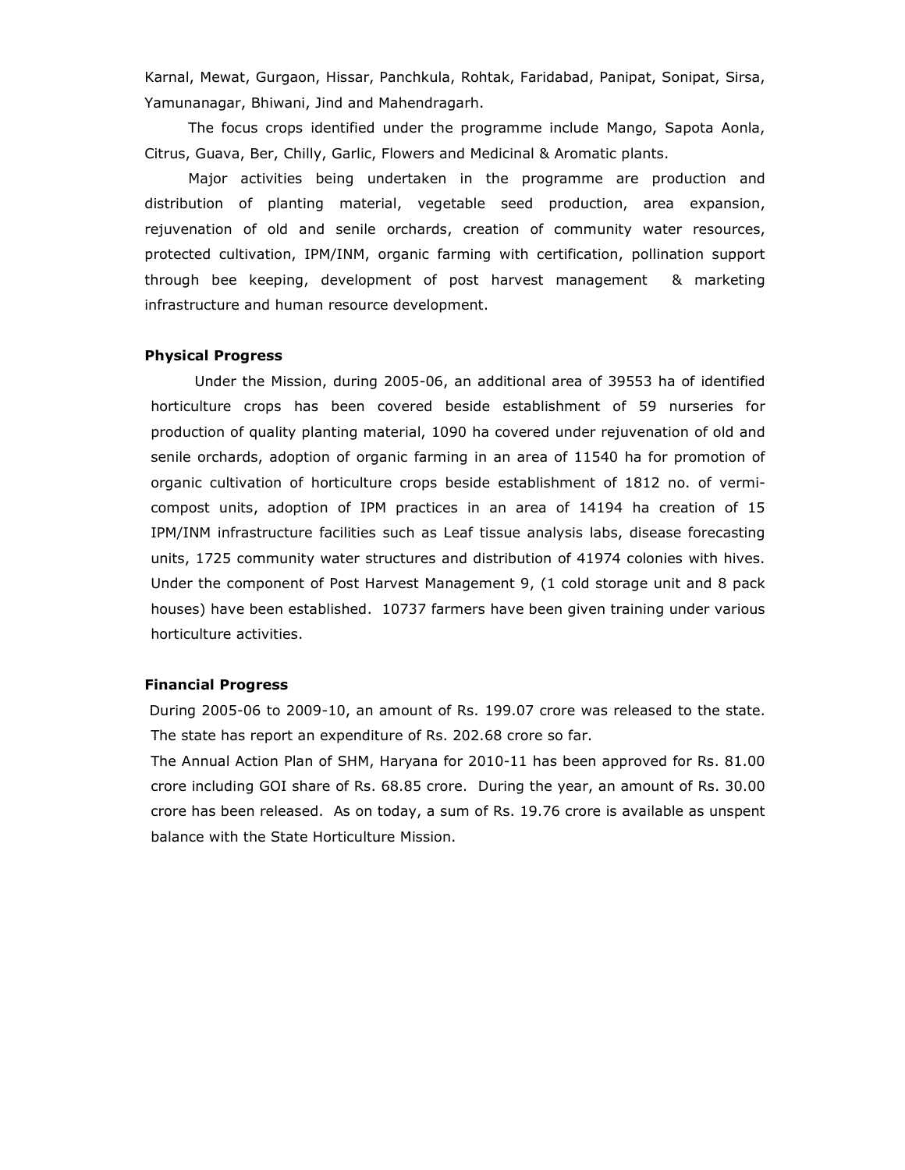Karnal, Mewat, Gurgaon, Hissar, Panchkula, Rohtak, Faridabad, Panipat, Sonipat, Sirsa, Yamunanagar, Bhiwani, Jind and Mahendragarh.

 The focus crops identified under the programme include Mango, Sapota Aonla, Citrus, Guava, Ber, Chilly, Garlic, Flowers and Medicinal & Aromatic plants.

 Major activities being undertaken in the programme are production and distribution of planting material, vegetable seed production, area expansion, rejuvenation of old and senile orchards, creation of community water resources, protected cultivation, IPM/INM, organic farming with certification, pollination support through bee keeping, development of post harvest management & marketing infrastructure and human resource development.

## Physical Progress

 Under the Mission, during 2005-06, an additional area of 39553 ha of identified horticulture crops has been covered beside establishment of 59 nurseries for production of quality planting material, 1090 ha covered under rejuvenation of old and senile orchards, adoption of organic farming in an area of 11540 ha for promotion of organic cultivation of horticulture crops beside establishment of 1812 no. of vermicompost units, adoption of IPM practices in an area of 14194 ha creation of 15 IPM/INM infrastructure facilities such as Leaf tissue analysis labs, disease forecasting units, 1725 community water structures and distribution of 41974 colonies with hives. Under the component of Post Harvest Management 9, (1 cold storage unit and 8 pack houses) have been established. 10737 farmers have been given training under various horticulture activities.

### Financial Progress

 During 2005-06 to 2009-10, an amount of Rs. 199.07 crore was released to the state. The state has report an expenditure of Rs. 202.68 crore so far.

 The Annual Action Plan of SHM, Haryana for 2010-11 has been approved for Rs. 81.00 crore including GOI share of Rs. 68.85 crore. During the year, an amount of Rs. 30.00 crore has been released. As on today, a sum of Rs. 19.76 crore is available as unspent balance with the State Horticulture Mission.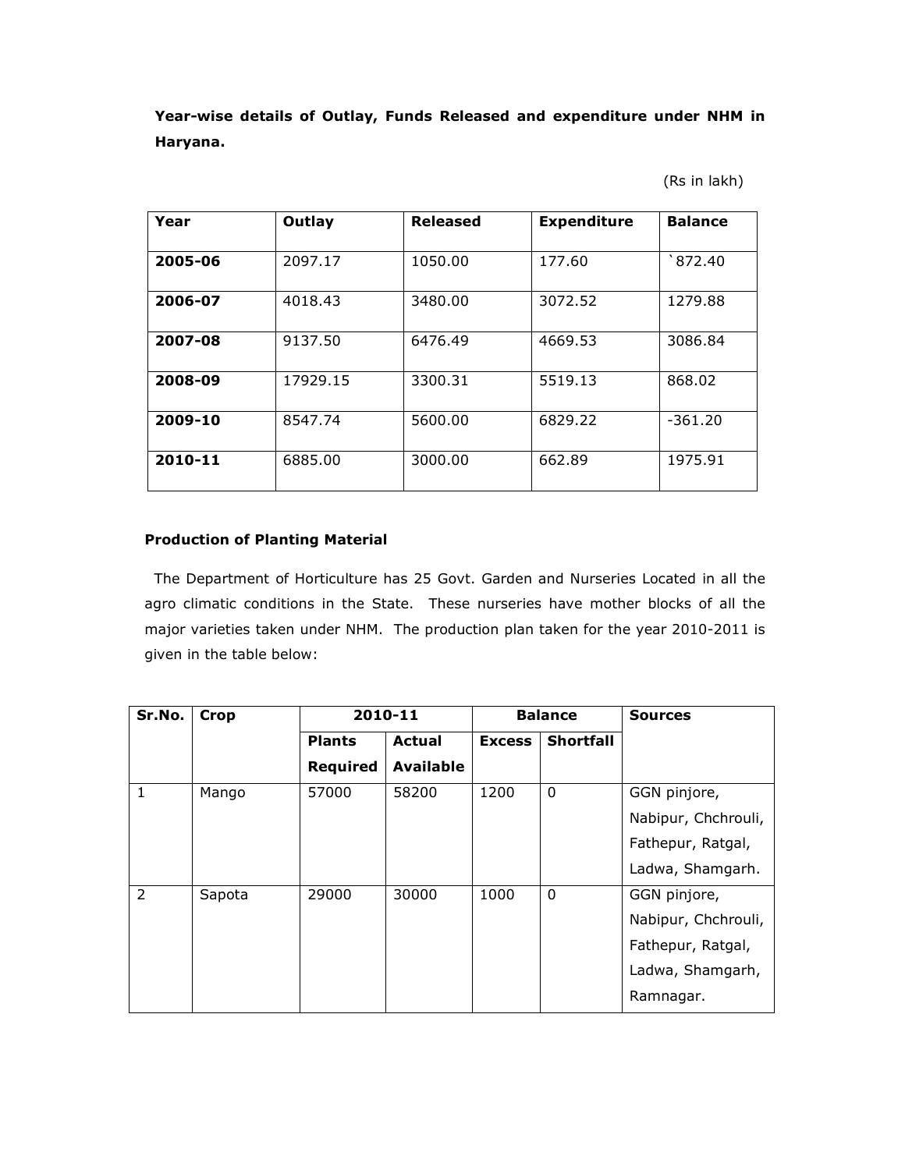Year-wise details of Outlay, Funds Released and expenditure under NHM in Haryana.

(Rs in lakh)

| Year    | Outlay   | <b>Released</b> | <b>Expenditure</b> | <b>Balance</b>   |
|---------|----------|-----------------|--------------------|------------------|
| 2005-06 | 2097.17  | 1050.00         | 177.60             | $^{\circ}872.40$ |
| 2006-07 | 4018.43  | 3480.00         | 3072.52            | 1279.88          |
| 2007-08 | 9137.50  | 6476.49         | 4669.53            | 3086.84          |
| 2008-09 | 17929.15 | 3300.31         | 5519.13            | 868.02           |
| 2009-10 | 8547.74  | 5600.00         | 6829.22            | $-361.20$        |
| 2010-11 | 6885.00  | 3000.00         | 662.89             | 1975.91          |

# Production of Planting Material

 The Department of Horticulture has 25 Govt. Garden and Nurseries Located in all the agro climatic conditions in the State. These nurseries have mother blocks of all the major varieties taken under NHM. The production plan taken for the year 2010-2011 is given in the table below:

| Sr.No.        | Crop   |               | 2010-11          | <b>Balance</b> |                  | <b>Sources</b>      |
|---------------|--------|---------------|------------------|----------------|------------------|---------------------|
|               |        | <b>Plants</b> | Actual           | <b>Excess</b>  | <b>Shortfall</b> |                     |
|               |        | Required      | <b>Available</b> |                |                  |                     |
| $\mathbf{1}$  | Mango  | 57000         | 58200            | 1200           | $\mathbf{0}$     | GGN pinjore,        |
|               |        |               |                  |                |                  | Nabipur, Chchrouli, |
|               |        |               |                  |                |                  | Fathepur, Ratgal,   |
|               |        |               |                  |                |                  | Ladwa, Shamgarh.    |
| $\mathcal{P}$ | Sapota | 29000         | 30000            | 1000           | $\mathbf{0}$     | GGN pinjore,        |
|               |        |               |                  |                |                  | Nabipur, Chchrouli, |
|               |        |               |                  |                |                  | Fathepur, Ratgal,   |
|               |        |               |                  |                |                  | Ladwa, Shamgarh,    |
|               |        |               |                  |                |                  | Ramnagar.           |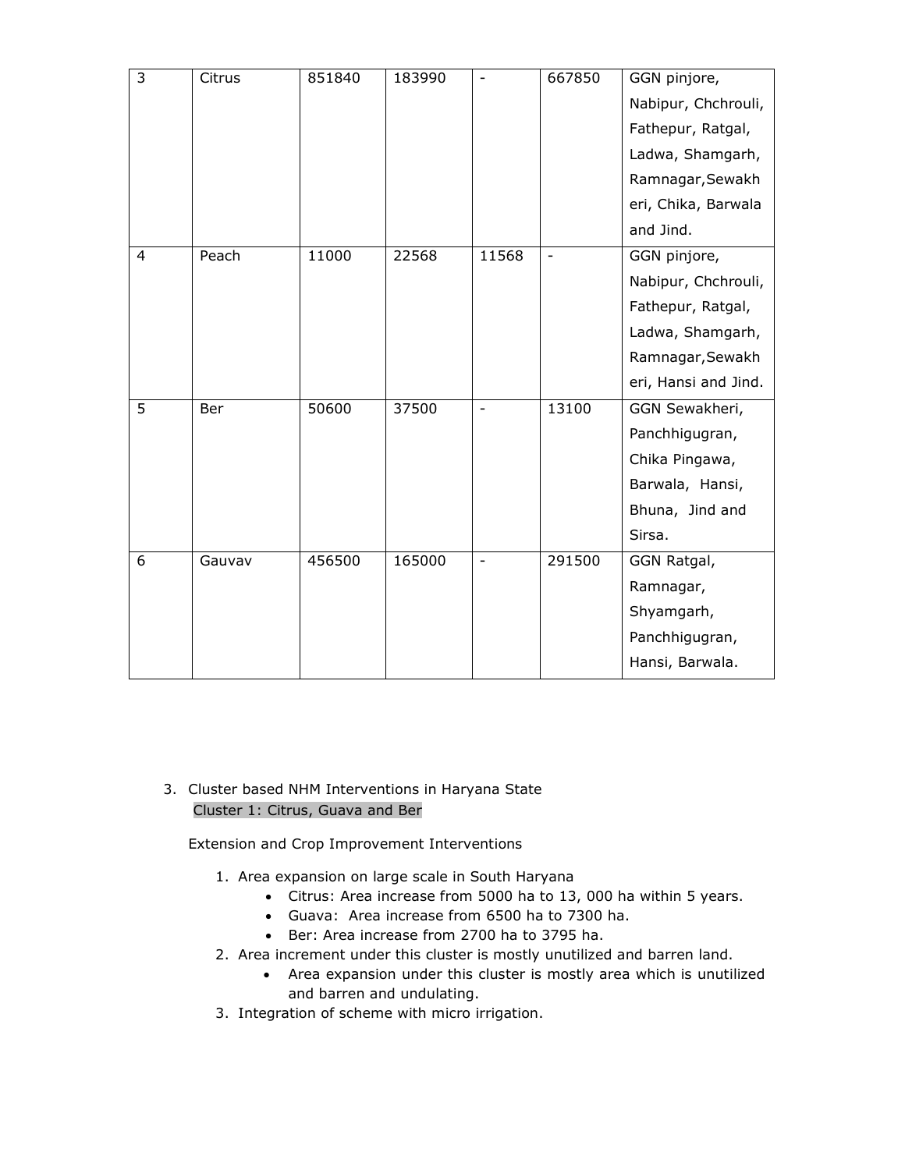| 3              | Citrus | 851840 | 183990 | ÷,             | 667850 | GGN pinjore,         |
|----------------|--------|--------|--------|----------------|--------|----------------------|
|                |        |        |        |                |        | Nabipur, Chchrouli,  |
|                |        |        |        |                |        | Fathepur, Ratgal,    |
|                |        |        |        |                |        | Ladwa, Shamgarh,     |
|                |        |        |        |                |        | Ramnagar, Sewakh     |
|                |        |        |        |                |        | eri, Chika, Barwala  |
|                |        |        |        |                |        | and Jind.            |
| $\overline{4}$ | Peach  | 11000  | 22568  | 11568          | ÷.     | GGN pinjore,         |
|                |        |        |        |                |        | Nabipur, Chchrouli,  |
|                |        |        |        |                |        | Fathepur, Ratgal,    |
|                |        |        |        |                |        | Ladwa, Shamgarh,     |
|                |        |        |        |                |        | Ramnagar, Sewakh     |
|                |        |        |        |                |        | eri, Hansi and Jind. |
| 5              | Ber    | 50600  | 37500  | L.             | 13100  | GGN Sewakheri,       |
|                |        |        |        |                |        | Panchhigugran,       |
|                |        |        |        |                |        | Chika Pingawa,       |
|                |        |        |        |                |        | Barwala, Hansi,      |
|                |        |        |        |                |        | Bhuna, Jind and      |
|                |        |        |        |                |        | Sirsa.               |
| 6              | Gauvav | 456500 | 165000 | $\blacksquare$ | 291500 | GGN Ratgal,          |
|                |        |        |        |                |        | Ramnagar,            |
|                |        |        |        |                |        | Shyamgarh,           |
|                |        |        |        |                |        | Panchhigugran,       |
|                |        |        |        |                |        | Hansi, Barwala.      |

# 3. Cluster based NHM Interventions in Haryana State Cluster 1: Citrus, Guava and Ber

Extension and Crop Improvement Interventions

- 1. Area expansion on large scale in South Haryana
	- Citrus: Area increase from 5000 ha to 13, 000 ha within 5 years.
	- Guava: Area increase from 6500 ha to 7300 ha.
	- Ber: Area increase from 2700 ha to 3795 ha.
- 2. Area increment under this cluster is mostly unutilized and barren land.
	- Area expansion under this cluster is mostly area which is unutilized and barren and undulating.
- 3. Integration of scheme with micro irrigation.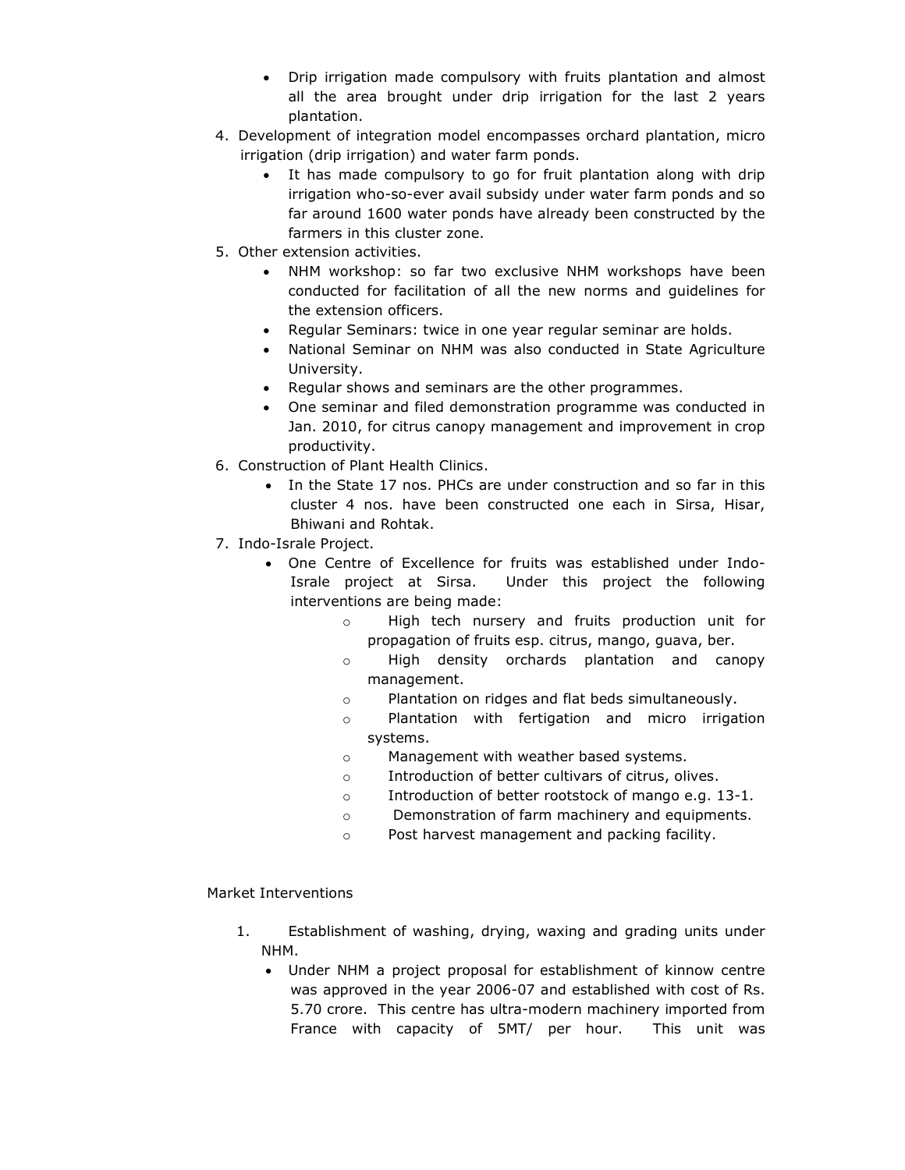- Drip irrigation made compulsory with fruits plantation and almost all the area brought under drip irrigation for the last 2 years plantation.
- 4. Development of integration model encompasses orchard plantation, micro irrigation (drip irrigation) and water farm ponds.
	- It has made compulsory to go for fruit plantation along with drip irrigation who-so-ever avail subsidy under water farm ponds and so far around 1600 water ponds have already been constructed by the farmers in this cluster zone.
- 5. Other extension activities.
	- NHM workshop: so far two exclusive NHM workshops have been conducted for facilitation of all the new norms and guidelines for the extension officers.
	- Regular Seminars: twice in one year regular seminar are holds.
	- National Seminar on NHM was also conducted in State Agriculture University.
	- Regular shows and seminars are the other programmes.
	- One seminar and filed demonstration programme was conducted in Jan. 2010, for citrus canopy management and improvement in crop productivity.
- 6. Construction of Plant Health Clinics.
	- In the State 17 nos. PHCs are under construction and so far in this cluster 4 nos. have been constructed one each in Sirsa, Hisar, Bhiwani and Rohtak.
- 7. Indo-Israle Project.
	- One Centre of Excellence for fruits was established under Indo-Israle project at Sirsa. Under this project the following interventions are being made:
		- o High tech nursery and fruits production unit for propagation of fruits esp. citrus, mango, guava, ber.
		- o High density orchards plantation and canopy management.
		- o Plantation on ridges and flat beds simultaneously.
		- o Plantation with fertigation and micro irrigation systems.
		- o Management with weather based systems.
		- o Introduction of better cultivars of citrus, olives.
		- o Introduction of better rootstock of mango e.g. 13-1.
		- o Demonstration of farm machinery and equipments.
		- o Post harvest management and packing facility.

Market Interventions

- 1. Establishment of washing, drying, waxing and grading units under NHM.
	- Under NHM a project proposal for establishment of kinnow centre was approved in the year 2006-07 and established with cost of Rs. 5.70 crore. This centre has ultra-modern machinery imported from France with capacity of 5MT/ per hour. This unit was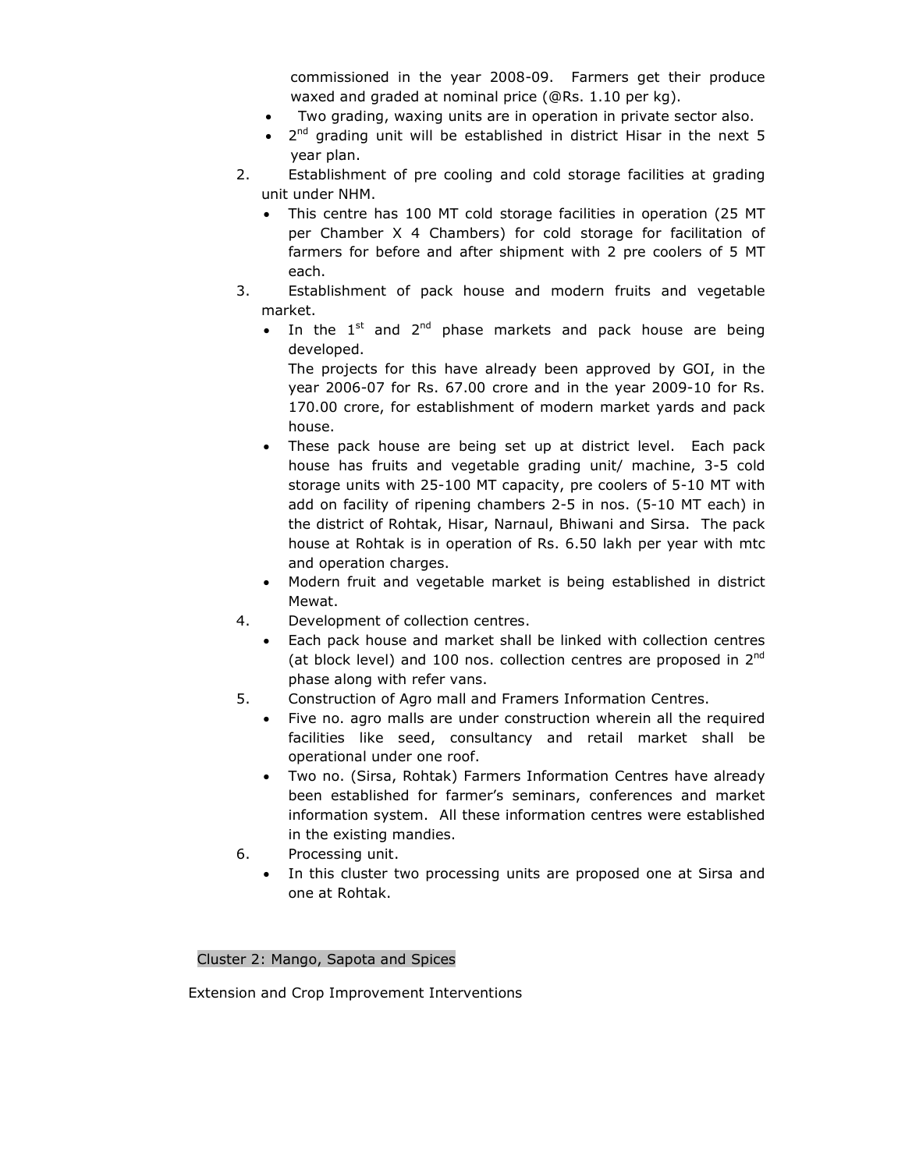commissioned in the year 2008-09. Farmers get their produce waxed and graded at nominal price (@Rs. 1.10 per kg).

- Two grading, waxing units are in operation in private sector also.
- $\bullet$  2<sup>nd</sup> grading unit will be established in district Hisar in the next 5 year plan.
- 2. Establishment of pre cooling and cold storage facilities at grading unit under NHM.
	- This centre has 100 MT cold storage facilities in operation (25 MT per Chamber X 4 Chambers) for cold storage for facilitation of farmers for before and after shipment with 2 pre coolers of 5 MT each.
- 3. Establishment of pack house and modern fruits and vegetable market.
	- In the  $1^{st}$  and  $2^{nd}$  phase markets and pack house are being developed.

The projects for this have already been approved by GOI, in the year 2006-07 for Rs. 67.00 crore and in the year 2009-10 for Rs. 170.00 crore, for establishment of modern market yards and pack house.

- These pack house are being set up at district level. Each pack house has fruits and vegetable grading unit/ machine, 3-5 cold storage units with 25-100 MT capacity, pre coolers of 5-10 MT with add on facility of ripening chambers 2-5 in nos. (5-10 MT each) in the district of Rohtak, Hisar, Narnaul, Bhiwani and Sirsa. The pack house at Rohtak is in operation of Rs. 6.50 lakh per year with mtc and operation charges.
- Modern fruit and vegetable market is being established in district Mewat.
- 4. Development of collection centres.
	- Each pack house and market shall be linked with collection centres (at block level) and 100 nos. collection centres are proposed in 2<sup>nd</sup> phase along with refer vans.
- 5. Construction of Agro mall and Framers Information Centres.
	- Five no. agro malls are under construction wherein all the required facilities like seed, consultancy and retail market shall be operational under one roof.
	- Two no. (Sirsa, Rohtak) Farmers Information Centres have already been established for farmer's seminars, conferences and market information system. All these information centres were established in the existing mandies.
- 6. Processing unit.
	- In this cluster two processing units are proposed one at Sirsa and one at Rohtak.

# Cluster 2: Mango, Sapota and Spices

Extension and Crop Improvement Interventions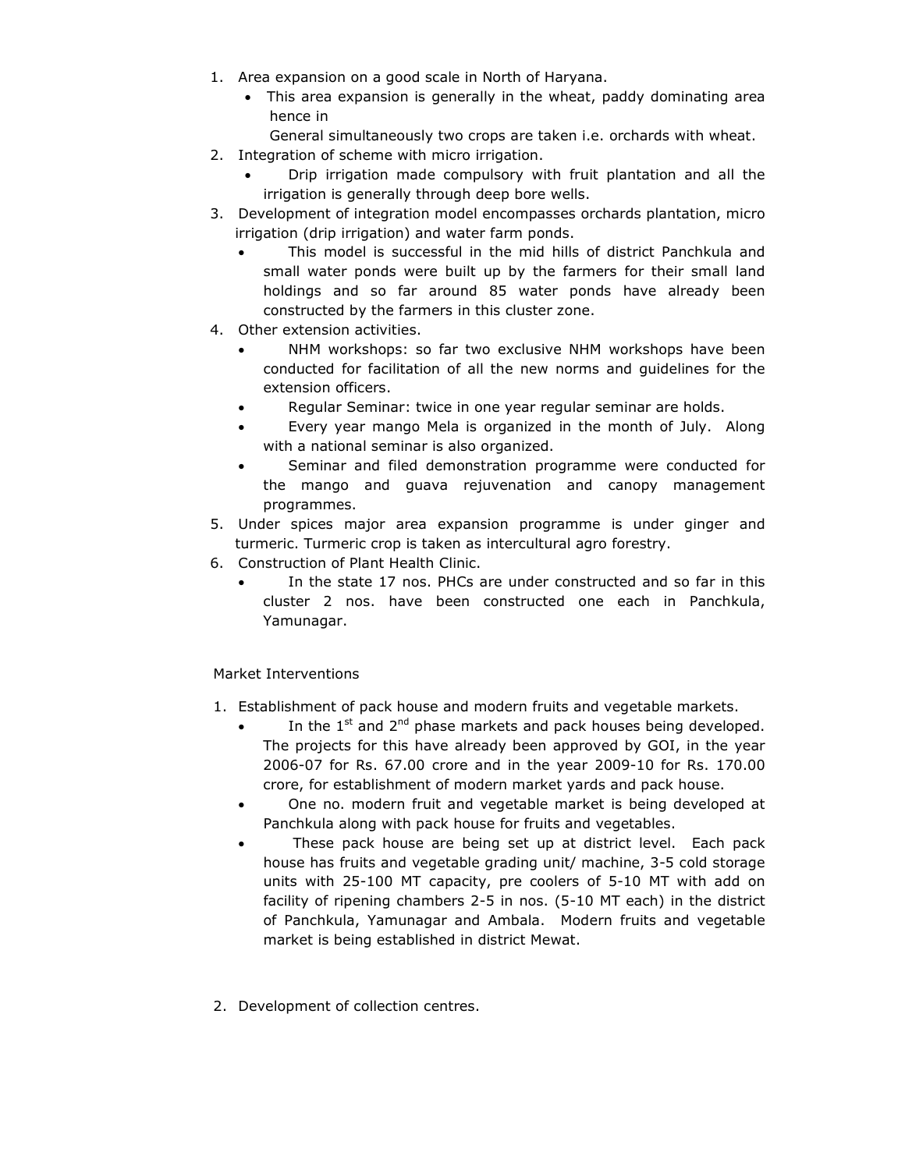- 1. Area expansion on a good scale in North of Haryana.
	- This area expansion is generally in the wheat, paddy dominating area hence in
		- General simultaneously two crops are taken i.e. orchards with wheat.
- 2. Integration of scheme with micro irrigation.
	- Drip irrigation made compulsory with fruit plantation and all the irrigation is generally through deep bore wells.
- 3. Development of integration model encompasses orchards plantation, micro irrigation (drip irrigation) and water farm ponds.
	- This model is successful in the mid hills of district Panchkula and small water ponds were built up by the farmers for their small land holdings and so far around 85 water ponds have already been constructed by the farmers in this cluster zone.
- 4. Other extension activities.
	- NHM workshops: so far two exclusive NHM workshops have been conducted for facilitation of all the new norms and guidelines for the extension officers.
	- Regular Seminar: twice in one year regular seminar are holds.
	- Every year mango Mela is organized in the month of July. Along with a national seminar is also organized.
	- Seminar and filed demonstration programme were conducted for the mango and guava rejuvenation and canopy management programmes.
- 5. Under spices major area expansion programme is under ginger and turmeric. Turmeric crop is taken as intercultural agro forestry.
- 6. Construction of Plant Health Clinic.
	- In the state 17 nos. PHCs are under constructed and so far in this cluster 2 nos. have been constructed one each in Panchkula, Yamunagar.

Market Interventions

- 1. Establishment of pack house and modern fruits and vegetable markets.
	- In the  $1<sup>st</sup>$  and  $2<sup>nd</sup>$  phase markets and pack houses being developed. The projects for this have already been approved by GOI, in the year 2006-07 for Rs. 67.00 crore and in the year 2009-10 for Rs. 170.00 crore, for establishment of modern market yards and pack house.
	- One no. modern fruit and vegetable market is being developed at Panchkula along with pack house for fruits and vegetables.
	- These pack house are being set up at district level. Each pack house has fruits and vegetable grading unit/ machine, 3-5 cold storage units with 25-100 MT capacity, pre coolers of 5-10 MT with add on facility of ripening chambers 2-5 in nos. (5-10 MT each) in the district of Panchkula, Yamunagar and Ambala. Modern fruits and vegetable market is being established in district Mewat.
- 2. Development of collection centres.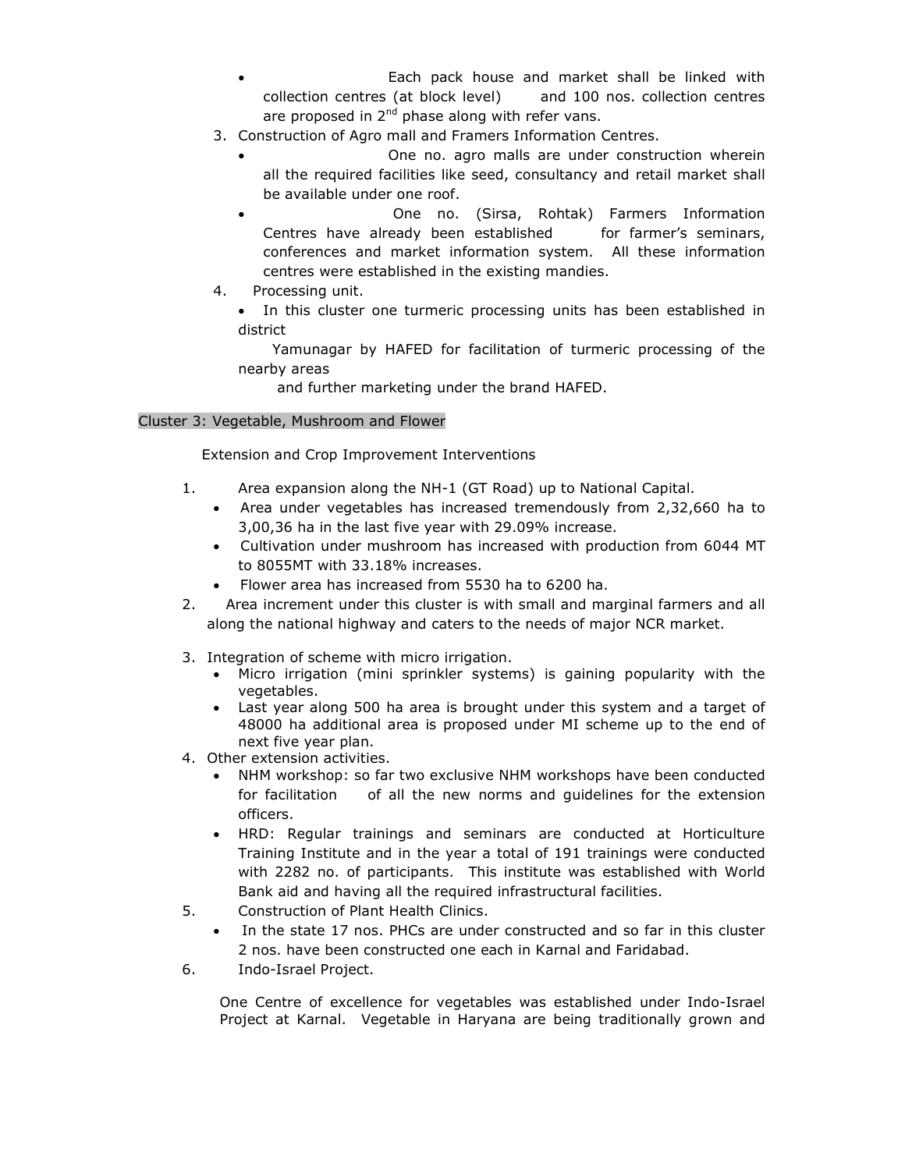- Each pack house and market shall be linked with collection centres (at block level) and 100 nos. collection centres are proposed in  $2^{nd}$  phase along with refer vans.
- 3. Construction of Agro mall and Framers Information Centres.
	- One no. agro malls are under construction wherein all the required facilities like seed, consultancy and retail market shall be available under one roof.
	- One no. (Sirsa, Rohtak) Farmers Information Centres have already been established for farmer's seminars, conferences and market information system. All these information centres were established in the existing mandies.
- 4. Processing unit.
	- In this cluster one turmeric processing units has been established in district

 Yamunagar by HAFED for facilitation of turmeric processing of the nearby areas

and further marketing under the brand HAFED.

## Cluster 3: Vegetable, Mushroom and Flower

Extension and Crop Improvement Interventions

- 1. Area expansion along the NH-1 (GT Road) up to National Capital.
	- Area under vegetables has increased tremendously from 2,32,660 ha to 3,00,36 ha in the last five year with 29.09% increase.
	- Cultivation under mushroom has increased with production from 6044 MT to 8055MT with 33.18% increases.
	- Flower area has increased from 5530 ha to 6200 ha.
- 2. Area increment under this cluster is with small and marginal farmers and all along the national highway and caters to the needs of major NCR market.
- 3. Integration of scheme with micro irrigation.
	- Micro irrigation (mini sprinkler systems) is gaining popularity with the vegetables.
	- Last year along 500 ha area is brought under this system and a target of 48000 ha additional area is proposed under MI scheme up to the end of next five year plan.
- 4. Other extension activities.
	- NHM workshop: so far two exclusive NHM workshops have been conducted for facilitation of all the new norms and guidelines for the extension officers.
	- HRD: Regular trainings and seminars are conducted at Horticulture Training Institute and in the year a total of 191 trainings were conducted with 2282 no. of participants. This institute was established with World Bank aid and having all the required infrastructural facilities.
- 5. Construction of Plant Health Clinics.
	- In the state 17 nos. PHCs are under constructed and so far in this cluster 2 nos. have been constructed one each in Karnal and Faridabad.
- 6. Indo-Israel Project.

One Centre of excellence for vegetables was established under Indo-Israel Project at Karnal. Vegetable in Haryana are being traditionally grown and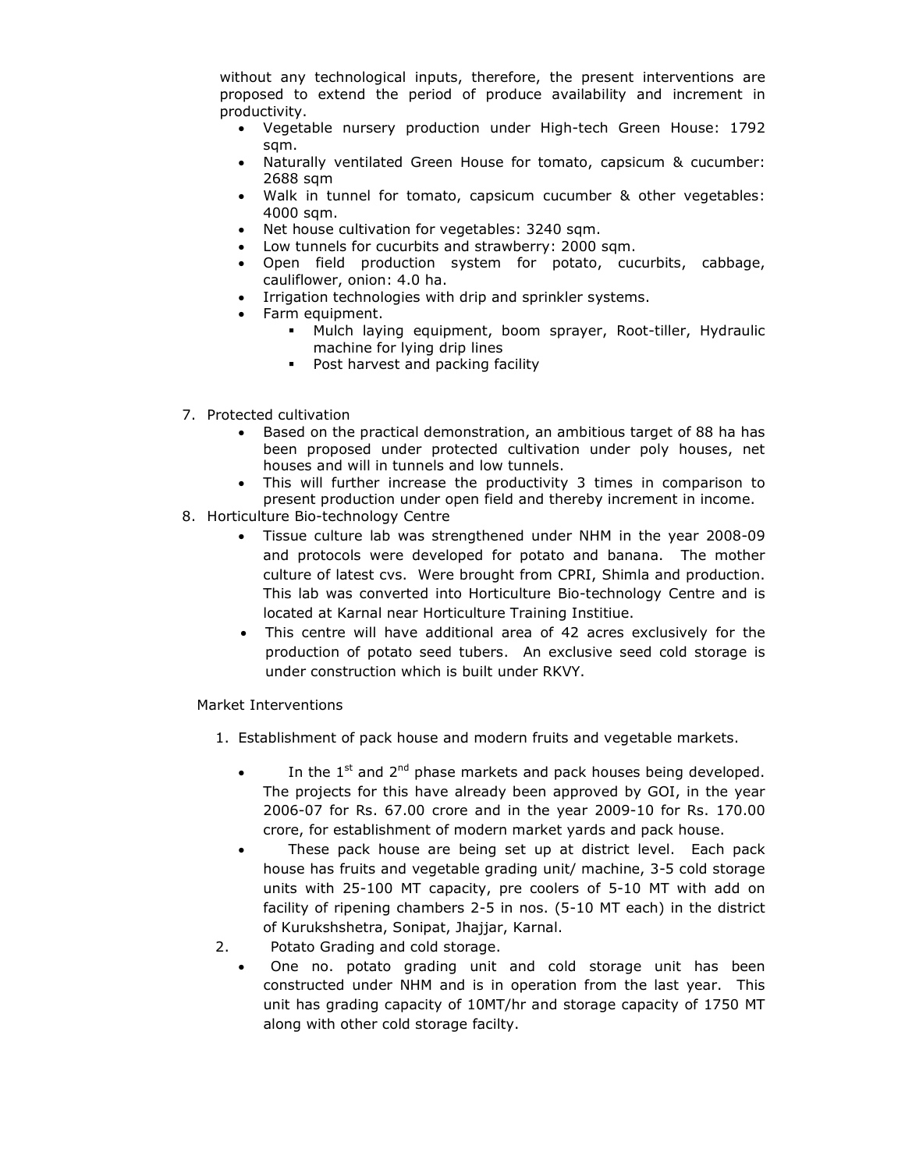without any technological inputs, therefore, the present interventions are proposed to extend the period of produce availability and increment in productivity.

- Vegetable nursery production under High-tech Green House: 1792 sqm.
- Naturally ventilated Green House for tomato, capsicum & cucumber: 2688 sqm
- Walk in tunnel for tomato, capsicum cucumber & other vegetables: 4000 sqm.
- Net house cultivation for vegetables: 3240 sqm.
- Low tunnels for cucurbits and strawberry: 2000 sqm.
- Open field production system for potato, cucurbits, cabbage, cauliflower, onion: 4.0 ha.
- Irrigation technologies with drip and sprinkler systems.
- Farm equipment.
	- Mulch laying equipment, boom sprayer, Root-tiller, Hydraulic machine for lying drip lines
	- **Post harvest and packing facility**
- 7. Protected cultivation
	- Based on the practical demonstration, an ambitious target of 88 ha has been proposed under protected cultivation under poly houses, net houses and will in tunnels and low tunnels.
	- This will further increase the productivity 3 times in comparison to present production under open field and thereby increment in income.
- 8. Horticulture Bio-technology Centre
	- Tissue culture lab was strengthened under NHM in the year 2008-09 and protocols were developed for potato and banana. The mother culture of latest cvs. Were brought from CPRI, Shimla and production. This lab was converted into Horticulture Bio-technology Centre and is located at Karnal near Horticulture Training Institiue.
	- This centre will have additional area of 42 acres exclusively for the production of potato seed tubers. An exclusive seed cold storage is under construction which is built under RKVY.

Market Interventions

- 1. Establishment of pack house and modern fruits and vegetable markets.
	- In the  $1<sup>st</sup>$  and  $2<sup>nd</sup>$  phase markets and pack houses being developed. The projects for this have already been approved by GOI, in the year 2006-07 for Rs. 67.00 crore and in the year 2009-10 for Rs. 170.00 crore, for establishment of modern market yards and pack house.
	- These pack house are being set up at district level. Each pack house has fruits and vegetable grading unit/ machine, 3-5 cold storage units with 25-100 MT capacity, pre coolers of 5-10 MT with add on facility of ripening chambers 2-5 in nos. (5-10 MT each) in the district of Kurukshshetra, Sonipat, Jhajjar, Karnal.
- 2. Potato Grading and cold storage.
- One no. potato grading unit and cold storage unit has been constructed under NHM and is in operation from the last year. This unit has grading capacity of 10MT/hr and storage capacity of 1750 MT along with other cold storage facilty.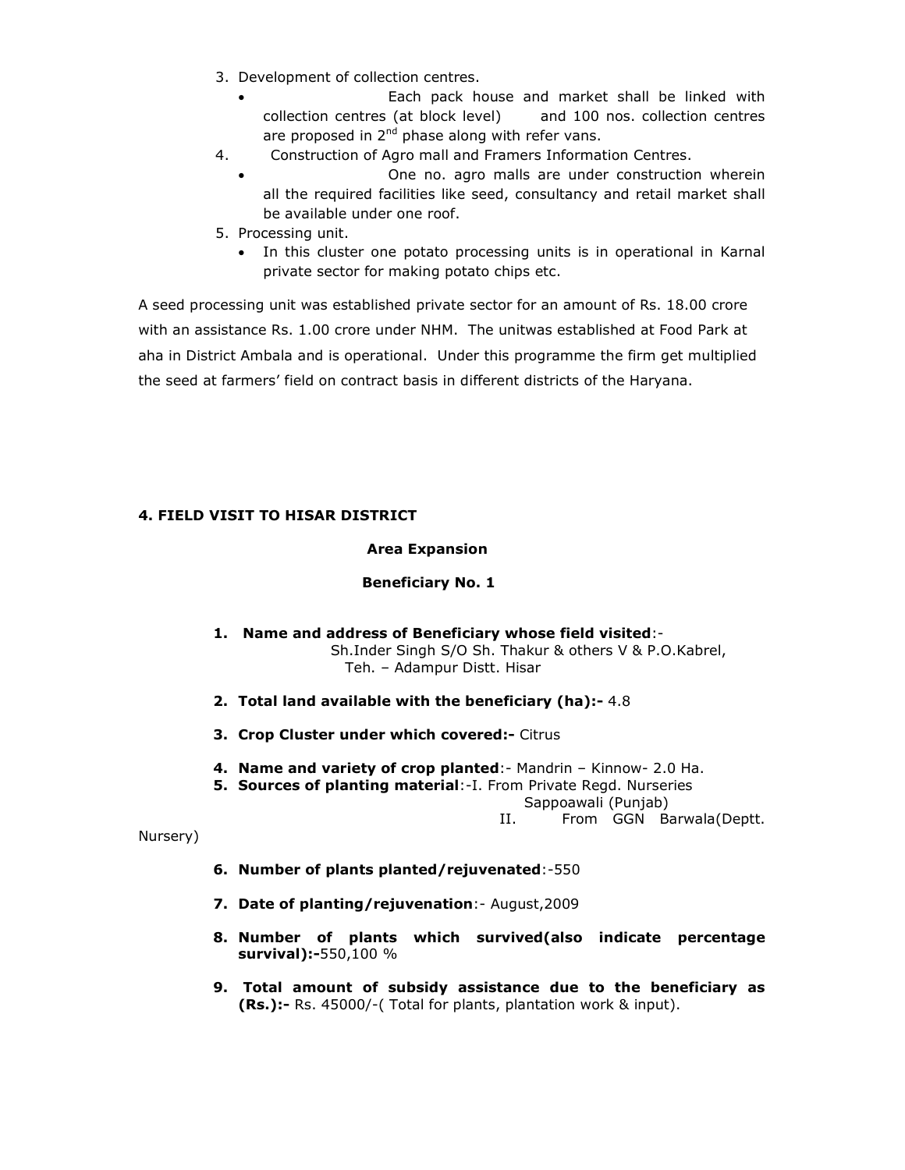- 3. Development of collection centres.
	- Each pack house and market shall be linked with collection centres (at block level) and 100 nos. collection centres are proposed in  $2^{nd}$  phase along with refer vans.
- 4. Construction of Agro mall and Framers Information Centres.
	- One no. agro malls are under construction wherein all the required facilities like seed, consultancy and retail market shall be available under one roof.
- 5. Processing unit.
	- In this cluster one potato processing units is in operational in Karnal private sector for making potato chips etc.

A seed processing unit was established private sector for an amount of Rs. 18.00 crore with an assistance Rs. 1.00 crore under NHM. The unitwas established at Food Park at aha in District Ambala and is operational. Under this programme the firm get multiplied the seed at farmers' field on contract basis in different districts of the Haryana.

# 4. FIELD VISIT TO HISAR DISTRICT

## Area Expansion

# Beneficiary No. 1

1. Name and address of Beneficiary whose field visited:-

 Sh.Inder Singh S/O Sh. Thakur & others V & P.O.Kabrel, Teh. – Adampur Distt. Hisar

- 2. Total land available with the beneficiary (ha):- 4.8
- 3. Crop Cluster under which covered:- Citrus
- 4. Name and variety of crop planted:- Mandrin Kinnow- 2.0 Ha.
- 5. Sources of planting material: I. From Private Regd. Nurseries

Sappoawali (Punjab)

II. From GGN Barwala(Deptt.

Nursery)

- 6. Number of plants planted/rejuvenated:-550
- 7. Date of planting/rejuvenation:- August,2009
- 8. Number of plants which survived(also indicate percentage survival):-550,100 %
- 9. Total amount of subsidy assistance due to the beneficiary as (Rs.):- Rs. 45000/-( Total for plants, plantation work & input).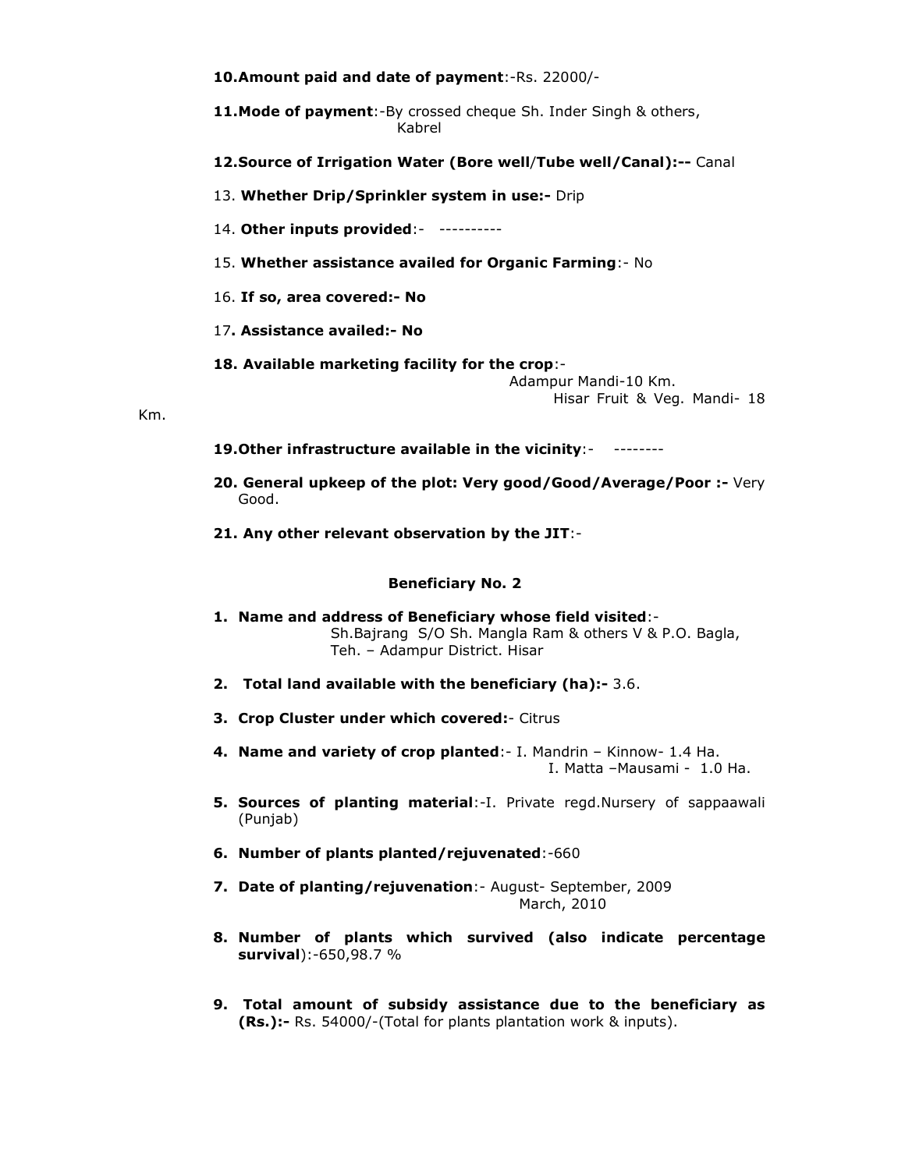### 10.Amount paid and date of payment:-Rs. 22000/-

11. Mode of payment: - By crossed cheque Sh. Inder Singh & others, Kabrel

12.Source of Irrigation Water (Bore well/Tube well/Canal):-- Canal

13. Whether Drip/Sprinkler system in use:- Drip

- 14. Other inputs provided:- ----------
- 15. Whether assistance availed for Organic Farming:- No
- 16. If so, area covered:- No
- 17. Assistance availed:- No
- 18. Available marketing facility for the crop:-

Adampur Mandi-10 Km.

Hisar Fruit & Veg. Mandi- 18

Km.

- 19.Other infrastructure available in the vicinity:- --------
- 20. General upkeep of the plot: Very good/Good/Average/Poor :- Very Good.
- 21. Any other relevant observation by the JIT:-

- 1. Name and address of Beneficiary whose field visited:- Sh.Bajrang S/O Sh. Mangla Ram & others V & P.O. Bagla, Teh. – Adampur District. Hisar
- 2. Total land available with the beneficiary (ha):- 3.6.
- 3. Crop Cluster under which covered:- Citrus
- 4. Name and variety of crop planted: I. Mandrin Kinnow- 1.4 Ha. I. Matta –Mausami - 1.0 Ha.
- **5. Sources of planting material:-I.** Private regd.Nursery of sappaawali (Punjab)
- 6. Number of plants planted/rejuvenated:-660
- 7. Date of planting/rejuvenation:- August- September, 2009 March, 2010
- 8. Number of plants which survived (also indicate percentage survival):-650,98.7 %
- 9. Total amount of subsidy assistance due to the beneficiary as (Rs.):- Rs. 54000/-(Total for plants plantation work & inputs).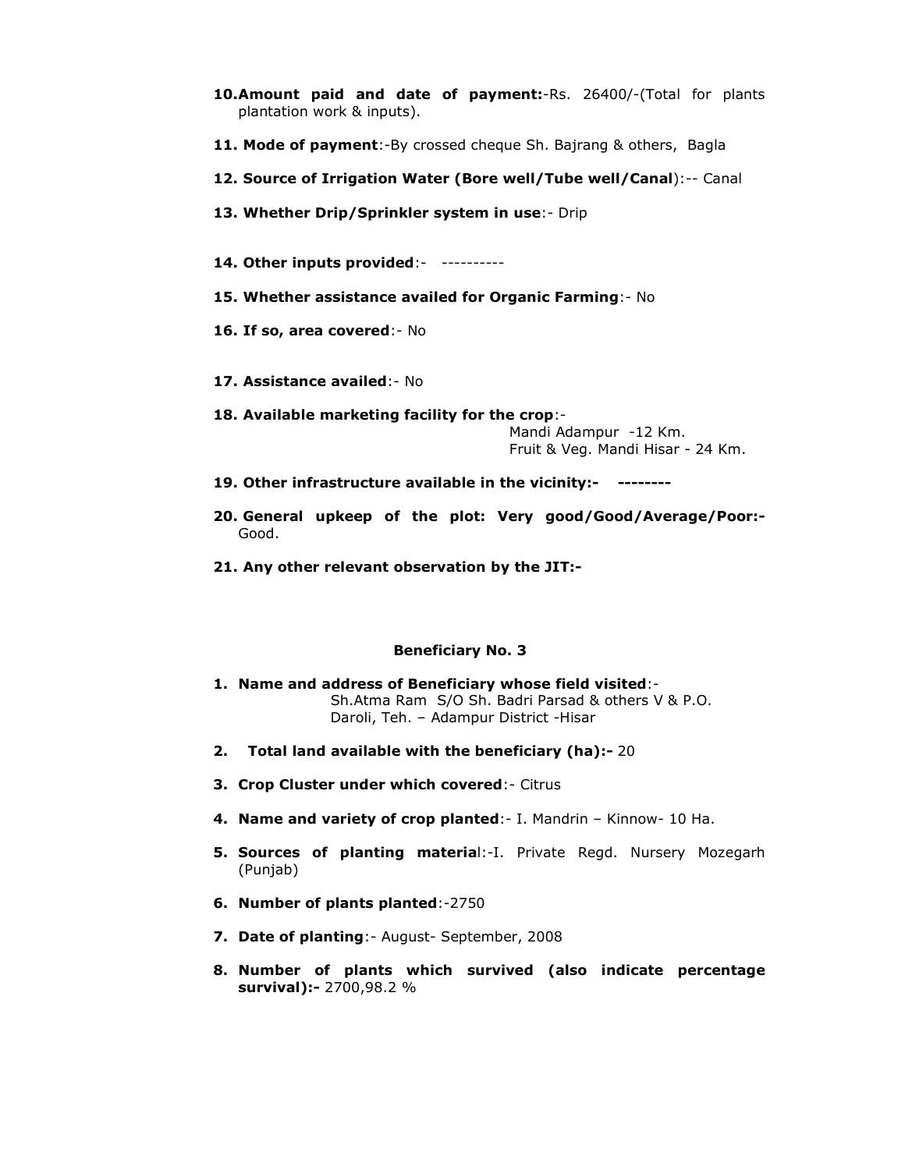- 10.Amount paid and date of payment:-Rs. 26400/-(Total for plants plantation work & inputs).
- 11. Mode of payment:-By crossed cheque Sh. Bajrang & others, Bagla
- 12. Source of Irrigation Water (Bore well/Tube well/Canal):-- Canal
- 13. Whether Drip/Sprinkler system in use: Drip
- 14. Other inputs provided:- ----------
- 15. Whether assistance availed for Organic Farming: No
- 16. If so, area covered: No
- 17. Assistance availed:- No
- 18. Available marketing facility for the crop:-

 Mandi Adampur -12 Km. Fruit & Veg. Mandi Hisar - 24 Km.

- 19. Other infrastructure available in the vicinity:- --------
- 20. General upkeep of the plot: Very good/Good/Average/Poor:- Good.
- 21. Any other relevant observation by the JIT:-

- 1. Name and address of Beneficiary whose field visited:- Sh.Atma Ram S/O Sh. Badri Parsad & others V & P.O. Daroli, Teh. – Adampur District -Hisar
- 2. Total land available with the beneficiary (ha):- 20
- 3. Crop Cluster under which covered:- Citrus
- 4. Name and variety of crop planted: I. Mandrin Kinnow- 10 Ha.
- 5. Sources of planting material:-I. Private Regd. Nursery Mozegarh (Punjab)
- 6. Number of plants planted:-2750
- 7. Date of planting:- August- September, 2008
- 8. Number of plants which survived (also indicate percentage survival):- 2700,98.2 %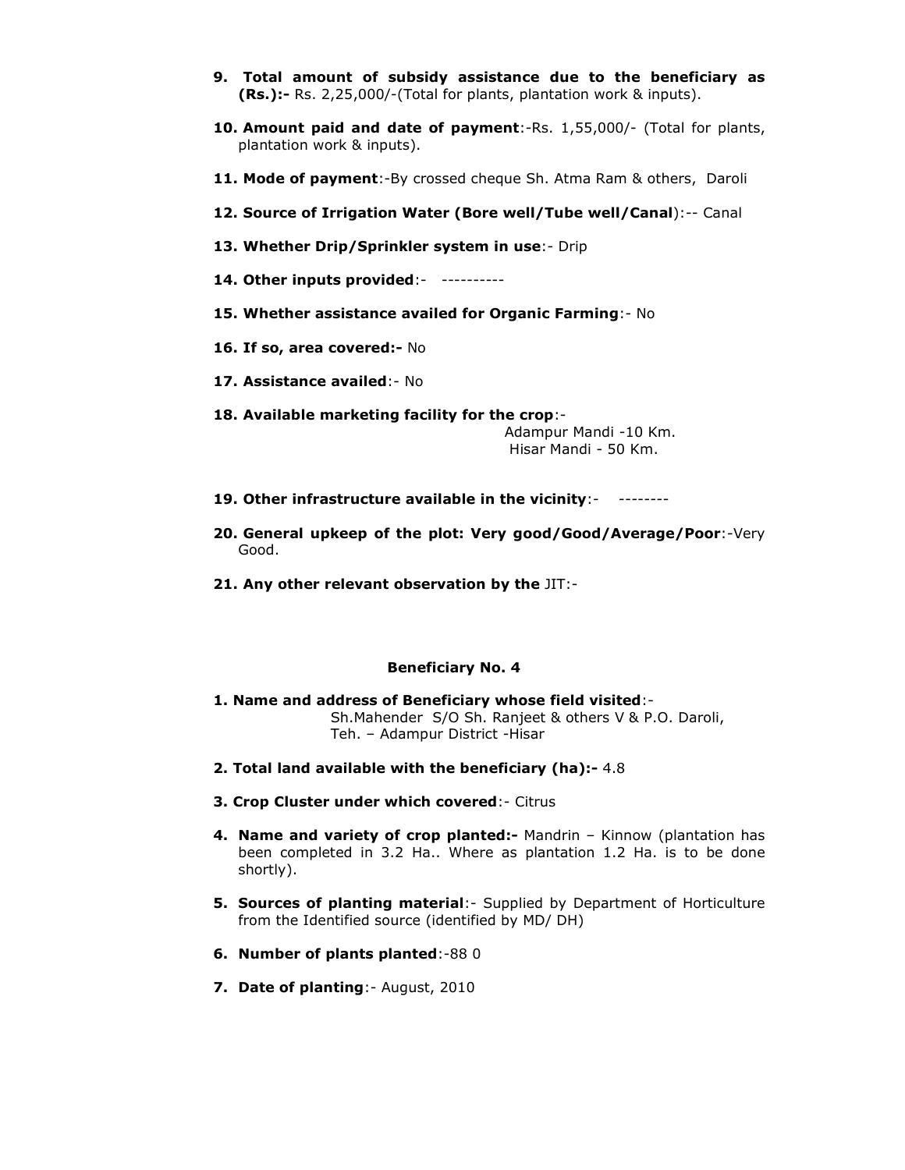- 9. Total amount of subsidy assistance due to the beneficiary as (Rs.):- Rs. 2,25,000/-(Total for plants, plantation work & inputs).
- 10. Amount paid and date of payment:-Rs. 1,55,000/- (Total for plants, plantation work & inputs).
- 11. Mode of payment:-By crossed cheque Sh. Atma Ram & others, Daroli
- 12. Source of Irrigation Water (Bore well/Tube well/Canal):-- Canal
- 13. Whether Drip/Sprinkler system in use: Drip
- 14. Other inputs provided:- ----------
- 15. Whether assistance availed for Organic Farming: No
- 16. If so, area covered:- No
- 17. Assistance availed:- No
- 18. Available marketing facility for the crop:-

 Adampur Mandi -10 Km. Hisar Mandi - 50 Km.

- 19. Other infrastructure available in the vicinity:- --------
- 20. General upkeep of the plot: Very good/Good/Average/Poor:-Very Good.
- 21. Any other relevant observation by the JIT:-

- 1. Name and address of Beneficiary whose field visited:- Sh.Mahender S/O Sh. Ranjeet & others V & P.O. Daroli, Teh. – Adampur District -Hisar
- 2. Total land available with the beneficiary (ha):- 4.8
- 3. Crop Cluster under which covered:- Citrus
- 4. Name and variety of crop planted:- Mandrin Kinnow (plantation has been completed in 3.2 Ha.. Where as plantation 1.2 Ha. is to be done shortly).
- **5. Sources of planting material:** Supplied by Department of Horticulture from the Identified source (identified by MD/ DH)
- 6. Number of plants planted:-88 0
- 7. Date of planting: August, 2010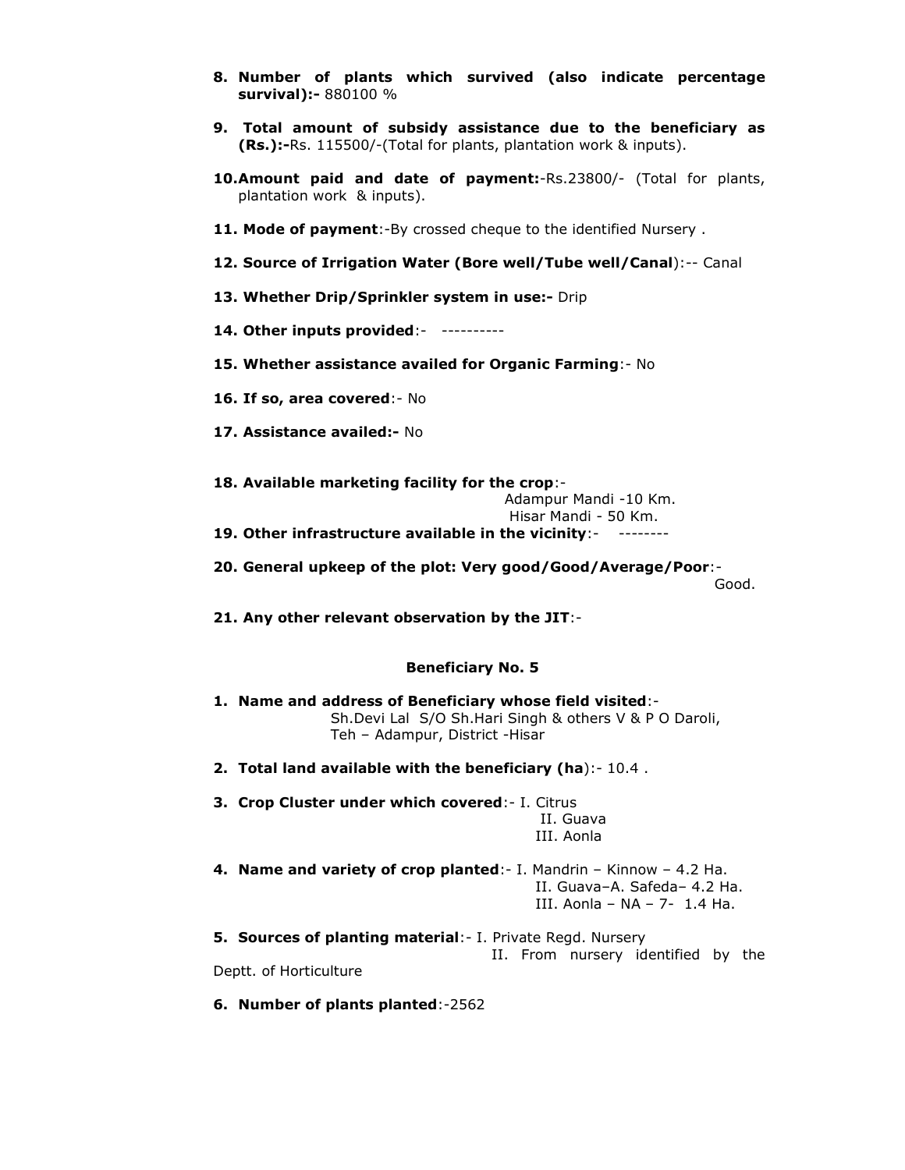- 8. Number of plants which survived (also indicate percentage survival):- 880100 %
- 9. Total amount of subsidy assistance due to the beneficiary as (Rs.):-Rs. 115500/-(Total for plants, plantation work & inputs).
- 10.Amount paid and date of payment:-Rs.23800/- (Total for plants, plantation work & inputs).
- 11. Mode of payment:-By crossed cheque to the identified Nursery.
- 12. Source of Irrigation Water (Bore well/Tube well/Canal):-- Canal
- 13. Whether Drip/Sprinkler system in use:- Drip
- 14. Other inputs provided:- ----------
- 15. Whether assistance availed for Organic Farming: No
- 16. If so, area covered: No
- 17. Assistance availed:- No
- 18. Available marketing facility for the crop:- Adampur Mandi -10 Km. Hisar Mandi - 50 Km.
- 19. Other infrastructure available in the vicinity:- --------
- 20. General upkeep of the plot: Very good/Good/Average/Poor:-

entration of the contract of the contract of the contract of the Good. And the contract of the contract of the

21. Any other relevant observation by the JIT:-

### Beneficiary No. 5

- 1. Name and address of Beneficiary whose field visited:- Sh.Devi Lal S/O Sh.Hari Singh & others V & P O Daroli, Teh – Adampur, District -Hisar
- 2. Total land available with the beneficiary (ha):- 10.4 .
- 3. Crop Cluster under which covered:- I. Citrus II. Guava III. Aonla
- 4. Name and variety of crop planted: I. Mandrin Kinnow 4.2 Ha. II. Guava–A. Safeda– 4.2 Ha. III. Aonla – NA – 7- 1.4 Ha.

5. Sources of planting material: - I. Private Regd. Nursery II. From nursery identified by the Deptt. of Horticulture

6. Number of plants planted:-2562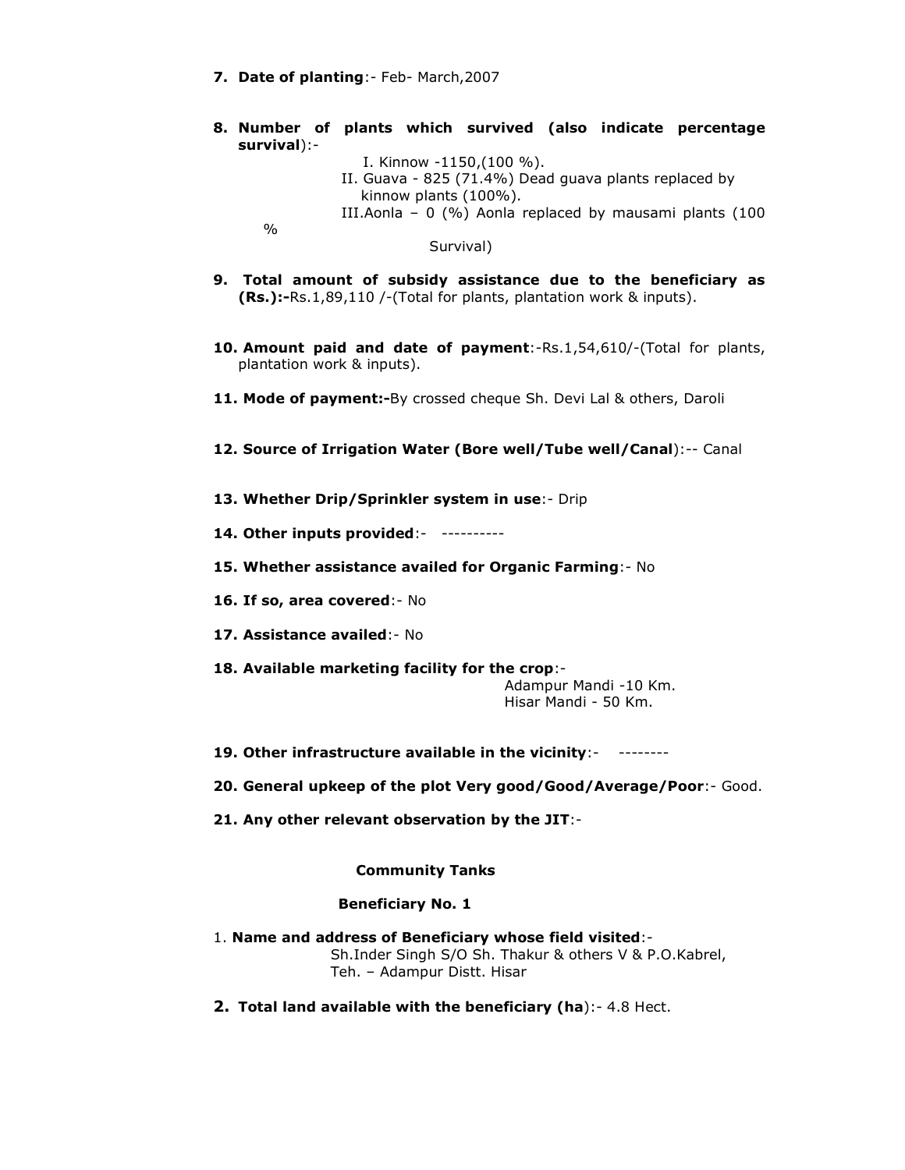7. Date of planting: Feb- March, 2007

%

- 8. Number of plants which survived (also indicate percentage survival):-
	- I. Kinnow -1150,(100 %). II. Guava - 825 (71.4%) Dead guava plants replaced by kinnow plants (100%). III.Aonla – 0 (%) Aonla replaced by mausami plants (100

Survival)

- 9. Total amount of subsidy assistance due to the beneficiary as (Rs.):-Rs.1,89,110 /-(Total for plants, plantation work & inputs).
- 10. Amount paid and date of payment:-Rs.1,54,610/-(Total for plants, plantation work & inputs).
- 11. Mode of payment:-By crossed cheque Sh. Devi Lal & others, Daroli
- 12. Source of Irrigation Water (Bore well/Tube well/Canal):-- Canal
- 13. Whether Drip/Sprinkler system in use: Drip
- 14. Other inputs provided:- ----------
- 15. Whether assistance availed for Organic Farming: No
- 16. If so, area covered: No
- 17. Assistance availed:- No
- 18. Available marketing facility for the crop:-

 Adampur Mandi -10 Km. Hisar Mandi - 50 Km.

- 19. Other infrastructure available in the vicinity:- --------
- 20. General upkeep of the plot Very good/Good/Average/Poor:- Good.
- 21. Any other relevant observation by the JIT:-

## Community Tanks

- 1. Name and address of Beneficiary whose field visited:- Sh.Inder Singh S/O Sh. Thakur & others V & P.O.Kabrel, Teh. – Adampur Distt. Hisar
- 2. Total land available with the beneficiary (ha):- 4.8 Hect.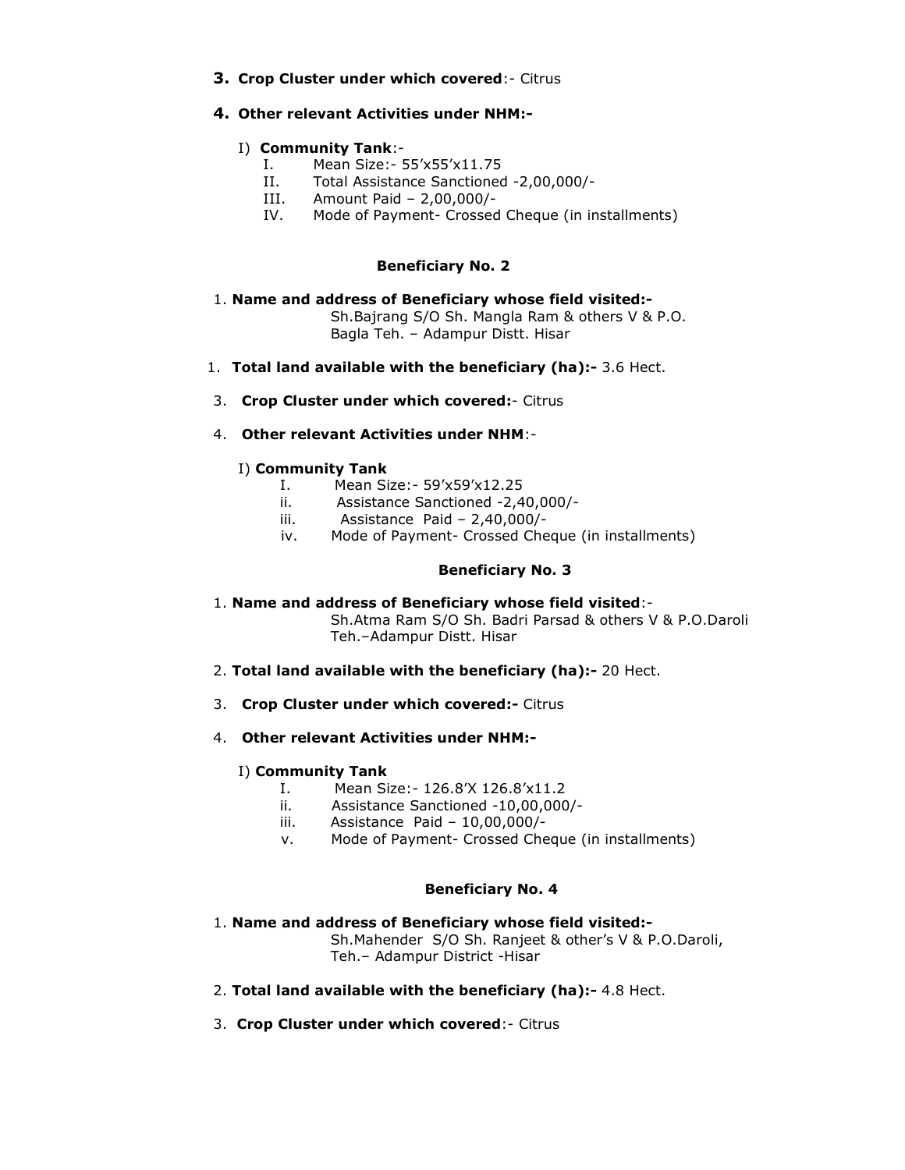3. Crop Cluster under which covered:- Citrus

## 4. Other relevant Activities under NHM:-

## I) Community Tank:-

- I. Mean Size:- 55'x55'x11.75
- II. Total Assistance Sanctioned -2,00,000/-
- III. Amount Paid 2,00,000/-
- IV. Mode of Payment- Crossed Cheque (in installments)

## Beneficiary No. 2

- 1. Name and address of Beneficiary whose field visited:- Sh.Bajrang S/O Sh. Mangla Ram & others V & P.O. Bagla Teh. – Adampur Distt. Hisar
- 1. Total land available with the beneficiary (ha):- 3.6 Hect.
- 3. Crop Cluster under which covered:- Citrus
- 4. Other relevant Activities under NHM:-

## I) Community Tank

- I. Mean Size:- 59'x59'x12.25
- ii. Assistance Sanctioned -2,40,000/-
- iii. Assistance Paid 2,40,000/-
- iv. Mode of Payment- Crossed Cheque (in installments)

## Beneficiary No. 3

1. Name and address of Beneficiary whose field visited:-

 Sh.Atma Ram S/O Sh. Badri Parsad & others V & P.O.Daroli Teh.–Adampur Distt. Hisar

- 2. Total land available with the beneficiary (ha):- 20 Hect.
- 3. Crop Cluster under which covered:- Citrus
- 4. Other relevant Activities under NHM:-

## I) Community Tank

- I. Mean Size:- 126.8'X 126.8'x11.2
- ii. Assistance Sanctioned -10,00,000/-
- iii. Assistance Paid 10,00,000/-
- v. Mode of Payment- Crossed Cheque (in installments)

## Beneficiary No. 4

1. Name and address of Beneficiary whose field visited:-

 Sh.Mahender S/O Sh. Ranjeet & other's V & P.O.Daroli, Teh.– Adampur District -Hisar

- 2. Total land available with the beneficiary (ha):- 4.8 Hect.
- 3. Crop Cluster under which covered:- Citrus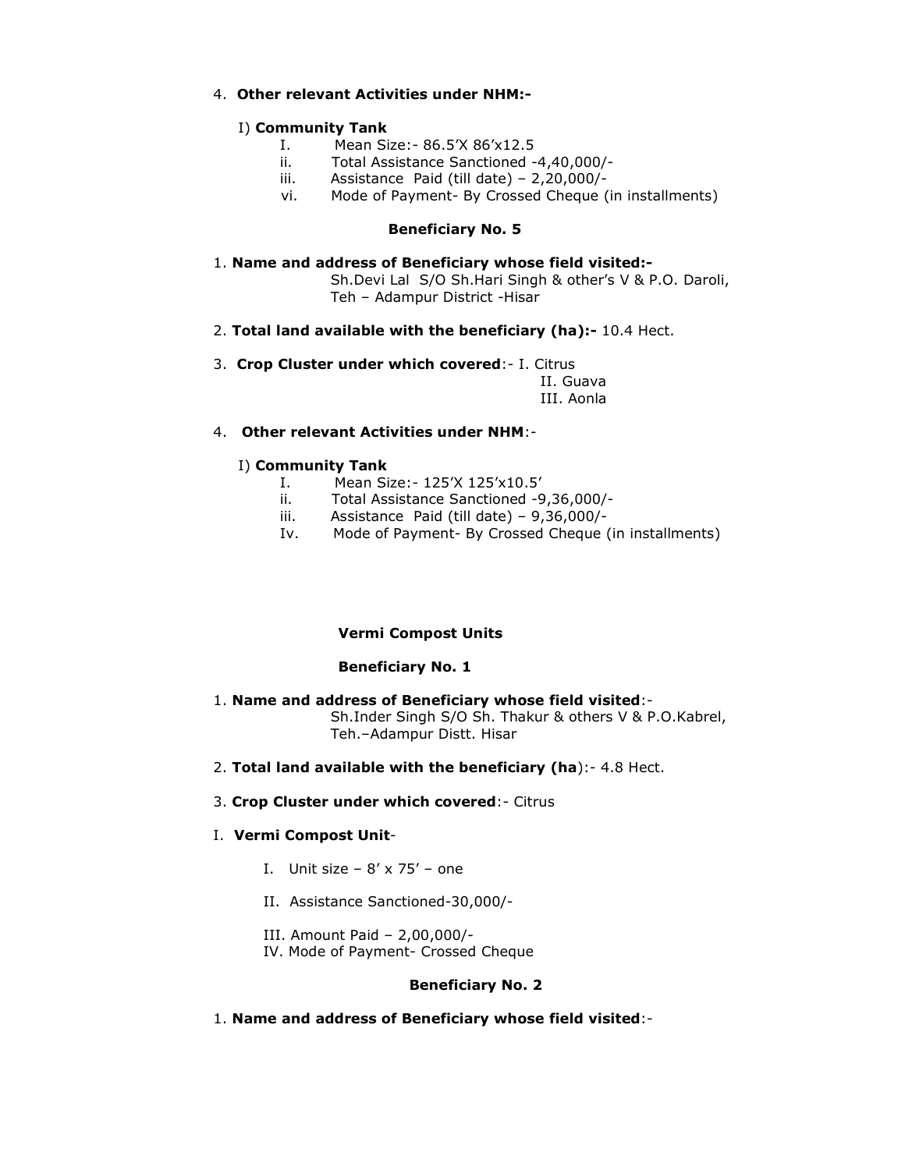## 4. Other relevant Activities under NHM:-

## I) Community Tank

- I. Mean Size:- 86.5'X 86'x12.5
- ii. Total Assistance Sanctioned -4,40,000/-
- iii. Assistance Paid (till date) 2,20,000/-
- vi. Mode of Payment- By Crossed Cheque (in installments)

## Beneficiary No. 5

## 1. Name and address of Beneficiary whose field visited:-

 Sh.Devi Lal S/O Sh.Hari Singh & other's V & P.O. Daroli, Teh – Adampur District -Hisar

- 2. Total land available with the beneficiary (ha):- 10.4 Hect.
- 3. Crop Cluster under which covered:- I. Citrus

 II. Guava III. Aonla

## 4. Other relevant Activities under NHM:-

## I) Community Tank

- I. Mean Size:- 125'X 125'x10.5'
- ii. Total Assistance Sanctioned -9,36,000/-
- iii. Assistance Paid (till date) 9,36,000/-
- Iv. Mode of Payment- By Crossed Cheque (in installments)

## Vermi Compost Units

## Beneficiary No. 1

1. Name and address of Beneficiary whose field visited:-

 Sh.Inder Singh S/O Sh. Thakur & others V & P.O.Kabrel, Teh.–Adampur Distt. Hisar

- 2. Total land available with the beneficiary (ha):- 4.8 Hect.
- 3. Crop Cluster under which covered:- Citrus

## I. Vermi Compost Unit-

- I. Unit size  $8' \times 75'$  one
- II. Assistance Sanctioned-30,000/-
- III. Amount Paid 2,00,000/-
- IV. Mode of Payment- Crossed Cheque

## Beneficiary No. 2

1. Name and address of Beneficiary whose field visited:-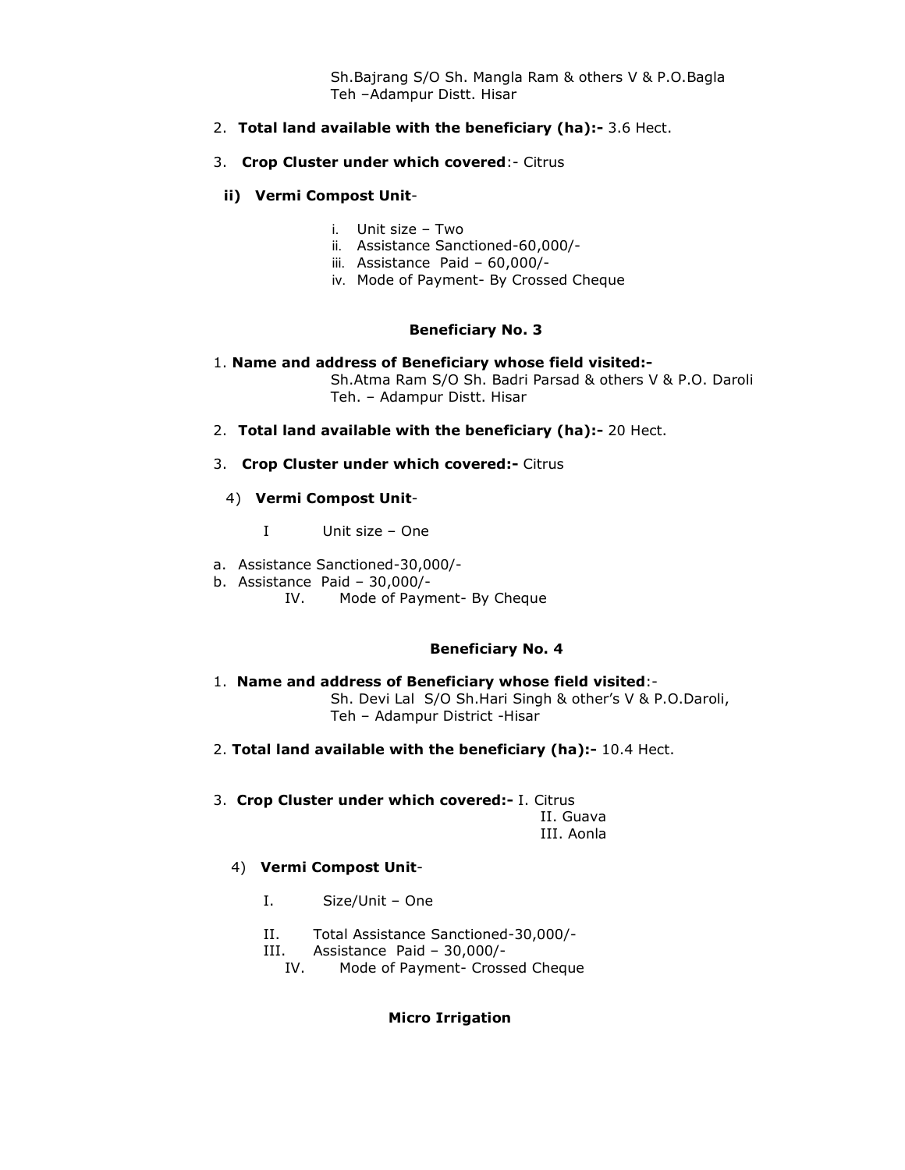Sh.Bajrang S/O Sh. Mangla Ram & others V & P.O.Bagla Teh –Adampur Distt. Hisar

- 2. Total land available with the beneficiary (ha):- 3.6 Hect.
- 3. Crop Cluster under which covered:- Citrus

## ii) Vermi Compost Unit-

- i. Unit size Two
- ii. Assistance Sanctioned-60,000/-
- iii. Assistance Paid 60,000/-
- iv. Mode of Payment- By Crossed Cheque

## Beneficiary No. 3

# 1. Name and address of Beneficiary whose field visited:-

 Sh.Atma Ram S/O Sh. Badri Parsad & others V & P.O. Daroli Teh. – Adampur Distt. Hisar

- 2. Total land available with the beneficiary (ha):- 20 Hect.
- 3. Crop Cluster under which covered:- Citrus

### 4) Vermi Compost Unit-

- I Unit size One
- a. Assistance Sanctioned-30,000/-

b. Assistance Paid – 30,000/-

IV. Mode of Payment- By Cheque

## Beneficiary No. 4

- 1. Name and address of Beneficiary whose field visited:- Sh. Devi Lal S/O Sh.Hari Singh & other's V & P.O.Daroli, Teh – Adampur District -Hisar
- 2. Total land available with the beneficiary (ha):- 10.4 Hect.
- 3. Crop Cluster under which covered:- I. Citrus II. Guava III. Aonla

## 4) Vermi Compost Unit-

- I. Size/Unit One
- II. Total Assistance Sanctioned-30,000/-
- III. Assistance Paid 30,000/-
	- IV. Mode of Payment- Crossed Cheque

## Micro Irrigation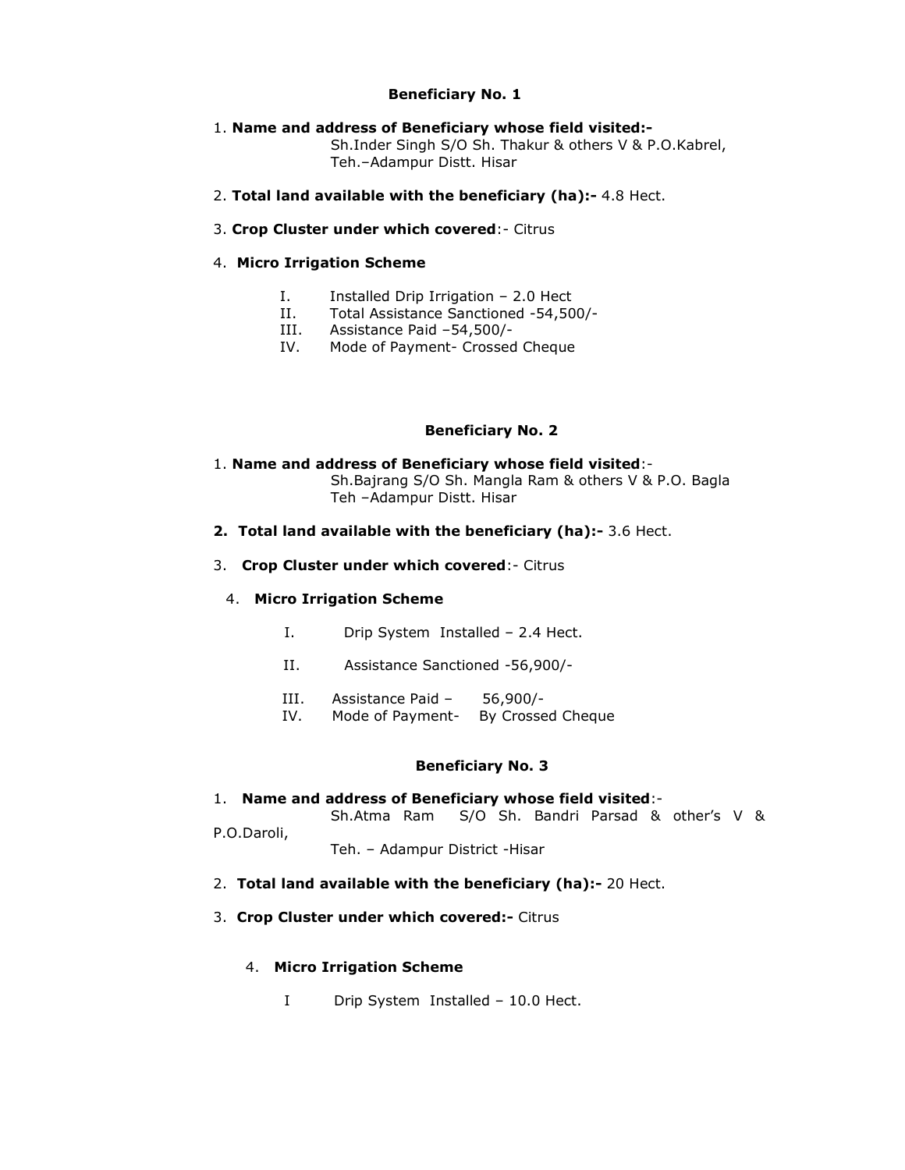## Beneficiary No. 1

- 1. Name and address of Beneficiary whose field visited:- Sh.Inder Singh S/O Sh. Thakur & others V & P.O.Kabrel, Teh.–Adampur Distt. Hisar
- 2. Total land available with the beneficiary (ha):- 4.8 Hect.
- 3. Crop Cluster under which covered:- Citrus

## 4. Micro Irrigation Scheme

- I. Installed Drip Irrigation 2.0 Hect
- II. Total Assistance Sanctioned -54,500/-
- III. Assistance Paid –54,500/-
- IV. Mode of Payment- Crossed Cheque

## Beneficiary No. 2

## 1. Name and address of Beneficiary whose field visited:-

 Sh.Bajrang S/O Sh. Mangla Ram & others V & P.O. Bagla Teh –Adampur Distt. Hisar

- 2. Total land available with the beneficiary (ha):- 3.6 Hect.
- 3. Crop Cluster under which covered:- Citrus

## 4. Micro Irrigation Scheme

- I. Drip System Installed 2.4 Hect.
- II. Assistance Sanctioned -56,900/-
- III. Assistance Paid 56,900/-
- IV. Mode of Payment- By Crossed Cheque

## Beneficiary No. 3

1. Name and address of Beneficiary whose field visited:-

 Sh.Atma Ram S/O Sh. Bandri Parsad & other's V & P.O.Daroli,

Teh. – Adampur District -Hisar

- 2. Total land available with the beneficiary (ha):- 20 Hect.
- 3. Crop Cluster under which covered:- Citrus

## 4. Micro Irrigation Scheme

I Drip System Installed – 10.0 Hect.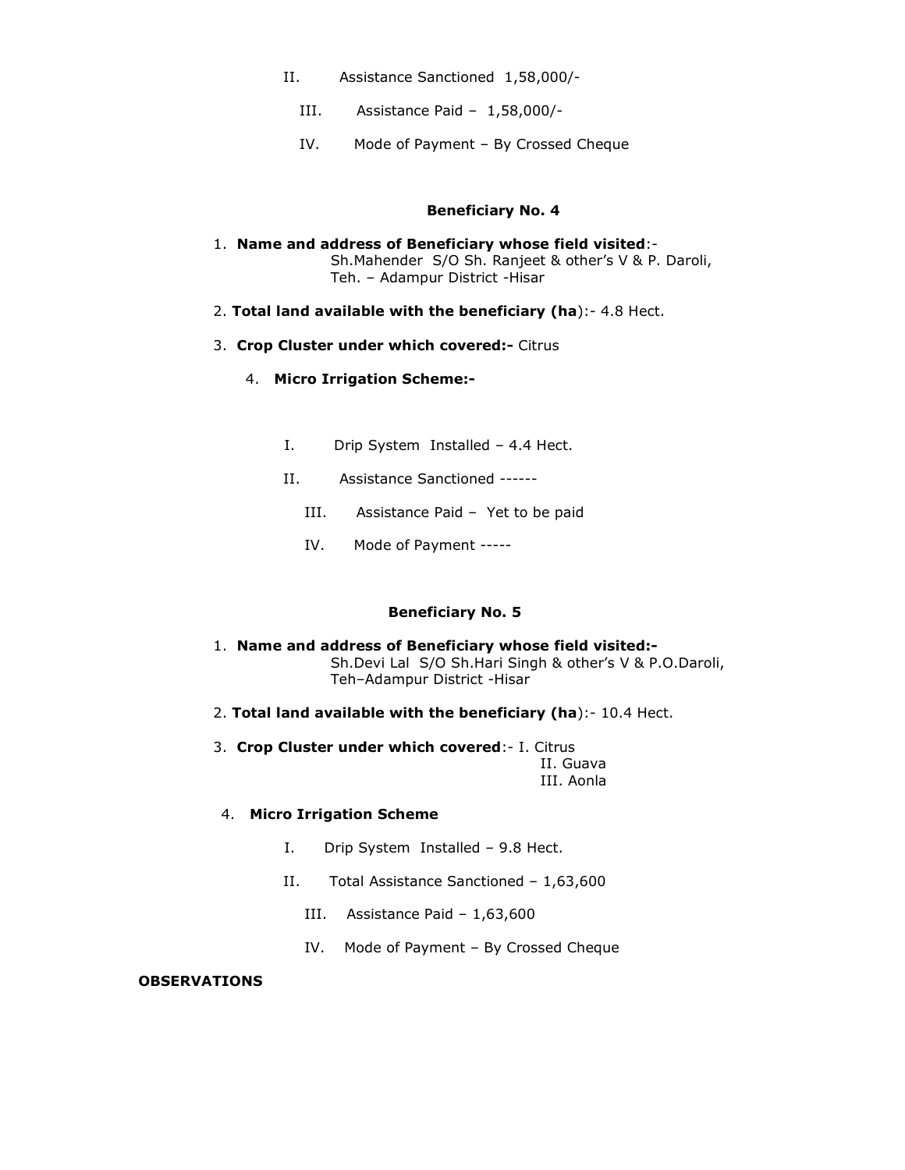- II. Assistance Sanctioned 1,58,000/-
	- III. Assistance Paid 1,58,000/-
	- IV. Mode of Payment By Crossed Cheque

### Beneficiary No. 4

- 1. Name and address of Beneficiary whose field visited:- Sh.Mahender S/O Sh. Ranjeet & other's V & P. Daroli, Teh. – Adampur District -Hisar
- 2. Total land available with the beneficiary (ha):- 4.8 Hect.
- 3. Crop Cluster under which covered:- Citrus
	- 4. Micro Irrigation Scheme:-
		- I. Drip System Installed 4.4 Hect.
		- II. Assistance Sanctioned ------
			- III. Assistance Paid Yet to be paid
			- IV. Mode of Payment -----

### Beneficiary No. 5

- 1. Name and address of Beneficiary whose field visited:- Sh.Devi Lal S/O Sh.Hari Singh & other's V & P.O.Daroli, Teh–Adampur District -Hisar
- 2. Total land available with the beneficiary (ha):- 10.4 Hect.
- 3. Crop Cluster under which covered:- I. Citrus II. Guava III. Aonla

### 4. Micro Irrigation Scheme

- I. Drip System Installed 9.8 Hect.
- II. Total Assistance Sanctioned 1,63,600
	- III. Assistance Paid 1,63,600
	- IV. Mode of Payment By Crossed Cheque

### OBSERVATIONS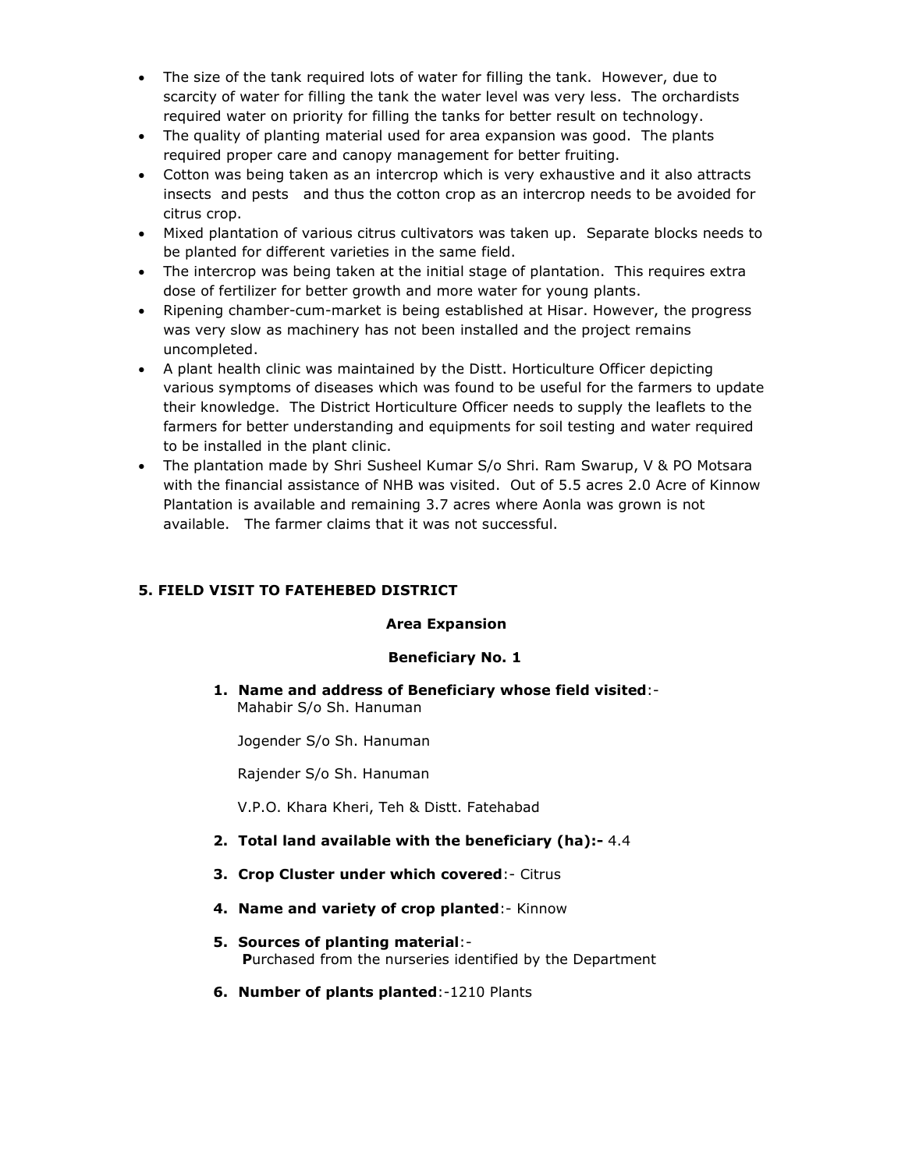- The size of the tank required lots of water for filling the tank. However, due to scarcity of water for filling the tank the water level was very less. The orchardists required water on priority for filling the tanks for better result on technology.
- The quality of planting material used for area expansion was good. The plants required proper care and canopy management for better fruiting.
- Cotton was being taken as an intercrop which is very exhaustive and it also attracts insects and pests and thus the cotton crop as an intercrop needs to be avoided for citrus crop.
- Mixed plantation of various citrus cultivators was taken up. Separate blocks needs to be planted for different varieties in the same field.
- The intercrop was being taken at the initial stage of plantation. This requires extra dose of fertilizer for better growth and more water for young plants.
- Ripening chamber-cum-market is being established at Hisar. However, the progress was very slow as machinery has not been installed and the project remains uncompleted.
- A plant health clinic was maintained by the Distt. Horticulture Officer depicting various symptoms of diseases which was found to be useful for the farmers to update their knowledge. The District Horticulture Officer needs to supply the leaflets to the farmers for better understanding and equipments for soil testing and water required to be installed in the plant clinic.
- The plantation made by Shri Susheel Kumar S/o Shri. Ram Swarup, V & PO Motsara with the financial assistance of NHB was visited. Out of 5.5 acres 2.0 Acre of Kinnow Plantation is available and remaining 3.7 acres where Aonla was grown is not available. The farmer claims that it was not successful.

# 5. FIELD VISIT TO FATEHEBED DISTRICT

## Area Expansion

## Beneficiary No. 1

1. Name and address of Beneficiary whose field visited:- Mahabir S/o Sh. Hanuman

Jogender S/o Sh. Hanuman

Rajender S/o Sh. Hanuman

V.P.O. Khara Kheri, Teh & Distt. Fatehabad

- 2. Total land available with the beneficiary (ha):- 4.4
- 3. Crop Cluster under which covered:- Citrus
- 4. Name and variety of crop planted: Kinnow
- 5. Sources of planting material:- Purchased from the nurseries identified by the Department
- 6. Number of plants planted:-1210 Plants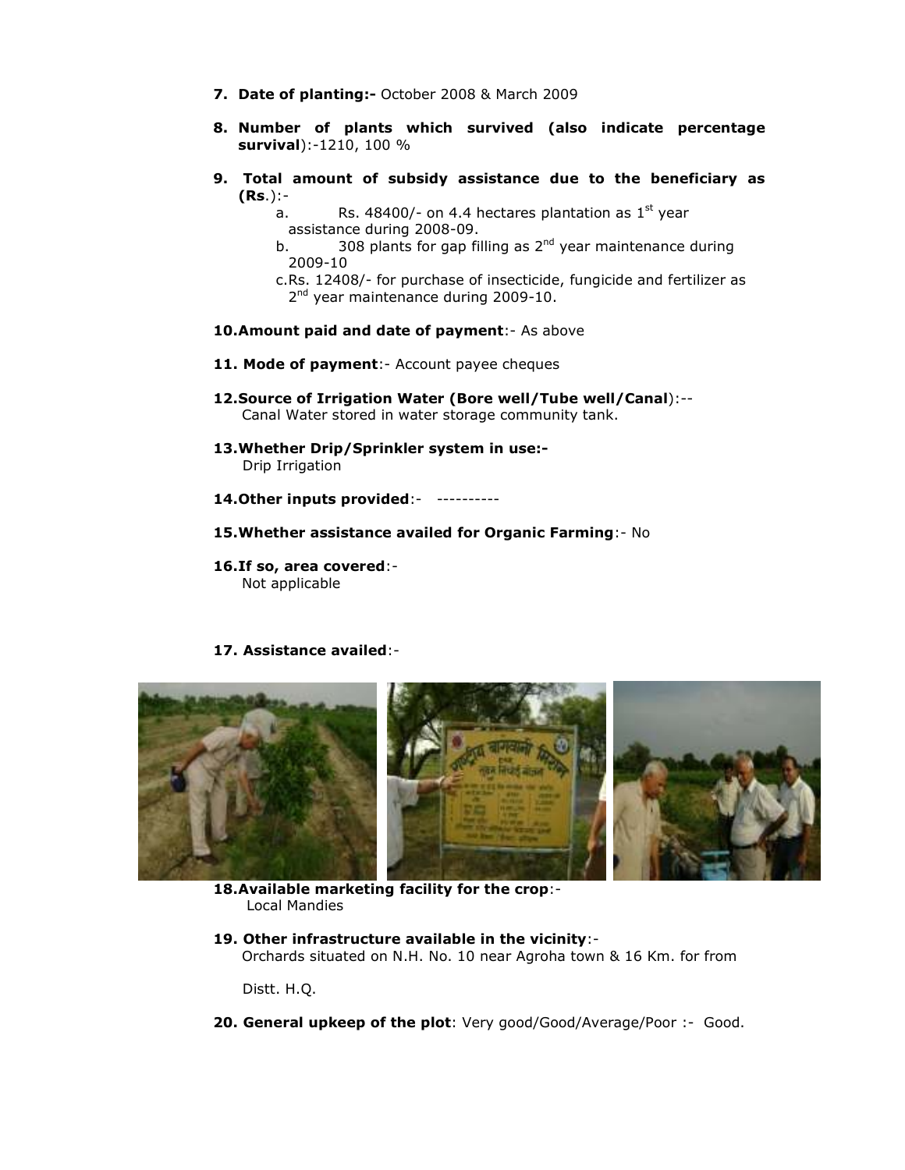- 7. Date of planting:- October 2008 & March 2009
- 8. Number of plants which survived (also indicate percentage survival):-1210, 100 %
- 9. Total amount of subsidy assistance due to the beneficiary as (Rs.):
	- a. Rs. 48400/- on 4.4 hectares plantation as  $1^{st}$  year assistance during 2008-09.
	- b.  $308$  plants for gap filling as  $2<sup>nd</sup>$  year maintenance during 2009-10
	- c.Rs. 12408/- for purchase of insecticide, fungicide and fertilizer as 2<sup>nd</sup> year maintenance during 2009-10.
- 10. Amount paid and date of payment: As above
- 11. Mode of payment: Account payee cheques
- 12.Source of Irrigation Water (Bore well/Tube well/Canal):-- Canal Water stored in water storage community tank.
- 13.Whether Drip/Sprinkler system in use:- Drip Irrigation
- 14.Other inputs provided:- ----------
- 15. Whether assistance availed for Organic Farming: No

16.If so, area covered:- Not applicable

## 17. Assistance availed:-



18.Available marketing facility for the crop:- Local Mandies

19. Other infrastructure available in the vicinity:- Orchards situated on N.H. No. 10 near Agroha town & 16 Km. for from

Distt. H.Q.

20. General upkeep of the plot: Very good/Good/Average/Poor :- Good.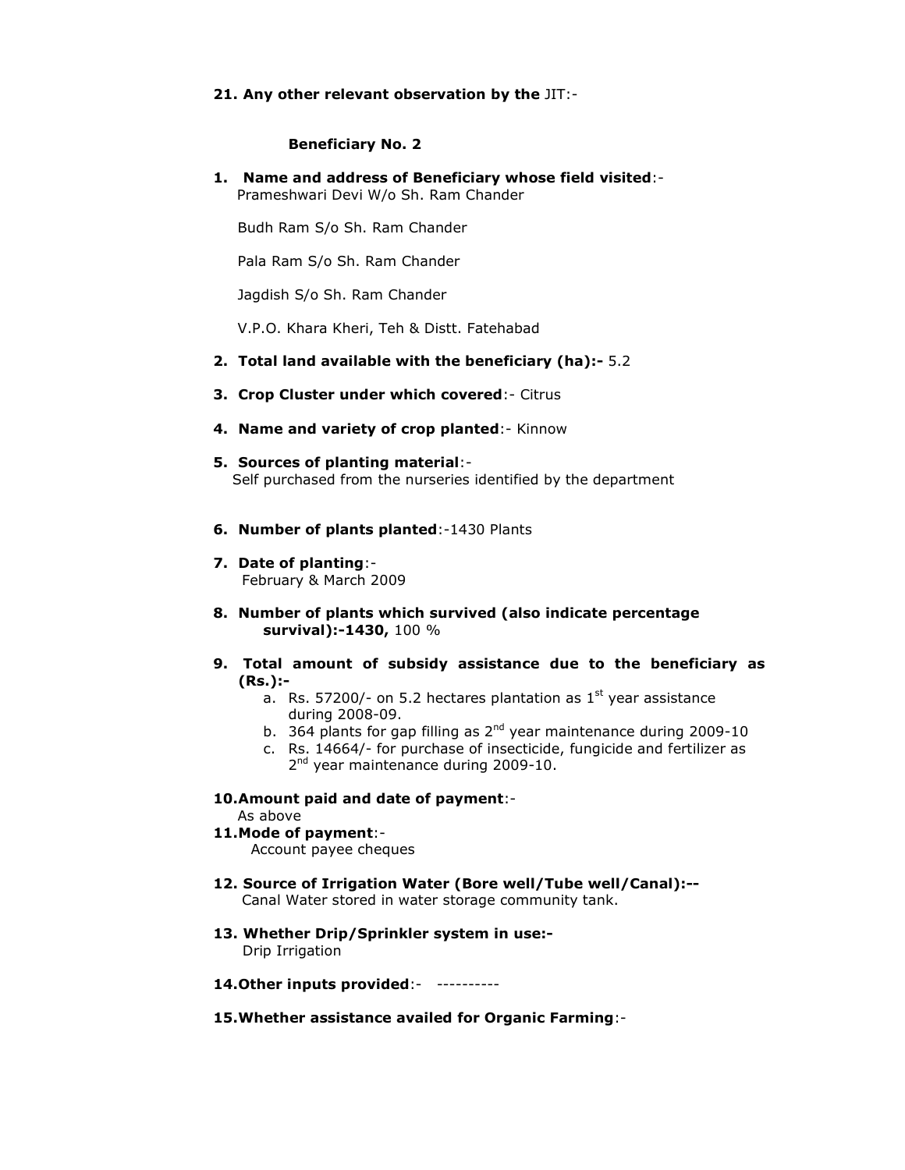## 21. Any other relevant observation by the JIT:-

### Beneficiary No. 2

1. Name and address of Beneficiary whose field visited:-

Prameshwari Devi W/o Sh. Ram Chander

Budh Ram S/o Sh. Ram Chander

Pala Ram S/o Sh. Ram Chander

Jagdish S/o Sh. Ram Chander

V.P.O. Khara Kheri, Teh & Distt. Fatehabad

## 2. Total land available with the beneficiary (ha):- 5.2

- 3. Crop Cluster under which covered:- Citrus
- 4. Name and variety of crop planted: Kinnow
- 5. Sources of planting material:- Self purchased from the nurseries identified by the department
- 6. Number of plants planted:-1430 Plants
- 7. Date of planting:- February & March 2009
- 8. Number of plants which survived (also indicate percentage survival):-1430, 100 %
- 9. Total amount of subsidy assistance due to the beneficiary as (Rs.):
	- a. Rs. 57200/- on 5.2 hectares plantation as  $1<sup>st</sup>$  year assistance during 2008-09.
	- b. 364 plants for gap filling as  $2^{nd}$  year maintenance during 2009-10
	- c. Rs. 14664/- for purchase of insecticide, fungicide and fertilizer as 2<sup>nd</sup> year maintenance during 2009-10.

## 10.Amount paid and date of payment:-

As above

## 11.Mode of payment:-

Account payee cheques

- 12. Source of Irrigation Water (Bore well/Tube well/Canal):-- Canal Water stored in water storage community tank.
- 13. Whether Drip/Sprinkler system in use:- Drip Irrigation
- 14.Other inputs provided:- ----------

## 15.Whether assistance availed for Organic Farming:-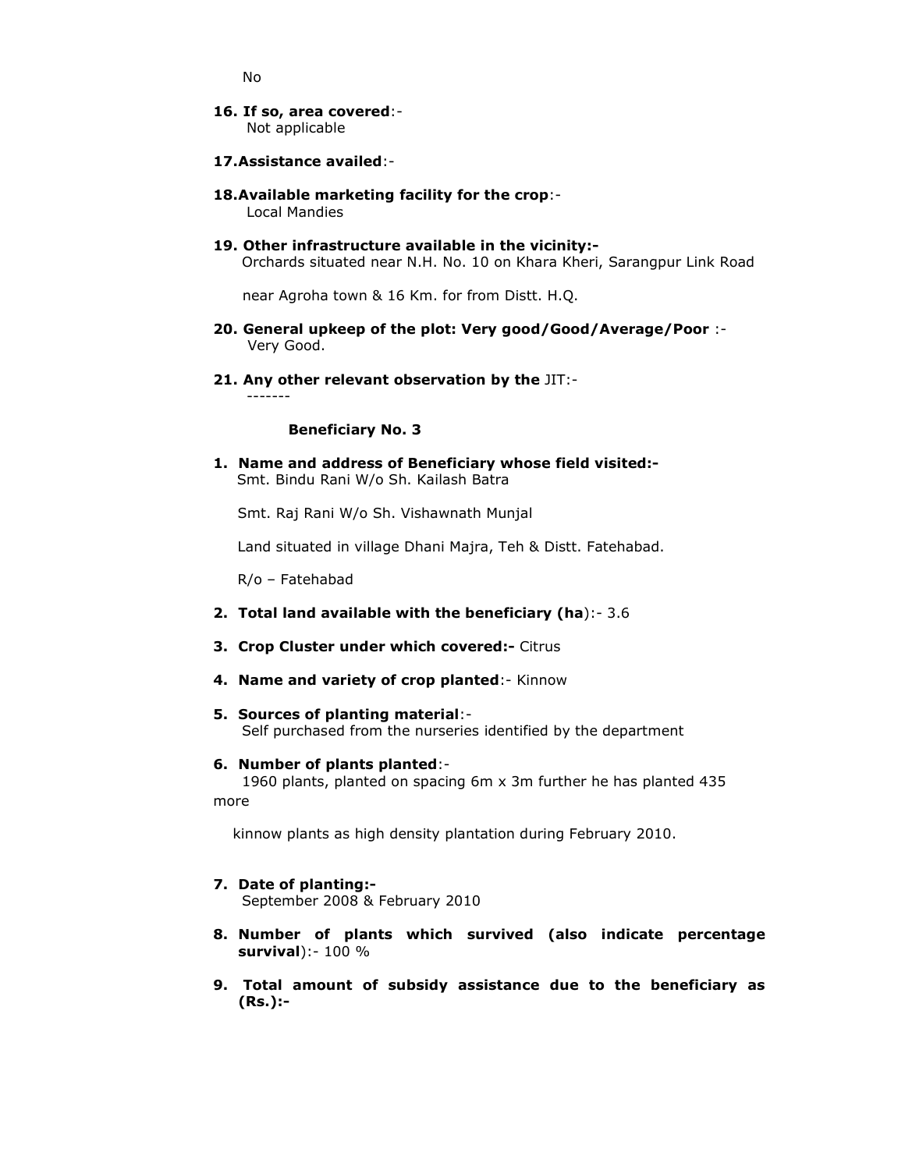No

# 16. If so, area covered:-

Not applicable

## 17.Assistance availed:-

- 18.Available marketing facility for the crop:- Local Mandies
- 19. Other infrastructure available in the vicinity:- Orchards situated near N.H. No. 10 on Khara Kheri, Sarangpur Link Road

near Agroha town & 16 Km. for from Distt. H.Q.

- 20. General upkeep of the plot: Very good/Good/Average/Poor :- Very Good.
- 21. Any other relevant observation by the JIT:-

-------

## Beneficiary No. 3

1. Name and address of Beneficiary whose field visited:- Smt. Bindu Rani W/o Sh. Kailash Batra

Smt. Raj Rani W/o Sh. Vishawnath Munjal

Land situated in village Dhani Majra, Teh & Distt. Fatehabad.

R/o – Fatehabad

- 2. Total land available with the beneficiary (ha):- 3.6
- 3. Crop Cluster under which covered:- Citrus
- 4. Name and variety of crop planted: Kinnow

## 5. Sources of planting material:-

Self purchased from the nurseries identified by the department

## 6. Number of plants planted:-

 1960 plants, planted on spacing 6m x 3m further he has planted 435 more

kinnow plants as high density plantation during February 2010.

## 7. Date of planting:-

September 2008 & February 2010

- 8. Number of plants which survived (also indicate percentage survival):- 100 %
- 9. Total amount of subsidy assistance due to the beneficiary as (Rs.):-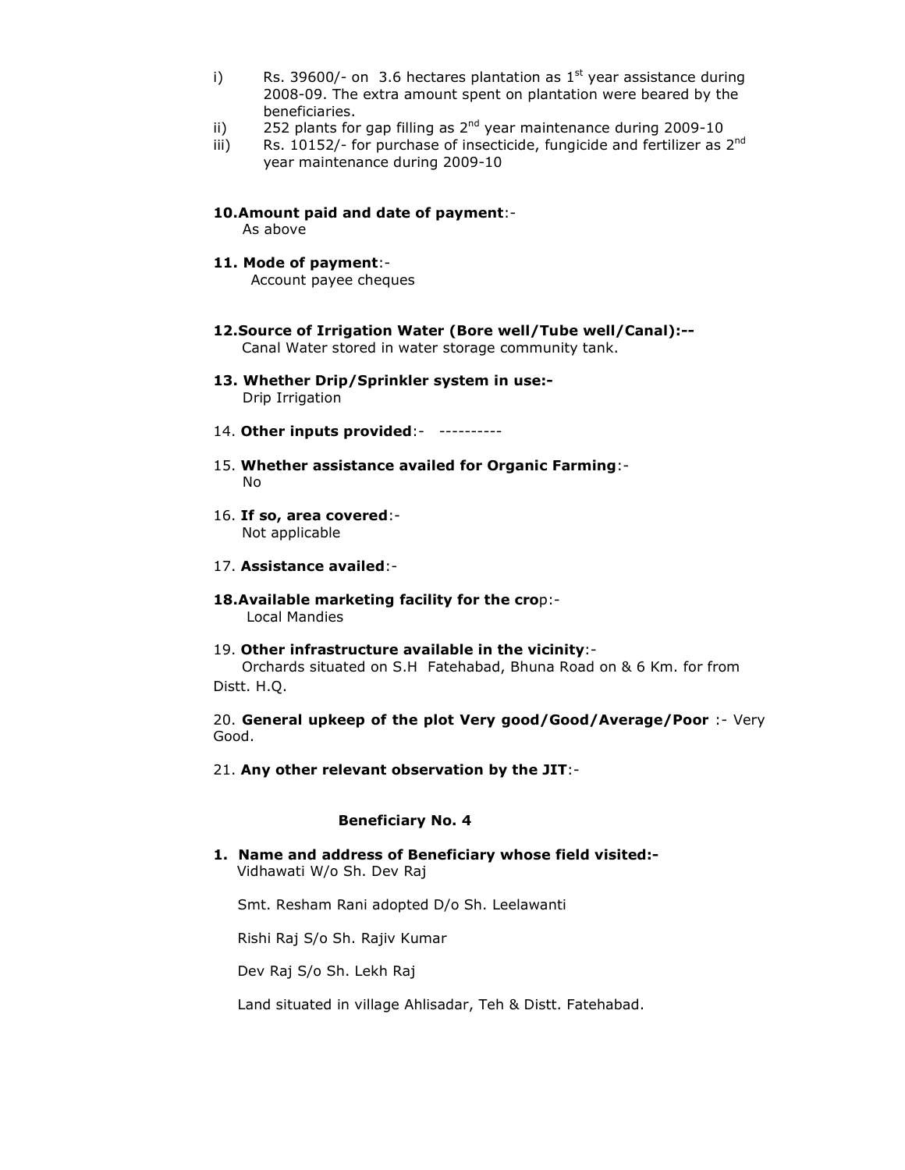- i) Rs. 39600/- on 3.6 hectares plantation as  $1<sup>st</sup>$  year assistance during 2008-09. The extra amount spent on plantation were beared by the beneficiaries.
- ii) 252 plants for gap filling as  $2^{nd}$  year maintenance during 2009-10
- iii) Rs. 10152/- for purchase of insecticide, fungicide and fertilizer as  $2^{nd}$ year maintenance during 2009-10

## 10.Amount paid and date of payment:-

As above

### 11. Mode of payment:- Account payee cheques

- 12.Source of Irrigation Water (Bore well/Tube well/Canal):-- Canal Water stored in water storage community tank.
- 13. Whether Drip/Sprinkler system in use:- Drip Irrigation
- 14. Other inputs provided:- ----------
- 15. Whether assistance availed for Organic Farming:- No
- 16. If so, area covered:- Not applicable
- 17. Assistance availed:-
- 18.Available marketing facility for the crop:- Local Mandies

# 19. Other infrastructure available in the vicinity:-

 Orchards situated on S.H Fatehabad, Bhuna Road on & 6 Km. for from Distt. H.Q.

## 20. General upkeep of the plot Very good/Good/Average/Poor :- Very Good.

21. Any other relevant observation by the JIT:-

## Beneficiary No. 4

1. Name and address of Beneficiary whose field visited:- Vidhawati W/o Sh. Dev Raj

Smt. Resham Rani adopted D/o Sh. Leelawanti

Rishi Raj S/o Sh. Rajiv Kumar

Dev Raj S/o Sh. Lekh Raj

Land situated in village Ahlisadar, Teh & Distt. Fatehabad.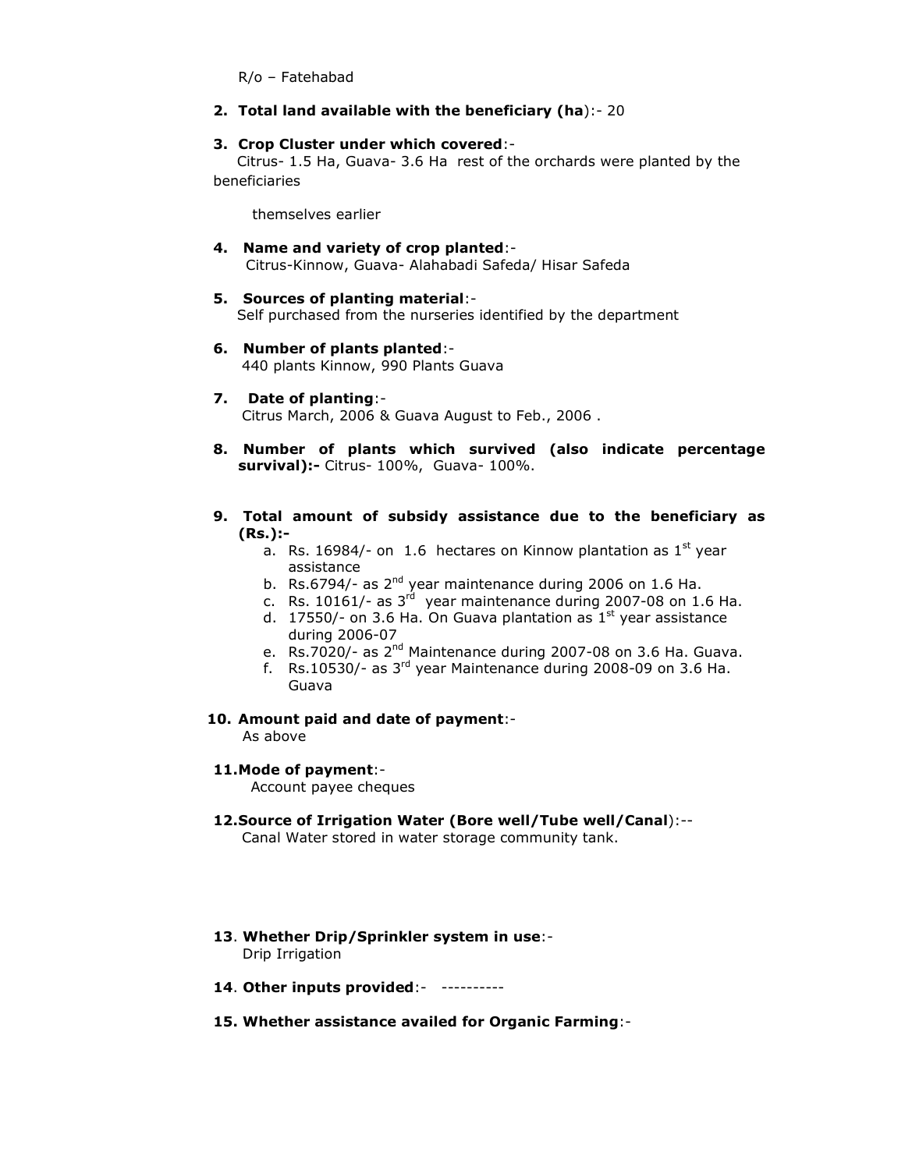R/o – Fatehabad

### 2. Total land available with the beneficiary (ha):- 20

### 3. Crop Cluster under which covered:-

 Citrus- 1.5 Ha, Guava- 3.6 Ha rest of the orchards were planted by the beneficiaries

themselves earlier

- 4. Name and variety of crop planted:- Citrus-Kinnow, Guava- Alahabadi Safeda/ Hisar Safeda
- 5. Sources of planting material:- Self purchased from the nurseries identified by the department
- 6. Number of plants planted:- 440 plants Kinnow, 990 Plants Guava
- 7. Date of planting:- Citrus March, 2006 & Guava August to Feb., 2006 .
- 8. Number of plants which survived (also indicate percentage survival):- Citrus- 100%, Guava- 100%.
- 9. Total amount of subsidy assistance due to the beneficiary as (Rs.):
	- a. Rs. 16984/- on 1.6 hectares on Kinnow plantation as  $1<sup>st</sup>$  year assistance
	- b. Rs.6794/- as  $2^{nd}$  year maintenance during 2006 on 1.6 Ha.
	- c. Rs.  $10161/-$  as  $2^{\text{rd}}$  year maintenance during 2007-08 on 1.6 Ha.
	- d. 17550/- on 3.6 Ha. On Guava plantation as  $1^{st}$  year assistance during 2006-07
	- e. Rs.7020/- as 2<sup>nd</sup> Maintenance during 2007-08 on 3.6 Ha. Guava.
	- f. Rs.10530/- as  $3<sup>rd</sup>$  year Maintenance during 2008-09 on 3.6 Ha. Guava

### 10. Amount paid and date of payment:-

As above

## 11.Mode of payment:-

Account payee cheques

# 12.Source of Irrigation Water (Bore well/Tube well/Canal):--

Canal Water stored in water storage community tank.

13. Whether Drip/Sprinkler system in use:- Drip Irrigation

## 14. Other inputs provided:- ----------

15. Whether assistance availed for Organic Farming:-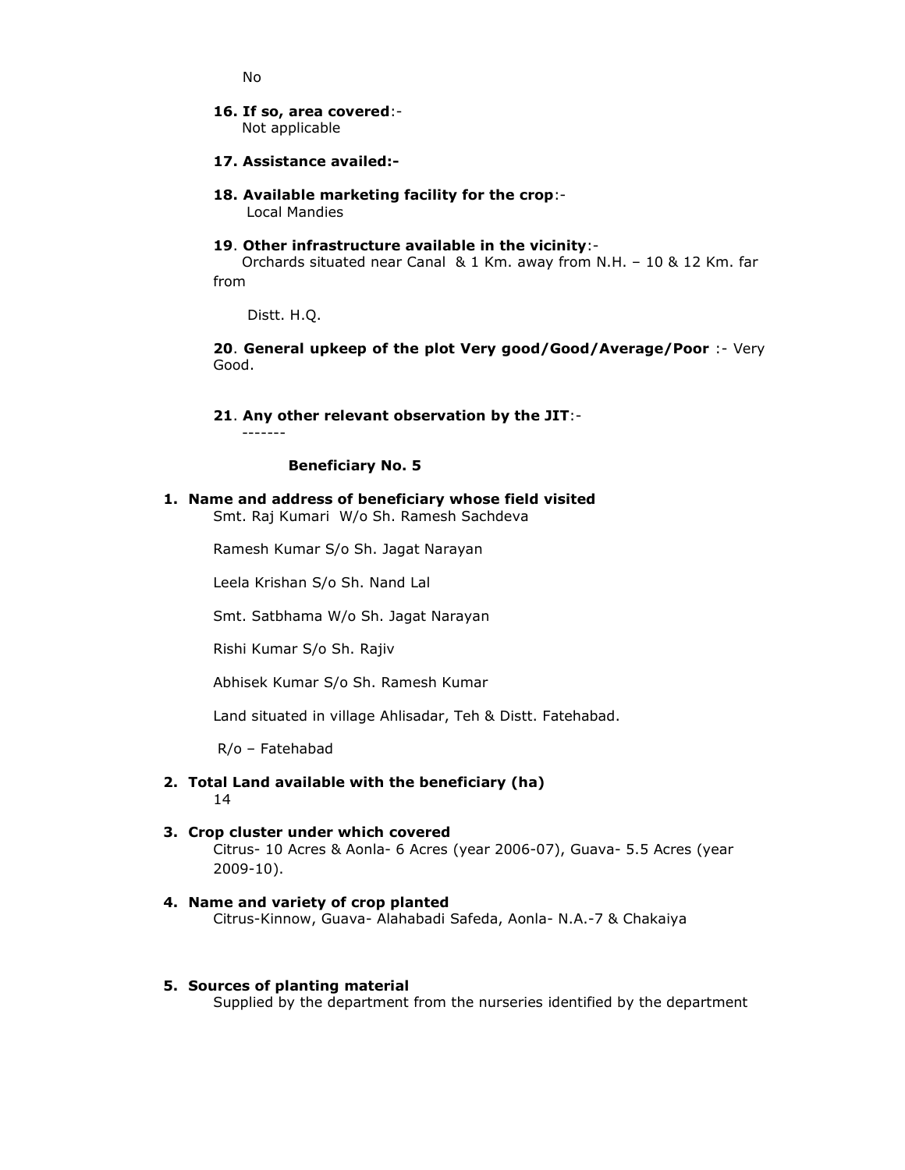No

## 16. If so, area covered:-

Not applicable

## 17. Assistance availed:-

18. Available marketing facility for the crop:- Local Mandies

### 19. Other infrastructure available in the vicinity:-

 Orchards situated near Canal & 1 Km. away from N.H. – 10 & 12 Km. far from

Distt. H.Q.

20. General upkeep of the plot Very good/Good/Average/Poor :- Very Good.

21. Any other relevant observation by the JIT:-

-------

### Beneficiary No. 5

1. Name and address of beneficiary whose field visited Smt. Raj Kumari W/o Sh. Ramesh Sachdeva

Ramesh Kumar S/o Sh. Jagat Narayan

Leela Krishan S/o Sh. Nand Lal

Smt. Satbhama W/o Sh. Jagat Narayan

Rishi Kumar S/o Sh. Rajiv

Abhisek Kumar S/o Sh. Ramesh Kumar

Land situated in village Ahlisadar, Teh & Distt. Fatehabad.

R/o – Fatehabad

### 2. Total Land available with the beneficiary (ha) 14

- 3. Crop cluster under which covered Citrus- 10 Acres & Aonla- 6 Acres (year 2006-07), Guava- 5.5 Acres (year 2009-10).
- 4. Name and variety of crop planted Citrus-Kinnow, Guava- Alahabadi Safeda, Aonla- N.A.-7 & Chakaiya

### 5. Sources of planting material

Supplied by the department from the nurseries identified by the department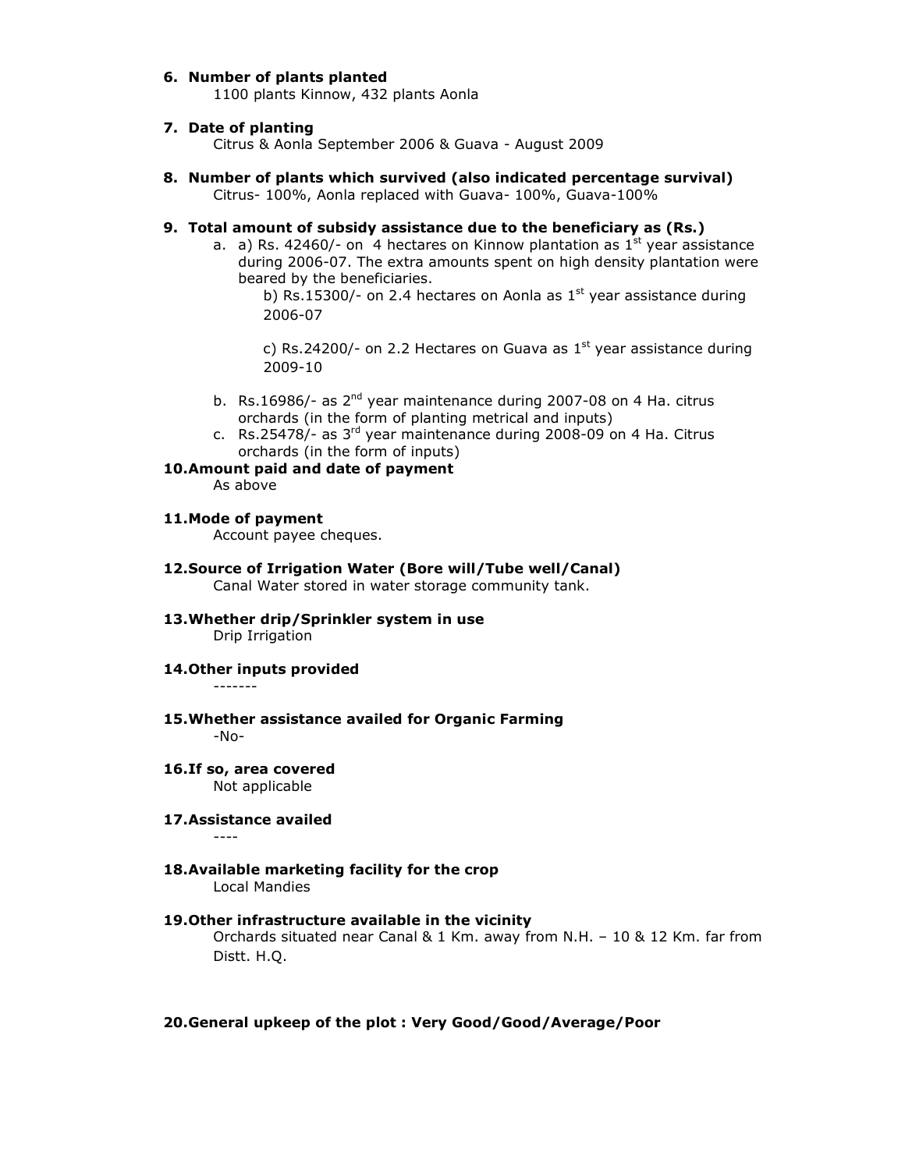## 6. Number of plants planted

1100 plants Kinnow, 432 plants Aonla

## 7. Date of planting

Citrus & Aonla September 2006 & Guava - August 2009

8. Number of plants which survived (also indicated percentage survival) Citrus- 100%, Aonla replaced with Guava- 100%, Guava-100%

## 9. Total amount of subsidy assistance due to the beneficiary as (Rs.)

a. a) Rs. 42460/- on 4 hectares on Kinnow plantation as  $1^{st}$  year assistance during 2006-07. The extra amounts spent on high density plantation were beared by the beneficiaries.

b) Rs.15300/- on 2.4 hectares on Aonla as  $1<sup>st</sup>$  year assistance during 2006-07

c) Rs.24200/- on 2.2 Hectares on Guava as  $1<sup>st</sup>$  year assistance during 2009-10

- b. Rs.16986/- as  $2^{nd}$  year maintenance during 2007-08 on 4 Ha. citrus orchards (in the form of planting metrical and inputs)
- c. Rs.25478/- as 3rd year maintenance during 2008-09 on 4 Ha. Citrus orchards (in the form of inputs)

# 10.Amount paid and date of payment

As above

11.Mode of payment

Account payee cheques.

- 12.Source of Irrigation Water (Bore will/Tube well/Canal) Canal Water stored in water storage community tank.
- 13.Whether drip/Sprinkler system in use Drip Irrigation
- 14.Other inputs provided

-------

- 15.Whether assistance availed for Organic Farming -No-
- 16.If so, area covered Not applicable
- 17.Assistance availed

----

18.Available marketing facility for the crop Local Mandies

## 19.Other infrastructure available in the vicinity

Orchards situated near Canal & 1 Km. away from N.H. – 10 & 12 Km. far from Distt. H.Q.

## 20.General upkeep of the plot : Very Good/Good/Average/Poor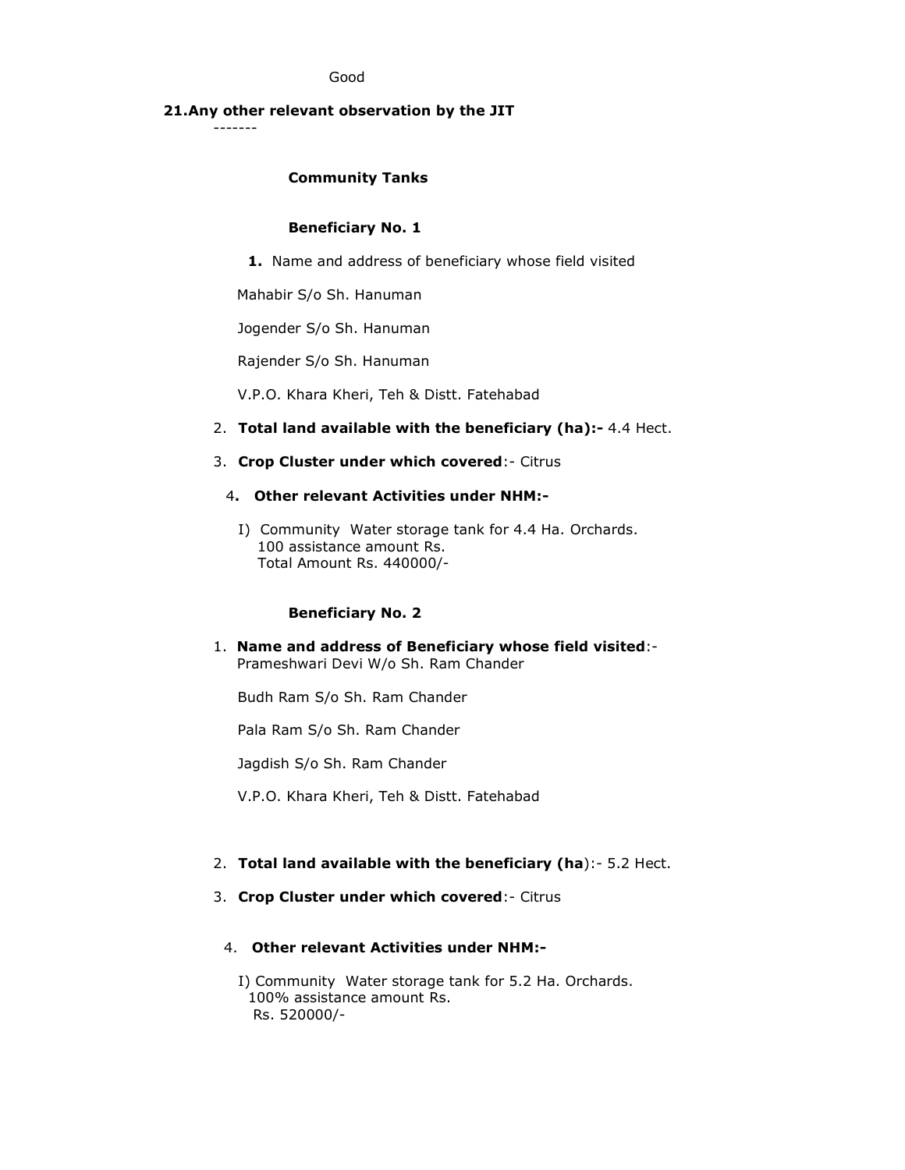### Good

### 21.Any other relevant observation by the JIT

-------

## Community Tanks

## Beneficiary No. 1

1. Name and address of beneficiary whose field visited

Mahabir S/o Sh. Hanuman

Jogender S/o Sh. Hanuman

Rajender S/o Sh. Hanuman

V.P.O. Khara Kheri, Teh & Distt. Fatehabad

- 2. Total land available with the beneficiary (ha):- 4.4 Hect.
- 3. Crop Cluster under which covered:- Citrus

### 4. Other relevant Activities under NHM:-

I) Community Water storage tank for 4.4 Ha. Orchards. 100 assistance amount Rs. Total Amount Rs. 440000/-

## Beneficiary No. 2

1. Name and address of Beneficiary whose field visited:- Prameshwari Devi W/o Sh. Ram Chander

Budh Ram S/o Sh. Ram Chander

Pala Ram S/o Sh. Ram Chander

Jagdish S/o Sh. Ram Chander

V.P.O. Khara Kheri, Teh & Distt. Fatehabad

## 2. Total land available with the beneficiary (ha):- 5.2 Hect.

3. Crop Cluster under which covered:- Citrus

### 4. Other relevant Activities under NHM:-

I) Community Water storage tank for 5.2 Ha. Orchards. 100% assistance amount Rs. Rs. 520000/-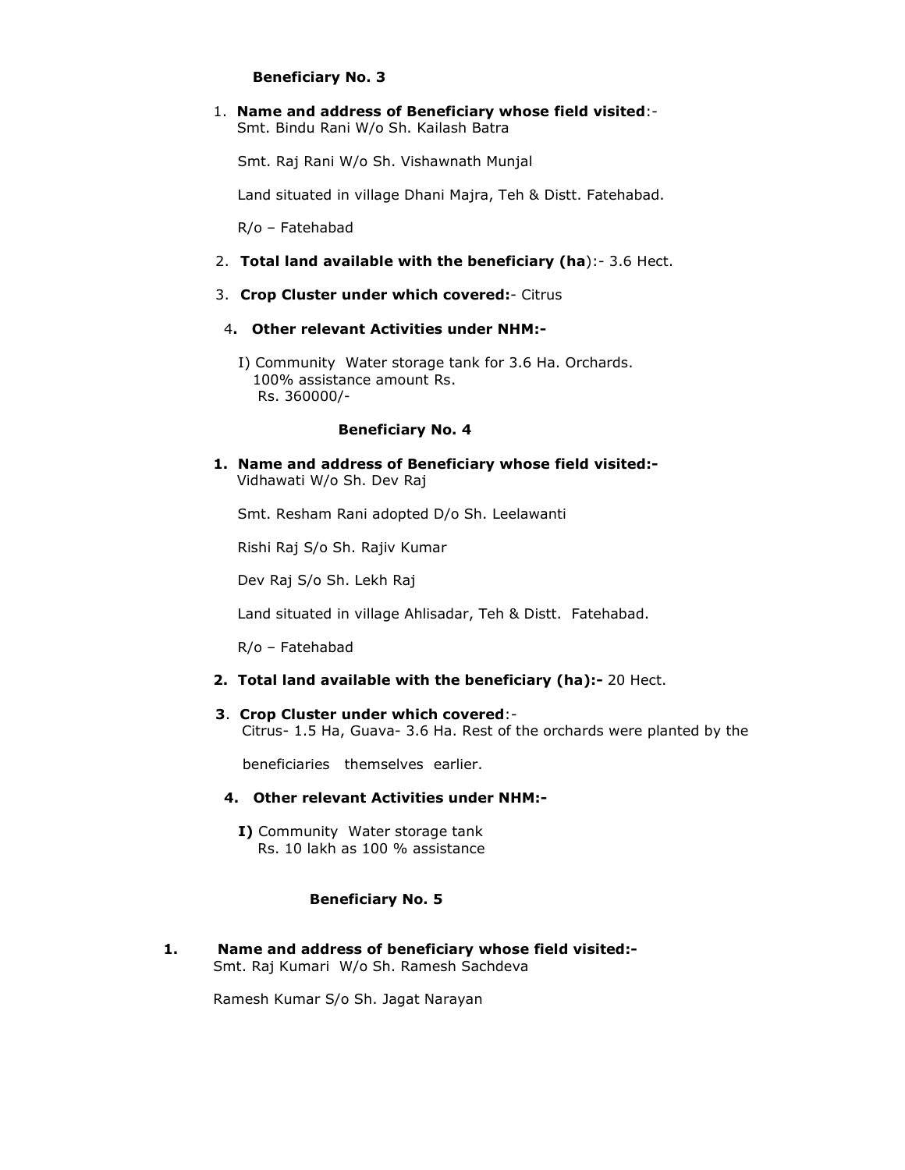## Beneficiary No. 3

1. Name and address of Beneficiary whose field visited:- Smt. Bindu Rani W/o Sh. Kailash Batra

Smt. Raj Rani W/o Sh. Vishawnath Munjal

Land situated in village Dhani Majra, Teh & Distt. Fatehabad.

R/o – Fatehabad

- 2. Total land available with the beneficiary (ha):- 3.6 Hect.
- 3. Crop Cluster under which covered:- Citrus
- 4. Other relevant Activities under NHM:-
	- I) Community Water storage tank for 3.6 Ha. Orchards. 100% assistance amount Rs. Rs. 360000/-

## Beneficiary No. 4

1. Name and address of Beneficiary whose field visited:- Vidhawati W/o Sh. Dev Raj

Smt. Resham Rani adopted D/o Sh. Leelawanti

Rishi Raj S/o Sh. Rajiv Kumar

Dev Raj S/o Sh. Lekh Raj

Land situated in village Ahlisadar, Teh & Distt. Fatehabad.

R/o – Fatehabad

- 2. Total land available with the beneficiary (ha):- 20 Hect.
- 3. Crop Cluster under which covered:-

Citrus- 1.5 Ha, Guava- 3.6 Ha. Rest of the orchards were planted by the

beneficiaries themselves earlier.

## 4. Other relevant Activities under NHM:-

I) Community Water storage tank Rs. 10 lakh as 100 % assistance

## Beneficiary No. 5

1. Name and address of beneficiary whose field visited:- Smt. Raj Kumari W/o Sh. Ramesh Sachdeva

Ramesh Kumar S/o Sh. Jagat Narayan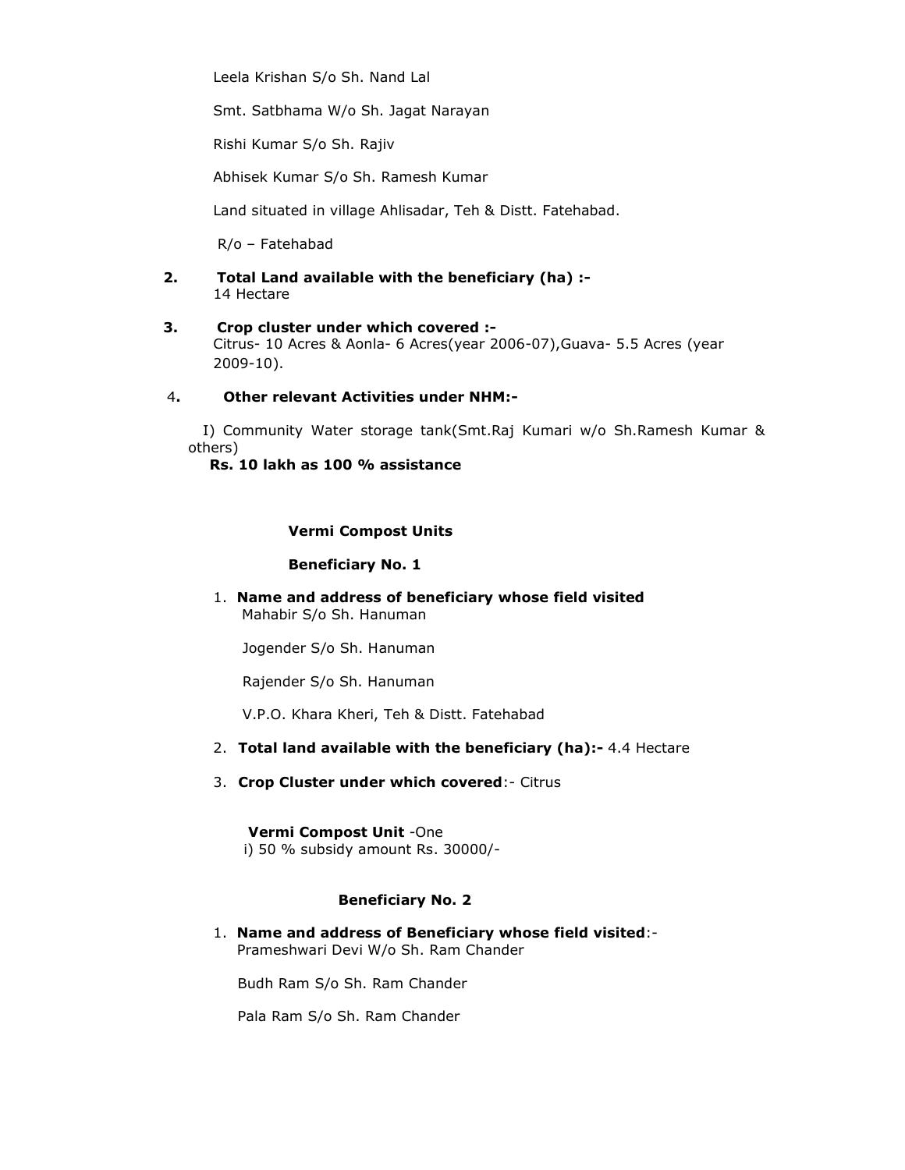Leela Krishan S/o Sh. Nand Lal

Smt. Satbhama W/o Sh. Jagat Narayan

Rishi Kumar S/o Sh. Rajiv

Abhisek Kumar S/o Sh. Ramesh Kumar

Land situated in village Ahlisadar, Teh & Distt. Fatehabad.

R/o – Fatehabad

## 2. Total Land available with the beneficiary (ha) :- 14 Hectare

3. Crop cluster under which covered :- Citrus- 10 Acres & Aonla- 6 Acres(year 2006-07),Guava- 5.5 Acres (year 2009-10).

## 4. Other relevant Activities under NHM:-

 I) Community Water storage tank(Smt.Raj Kumari w/o Sh.Ramesh Kumar & others)

Rs. 10 lakh as 100 % assistance

## Vermi Compost Units

## Beneficiary No. 1

1. Name and address of beneficiary whose field visited Mahabir S/o Sh. Hanuman

Jogender S/o Sh. Hanuman

Rajender S/o Sh. Hanuman

V.P.O. Khara Kheri, Teh & Distt. Fatehabad

- 2. Total land available with the beneficiary (ha):- 4.4 Hectare
- 3. Crop Cluster under which covered:- Citrus

 Vermi Compost Unit -One i) 50 % subsidy amount Rs. 30000/-

## Beneficiary No. 2

1. Name and address of Beneficiary whose field visited:- Prameshwari Devi W/o Sh. Ram Chander

Budh Ram S/o Sh. Ram Chander

Pala Ram S/o Sh. Ram Chander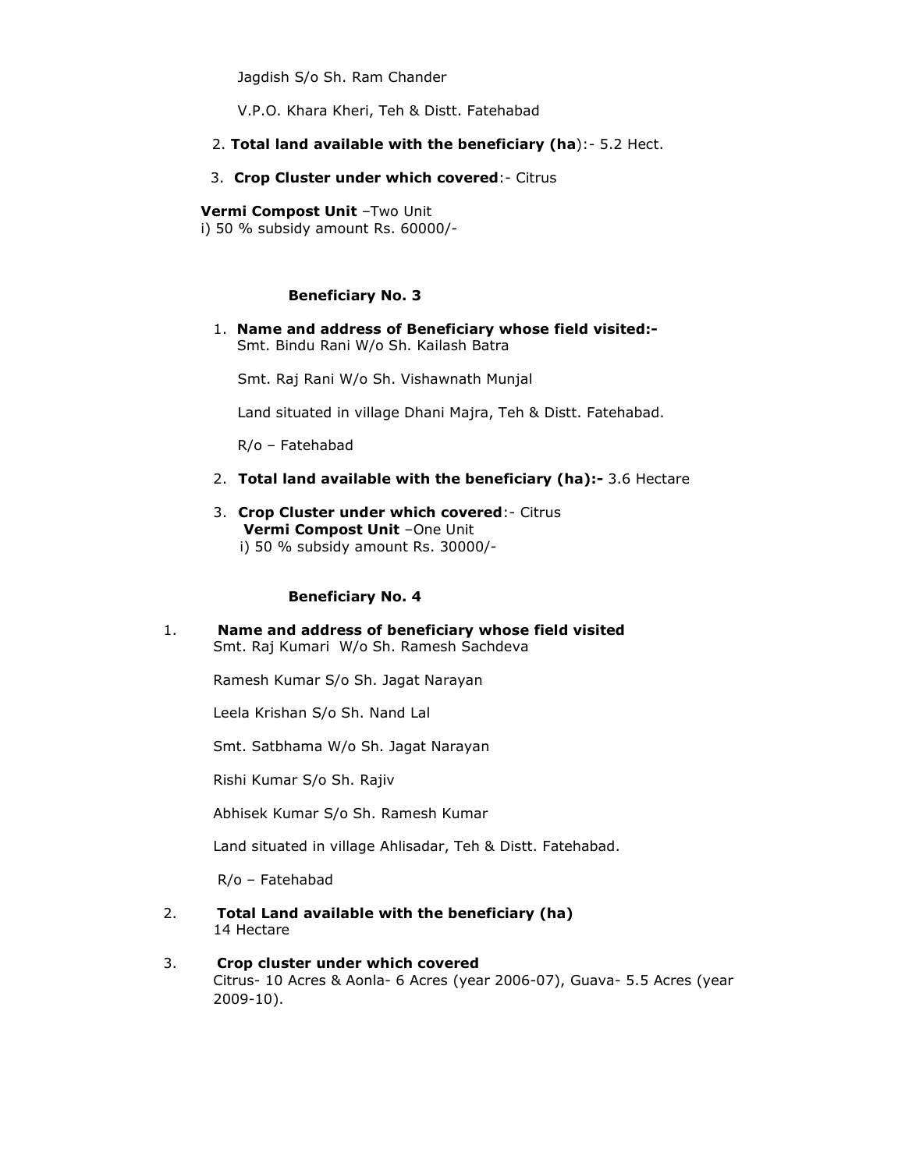Jagdish S/o Sh. Ram Chander

V.P.O. Khara Kheri, Teh & Distt. Fatehabad

2. Total land available with the beneficiary (ha):- 5.2 Hect.

### 3. Crop Cluster under which covered:- Citrus

Vermi Compost Unit –Two Unit

i) 50 % subsidy amount Rs. 60000/-

## Beneficiary No. 3

1. Name and address of Beneficiary whose field visited:- Smt. Bindu Rani W/o Sh. Kailash Batra

Smt. Raj Rani W/o Sh. Vishawnath Munjal

Land situated in village Dhani Majra, Teh & Distt. Fatehabad.

R/o – Fatehabad

- 2. Total land available with the beneficiary (ha):- 3.6 Hectare
- 3. Crop Cluster under which covered:- Citrus Vermi Compost Unit –One Unit i) 50 % subsidy amount Rs. 30000/-

## Beneficiary No. 4

1. Name and address of beneficiary whose field visited Smt. Raj Kumari W/o Sh. Ramesh Sachdeva

Ramesh Kumar S/o Sh. Jagat Narayan

Leela Krishan S/o Sh. Nand Lal

Smt. Satbhama W/o Sh. Jagat Narayan

Rishi Kumar S/o Sh. Rajiv

Abhisek Kumar S/o Sh. Ramesh Kumar

Land situated in village Ahlisadar, Teh & Distt. Fatehabad.

R/o – Fatehabad

- 2. Total Land available with the beneficiary (ha) 14 Hectare
- 3. Crop cluster under which covered Citrus- 10 Acres & Aonla- 6 Acres (year 2006-07), Guava- 5.5 Acres (year 2009-10).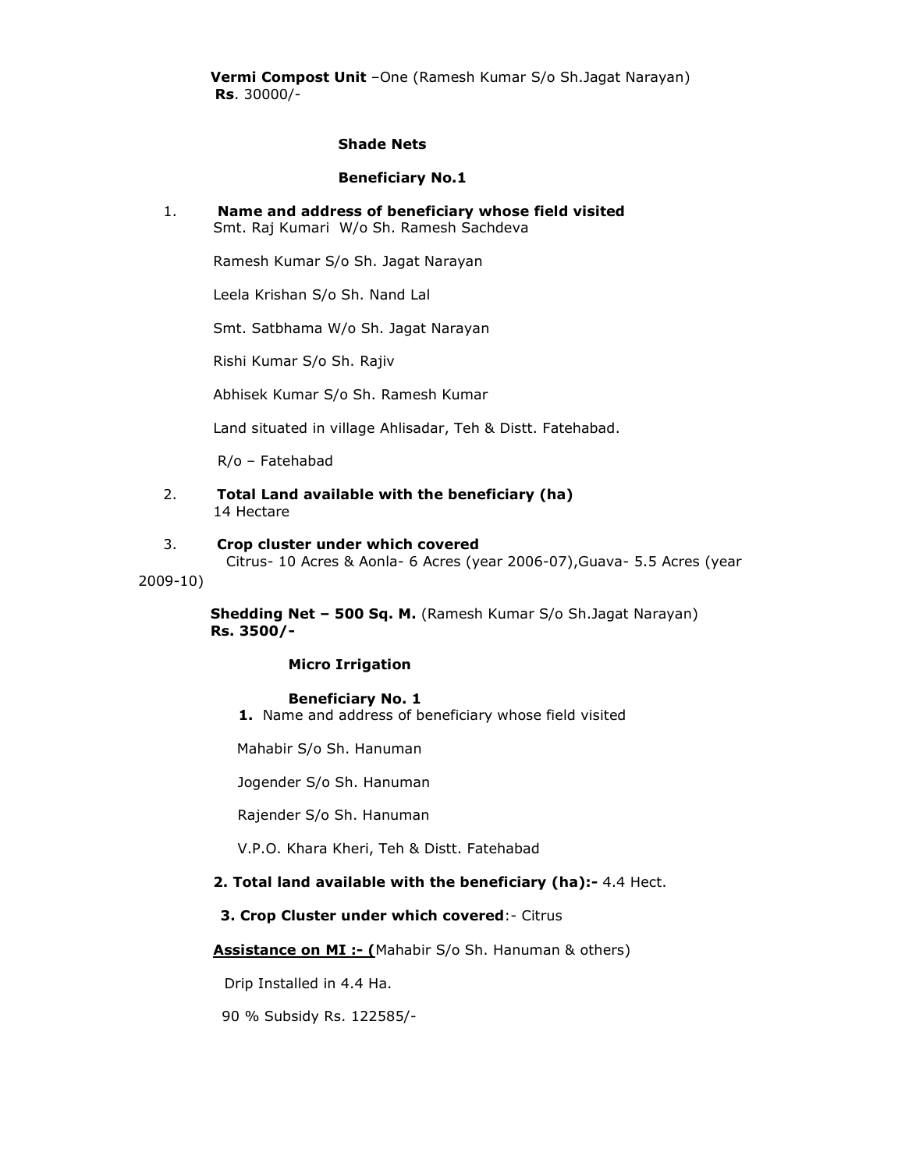Vermi Compost Unit –One (Ramesh Kumar S/o Sh.Jagat Narayan) Rs. 30000/-

## Shade Nets

### Beneficiary No.1

1. Name and address of beneficiary whose field visited Smt. Raj Kumari W/o Sh. Ramesh Sachdeva

Ramesh Kumar S/o Sh. Jagat Narayan

Leela Krishan S/o Sh. Nand Lal

Smt. Satbhama W/o Sh. Jagat Narayan

Rishi Kumar S/o Sh. Rajiv

Abhisek Kumar S/o Sh. Ramesh Kumar

Land situated in village Ahlisadar, Teh & Distt. Fatehabad.

R/o – Fatehabad

2. Total Land available with the beneficiary (ha) 14 Hectare

## 3. Crop cluster under which covered

Citrus- 10 Acres & Aonla- 6 Acres (year 2006-07),Guava- 5.5 Acres (year

2009-10)

Shedding Net - 500 Sq. M. (Ramesh Kumar S/o Sh.Jagat Narayan) Rs. 3500/-

## Micro Irrigation

Beneficiary No. 1

1. Name and address of beneficiary whose field visited

Mahabir S/o Sh. Hanuman

Jogender S/o Sh. Hanuman

Rajender S/o Sh. Hanuman

V.P.O. Khara Kheri, Teh & Distt. Fatehabad

## 2. Total land available with the beneficiary (ha):- 4.4 Hect.

## 3. Crop Cluster under which covered:- Citrus

Assistance on MI :- (Mahabir S/o Sh. Hanuman & others)

Drip Installed in 4.4 Ha.

90 % Subsidy Rs. 122585/-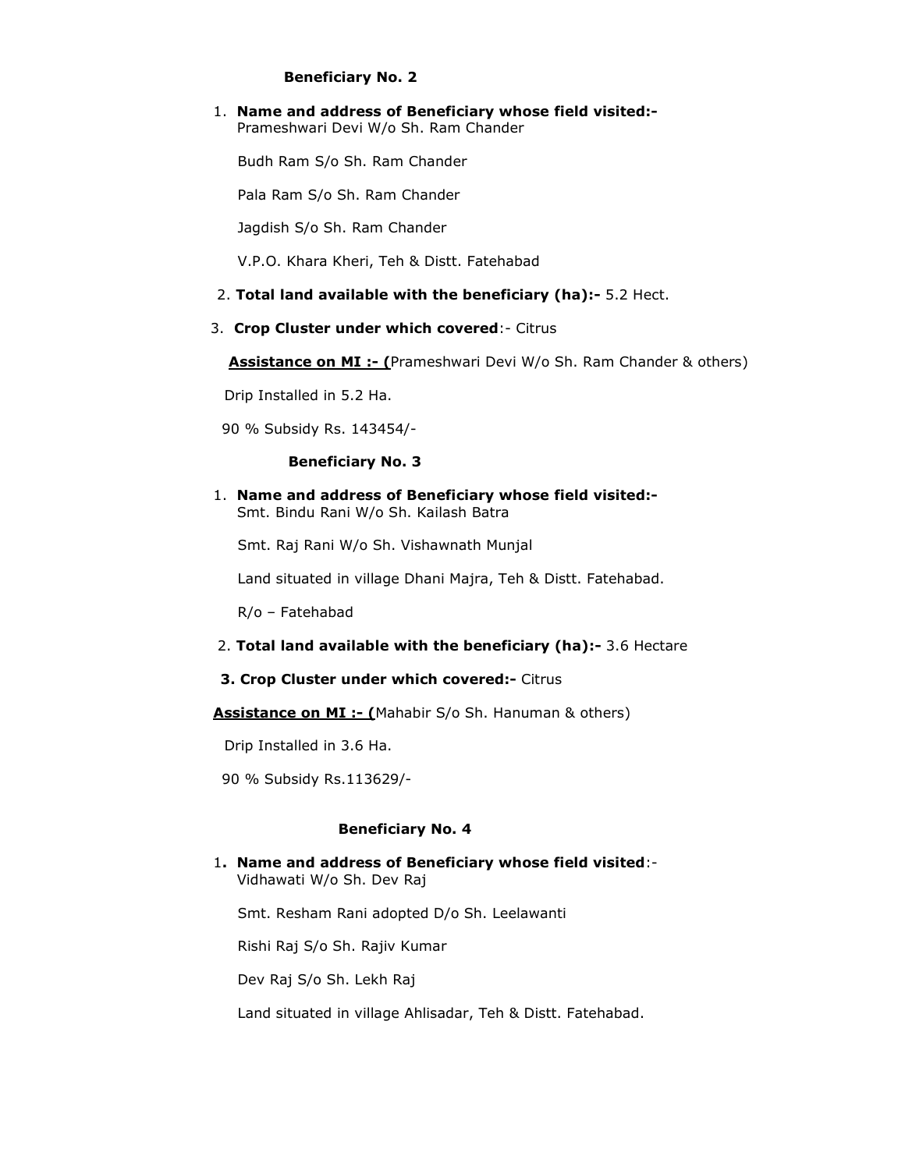## Beneficiary No. 2

1. Name and address of Beneficiary whose field visited:- Prameshwari Devi W/o Sh. Ram Chander

Budh Ram S/o Sh. Ram Chander

Pala Ram S/o Sh. Ram Chander

Jagdish S/o Sh. Ram Chander

V.P.O. Khara Kheri, Teh & Distt. Fatehabad

## 2. Total land available with the beneficiary (ha):- 5.2 Hect.

3. Crop Cluster under which covered:- Citrus

Assistance on MI :- (Prameshwari Devi W/o Sh. Ram Chander & others)

Drip Installed in 5.2 Ha.

90 % Subsidy Rs. 143454/-

## Beneficiary No. 3

1. Name and address of Beneficiary whose field visited:- Smt. Bindu Rani W/o Sh. Kailash Batra

Smt. Raj Rani W/o Sh. Vishawnath Munjal

Land situated in village Dhani Majra, Teh & Distt. Fatehabad.

R/o – Fatehabad

- 2. Total land available with the beneficiary (ha):- 3.6 Hectare
- 3. Crop Cluster under which covered:- Citrus

Assistance on MI :- (Mahabir S/o Sh. Hanuman & others)

Drip Installed in 3.6 Ha.

90 % Subsidy Rs.113629/-

## Beneficiary No. 4

1. Name and address of Beneficiary whose field visited:- Vidhawati W/o Sh. Dev Raj

Smt. Resham Rani adopted D/o Sh. Leelawanti

Rishi Raj S/o Sh. Rajiv Kumar

Dev Raj S/o Sh. Lekh Raj

Land situated in village Ahlisadar, Teh & Distt. Fatehabad.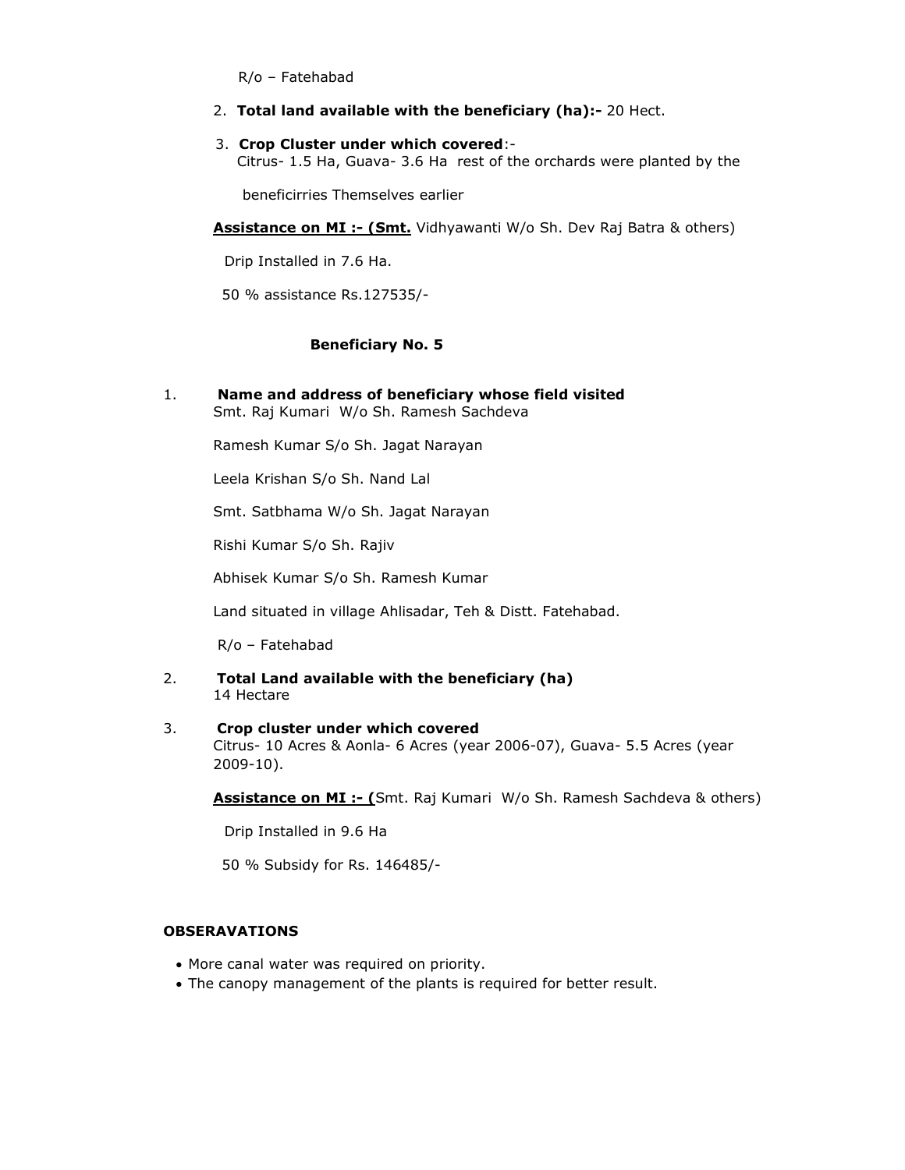R/o – Fatehabad

- 2. Total land available with the beneficiary (ha):- 20 Hect.
- 3. Crop Cluster under which covered:- Citrus- 1.5 Ha, Guava- 3.6 Ha rest of the orchards were planted by the

beneficirries Themselves earlier

Assistance on MI :- (Smt. Vidhyawanti W/o Sh. Dev Raj Batra & others)

Drip Installed in 7.6 Ha.

50 % assistance Rs.127535/-

#### Beneficiary No. 5

1. Name and address of beneficiary whose field visited

Smt. Raj Kumari W/o Sh. Ramesh Sachdeva

Ramesh Kumar S/o Sh. Jagat Narayan

Leela Krishan S/o Sh. Nand Lal

Smt. Satbhama W/o Sh. Jagat Narayan

Rishi Kumar S/o Sh. Rajiv

Abhisek Kumar S/o Sh. Ramesh Kumar

Land situated in village Ahlisadar, Teh & Distt. Fatehabad.

R/o – Fatehabad

- 2. Total Land available with the beneficiary (ha) 14 Hectare
- 3. Crop cluster under which covered Citrus- 10 Acres & Aonla- 6 Acres (year 2006-07), Guava- 5.5 Acres (year 2009-10).

Assistance on MI :- (Smt. Raj Kumari W/o Sh. Ramesh Sachdeva & others)

Drip Installed in 9.6 Ha

50 % Subsidy for Rs. 146485/-

## OBSERAVATIONS

- More canal water was required on priority.
- The canopy management of the plants is required for better result.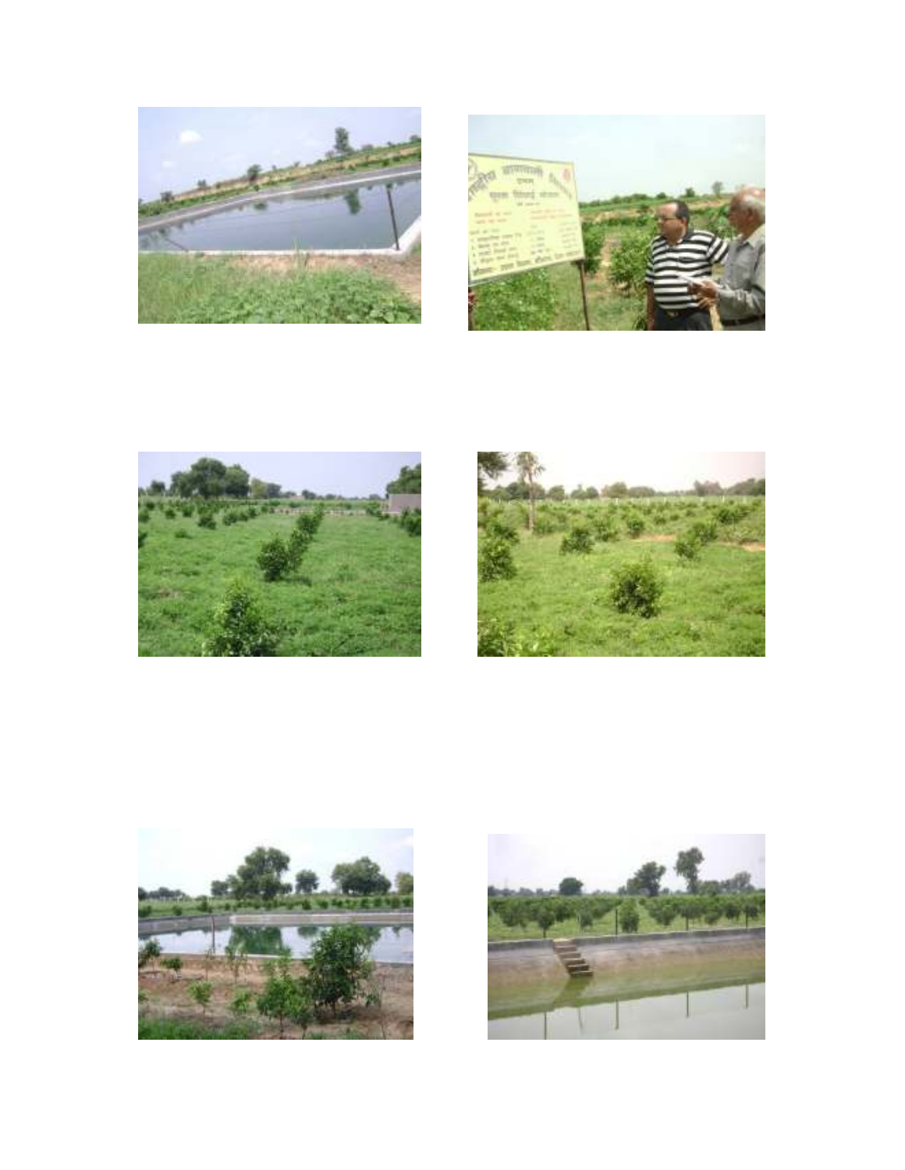









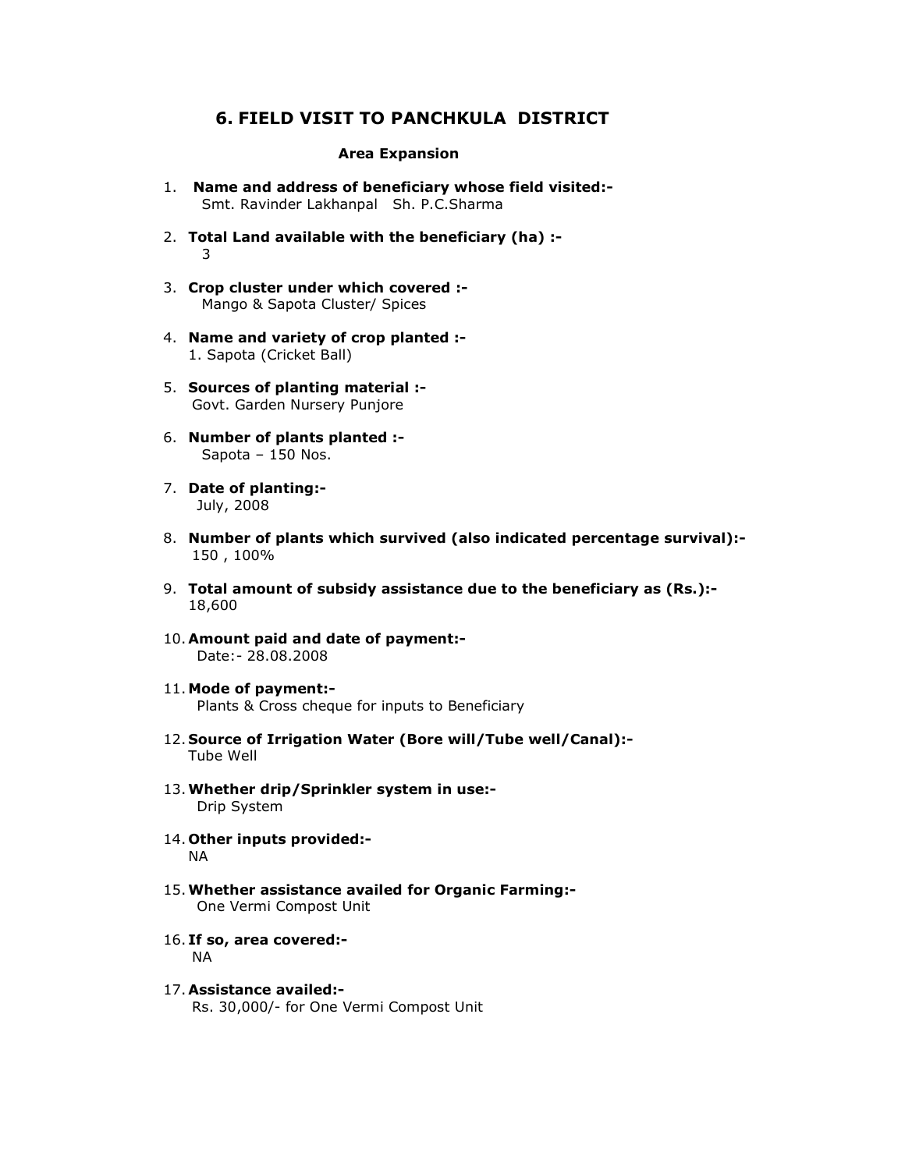## 6. FIELD VISIT TO PANCHKULA DISTRICT

#### Area Expansion

- 1. Name and address of beneficiary whose field visited:- Smt. Ravinder Lakhanpal Sh. P.C.Sharma
- 2. Total Land available with the beneficiary (ha) :- 3
- 3. Crop cluster under which covered :- Mango & Sapota Cluster/ Spices
- 4. Name and variety of crop planted :- 1. Sapota (Cricket Ball)
- 5. Sources of planting material :- Govt. Garden Nursery Punjore
- 6. Number of plants planted :- Sapota – 150 Nos.
- 7. Date of planting:- July, 2008
- 8. Number of plants which survived (also indicated percentage survival):- 150 , 100%
- 9. Total amount of subsidy assistance due to the beneficiary as (Rs.):- 18,600
- 10. Amount paid and date of payment:- Date:- 28.08.2008
- 11. Mode of payment:- Plants & Cross cheque for inputs to Beneficiary
- 12. Source of Irrigation Water (Bore will/Tube well/Canal):- Tube Well
- 13.Whether drip/Sprinkler system in use:- Drip System
- 14. Other inputs provided:- NA
- 15.Whether assistance availed for Organic Farming:- One Vermi Compost Unit
- 16. If so, area covered:- NA
- 17. Assistance availed:- Rs. 30,000/- for One Vermi Compost Unit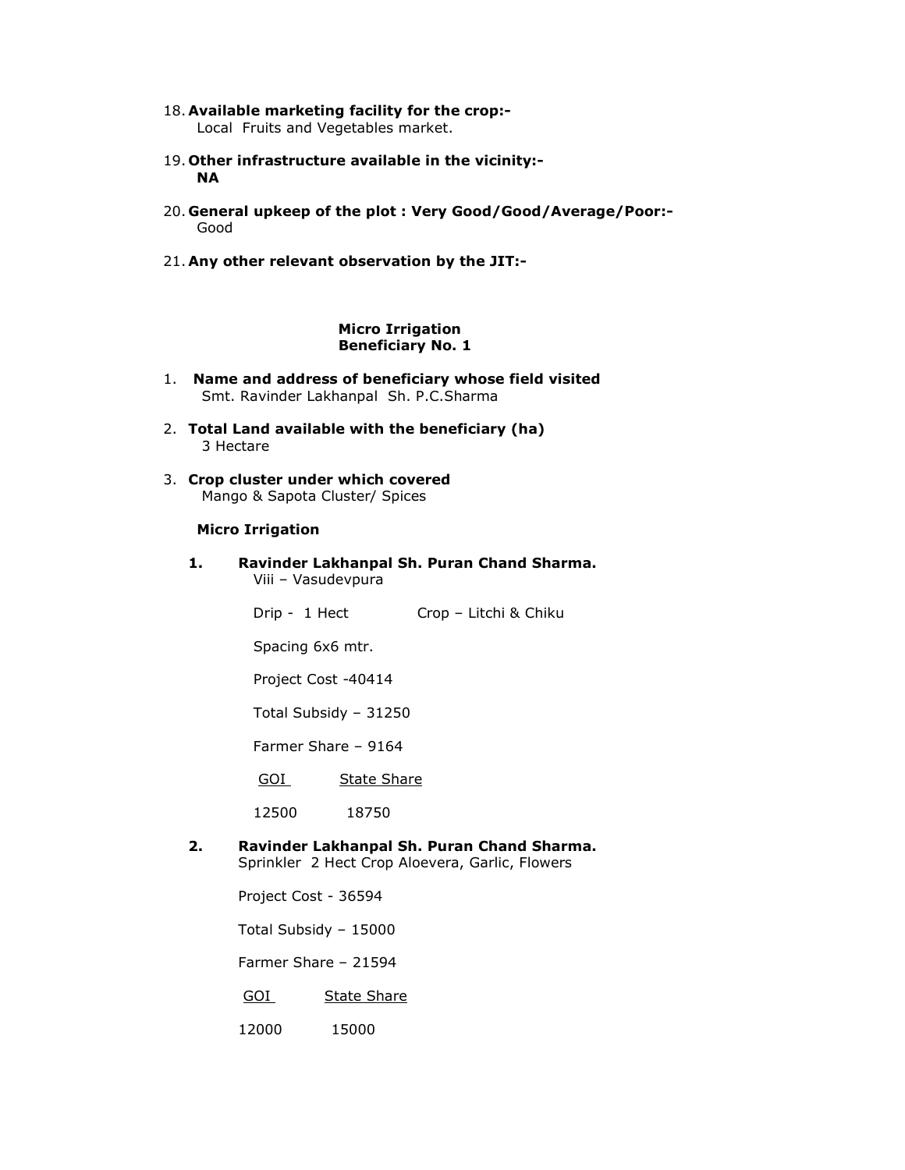- 18. Available marketing facility for the crop:- Local Fruits and Vegetables market.
- 19. Other infrastructure available in the vicinity:- NA
- 20. General upkeep of the plot : Very Good/Good/Average/Poor:- Good
- 21. Any other relevant observation by the JIT:-

## Micro Irrigation Beneficiary No. 1

- 1. Name and address of beneficiary whose field visited Smt. Ravinder Lakhanpal Sh. P.C.Sharma
- 2. Total Land available with the beneficiary (ha) 3 Hectare
- 3. Crop cluster under which covered Mango & Sapota Cluster/ Spices

## Micro Irrigation

1. Ravinder Lakhanpal Sh. Puran Chand Sharma. Viii – Vasudevpura

Drip - 1 Hect Crop - Litchi & Chiku

Spacing 6x6 mtr.

Project Cost -40414

Total Subsidy – 31250

Farmer Share – 9164

GOI State Share

12500 18750

2. Ravinder Lakhanpal Sh. Puran Chand Sharma. Sprinkler 2 Hect Crop Aloevera, Garlic, Flowers

Project Cost - 36594

Total Subsidy – 15000

Farmer Share – 21594

## GOI State Share

12000 15000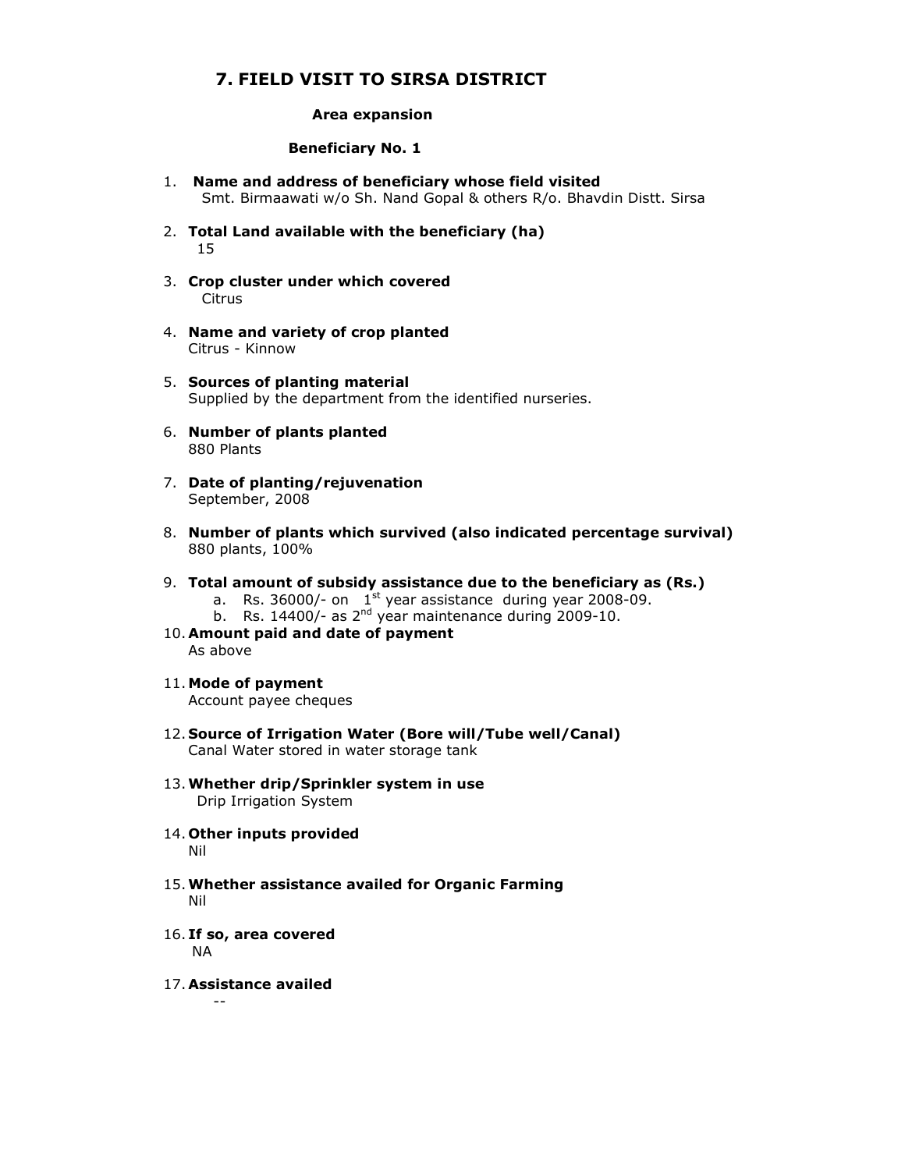# 7. FIELD VISIT TO SIRSA DISTRICT

## Area expansion

## Beneficiary No. 1

- 1. Name and address of beneficiary whose field visited Smt. Birmaawati w/o Sh. Nand Gopal & others R/o. Bhavdin Distt. Sirsa
- 2. Total Land available with the beneficiary (ha) 15
- 3. Crop cluster under which covered **Citrus**
- 4. Name and variety of crop planted Citrus - Kinnow
- 5. Sources of planting material Supplied by the department from the identified nurseries.
- 6. Number of plants planted 880 Plants
- 7. Date of planting/rejuvenation September, 2008
- 8. Number of plants which survived (also indicated percentage survival) 880 plants, 100%
- 9. Total amount of subsidy assistance due to the beneficiary as (Rs.)
	- a. Rs. 36000/- on  $1<sup>st</sup>$  year assistance during year 2008-09.
	- b. Rs. 14400/- as  $2<sup>nd</sup>$  year maintenance during 2009-10.
- 10. Amount paid and date of payment As above
- 11. Mode of payment Account payee cheques
- 12. Source of Irrigation Water (Bore will/Tube well/Canal) Canal Water stored in water storage tank
- 13.Whether drip/Sprinkler system in use Drip Irrigation System
- 14. Other inputs provided Nil
- 15.Whether assistance availed for Organic Farming Nil
- 16. If so, area covered NA
- 17. Assistance availed

--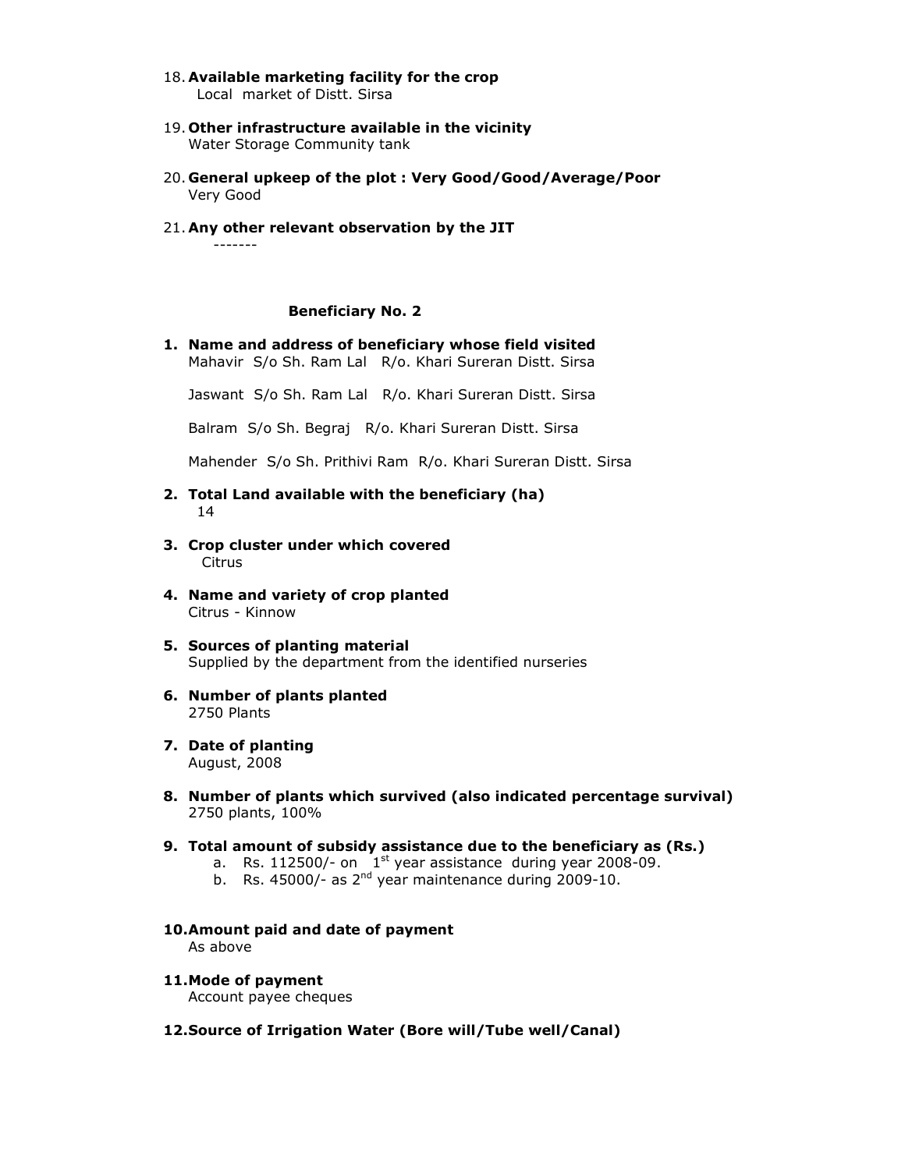- 18. Available marketing facility for the crop Local market of Distt. Sirsa
- 19. Other infrastructure available in the vicinity Water Storage Community tank
- 20. General upkeep of the plot : Very Good/Good/Average/Poor Very Good
- 21. Any other relevant observation by the JIT -------

#### Beneficiary No. 2

1. Name and address of beneficiary whose field visited Mahavir S/o Sh. Ram Lal R/o. Khari Sureran Distt. Sirsa

Jaswant S/o Sh. Ram Lal R/o. Khari Sureran Distt. Sirsa

Balram S/o Sh. Begraj R/o. Khari Sureran Distt. Sirsa

Mahender S/o Sh. Prithivi Ram R/o. Khari Sureran Distt. Sirsa

- 2. Total Land available with the beneficiary (ha) 14
- 3. Crop cluster under which covered **Citrus**
- 4. Name and variety of crop planted Citrus - Kinnow
- 5. Sources of planting material Supplied by the department from the identified nurseries
- 6. Number of plants planted 2750 Plants
- 7. Date of planting August, 2008
- 8. Number of plants which survived (also indicated percentage survival) 2750 plants, 100%
- 9. Total amount of subsidy assistance due to the beneficiary as (Rs.)
	- a. Rs. 112500/- on  $1<sup>st</sup>$  year assistance during year 2008-09.
		- b. Rs. 45000/- as  $2^{nd}$  year maintenance during 2009-10.
- 10.Amount paid and date of payment

As above

11.Mode of payment

Account payee cheques

12.Source of Irrigation Water (Bore will/Tube well/Canal)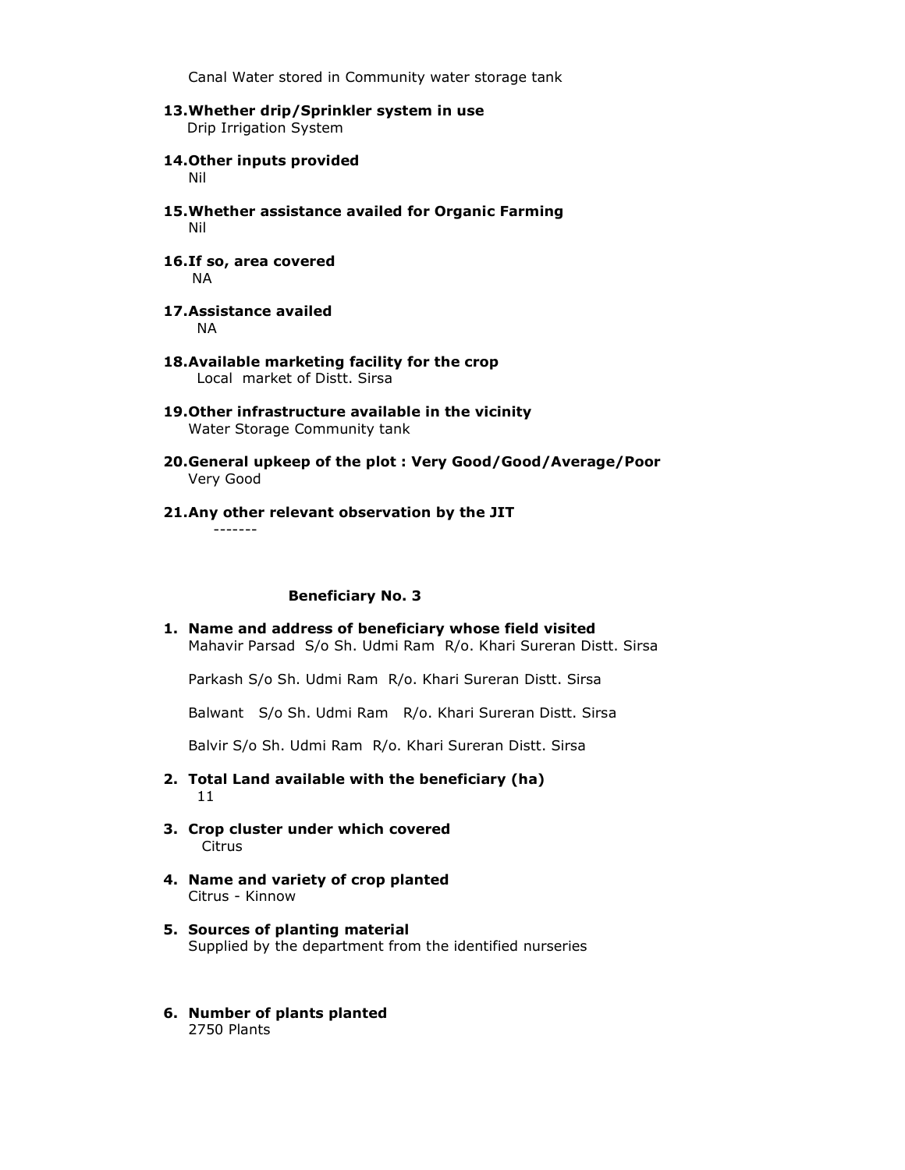Canal Water stored in Community water storage tank

- 13.Whether drip/Sprinkler system in use Drip Irrigation System
- 14.Other inputs provided Nil
- 15.Whether assistance availed for Organic Farming Nil
- 16.If so, area covered NA
- 17.Assistance availed NA
- 18.Available marketing facility for the crop Local market of Distt. Sirsa
- 19.Other infrastructure available in the vicinity Water Storage Community tank
- 20.General upkeep of the plot : Very Good/Good/Average/Poor Very Good
- 21.Any other relevant observation by the JIT -------

#### Beneficiary No. 3

1. Name and address of beneficiary whose field visited Mahavir Parsad S/o Sh. Udmi Ram R/o. Khari Sureran Distt. Sirsa

Parkash S/o Sh. Udmi Ram R/o. Khari Sureran Distt. Sirsa

Balwant S/o Sh. Udmi Ram R/o. Khari Sureran Distt. Sirsa

Balvir S/o Sh. Udmi Ram R/o. Khari Sureran Distt. Sirsa

- 2. Total Land available with the beneficiary (ha) 11
- 3. Crop cluster under which covered **Citrus**
- 4. Name and variety of crop planted Citrus - Kinnow
- 5. Sources of planting material Supplied by the department from the identified nurseries
- 6. Number of plants planted 2750 Plants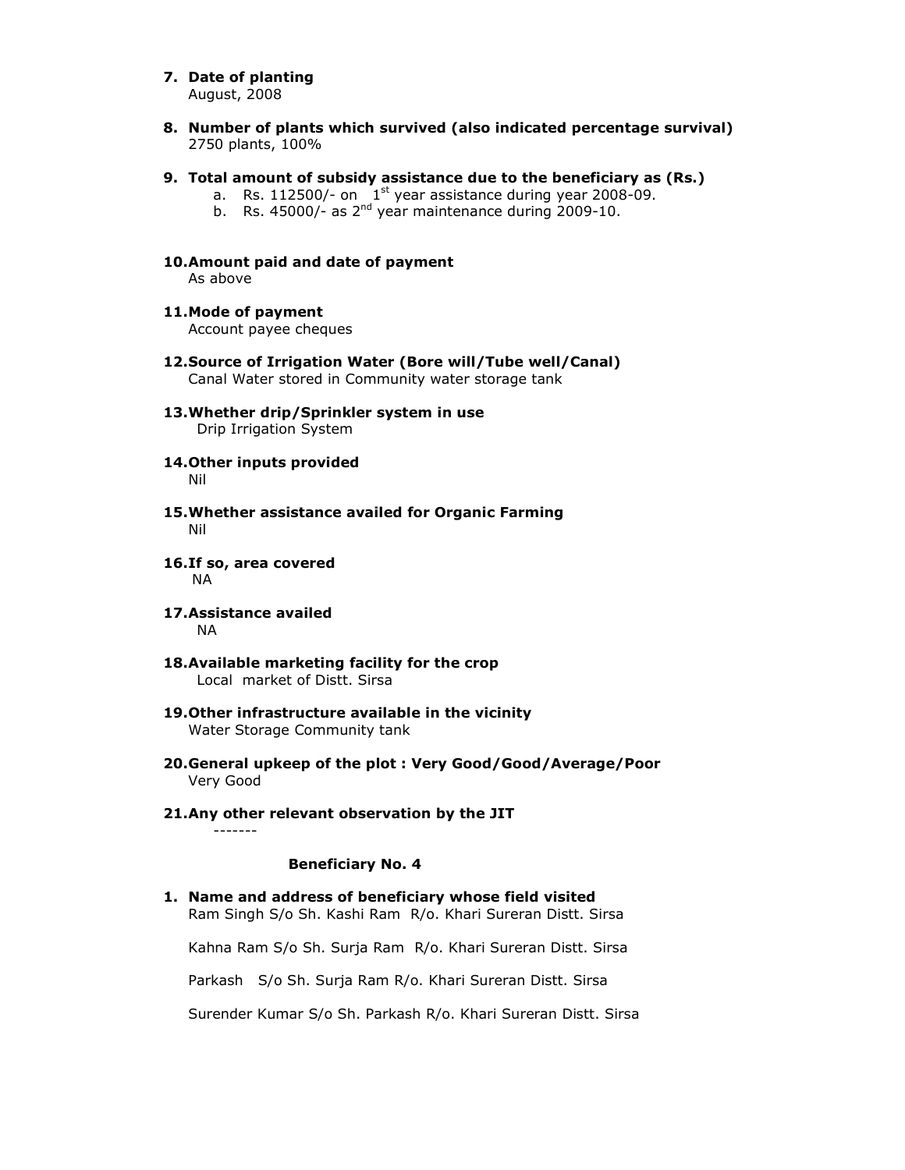## 7. Date of planting

August, 2008

- 8. Number of plants which survived (also indicated percentage survival) 2750 plants, 100%
- 9. Total amount of subsidy assistance due to the beneficiary as (Rs.)
	- a. Rs. 112500/- on  $1<sup>st</sup>$  year assistance during year 2008-09.
	- b. Rs. 45000/- as  $2^{nd}$  year maintenance during 2009-10.
- 10.Amount paid and date of payment As above
- 11.Mode of payment Account payee cheques
- 12.Source of Irrigation Water (Bore will/Tube well/Canal) Canal Water stored in Community water storage tank
- 13.Whether drip/Sprinkler system in use Drip Irrigation System
- 14.Other inputs provided Nil
- 15.Whether assistance availed for Organic Farming Nil
- 16.If so, area covered NA
- 17.Assistance availed NA
- 18.Available marketing facility for the crop Local market of Distt. Sirsa
- 19.Other infrastructure available in the vicinity Water Storage Community tank
- 20.General upkeep of the plot : Very Good/Good/Average/Poor Very Good
- 21.Any other relevant observation by the JIT -------

## Beneficiary No. 4

1. Name and address of beneficiary whose field visited Ram Singh S/o Sh. Kashi Ram R/o. Khari Sureran Distt. Sirsa

Kahna Ram S/o Sh. Surja Ram R/o. Khari Sureran Distt. Sirsa

Parkash S/o Sh. Surja Ram R/o. Khari Sureran Distt. Sirsa

Surender Kumar S/o Sh. Parkash R/o. Khari Sureran Distt. Sirsa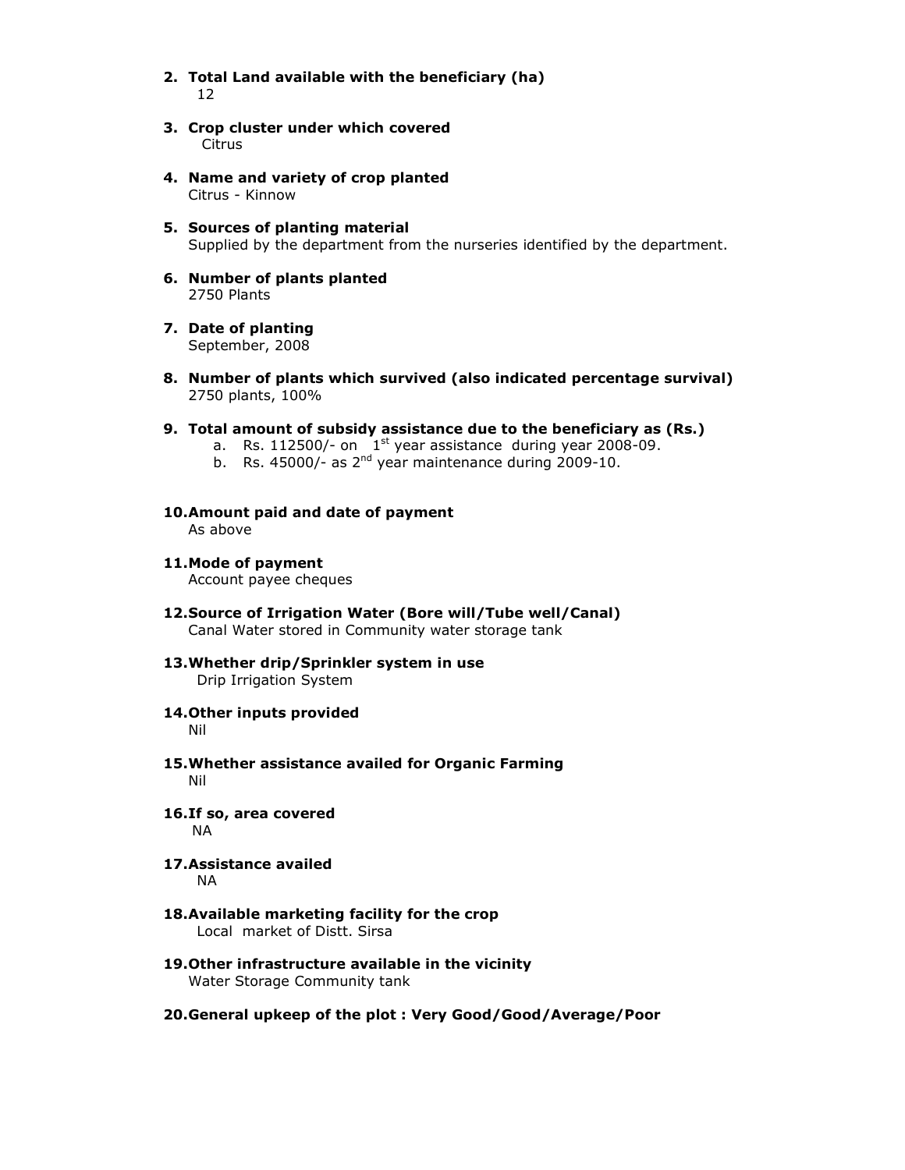- 2. Total Land available with the beneficiary (ha) 12
- 3. Crop cluster under which covered **Citrus**
- 4. Name and variety of crop planted Citrus - Kinnow
- 5. Sources of planting material Supplied by the department from the nurseries identified by the department.
- 6. Number of plants planted 2750 Plants
- 7. Date of planting September, 2008
- 8. Number of plants which survived (also indicated percentage survival) 2750 plants, 100%
- 9. Total amount of subsidy assistance due to the beneficiary as (Rs.)
	- a. Rs. 112500/- on  $1<sup>st</sup>$  year assistance during year 2008-09.
	- b. Rs. 45000/- as  $2^{nd}$  year maintenance during 2009-10.
- 10.Amount paid and date of payment As above
- 11.Mode of payment Account payee cheques
- 12.Source of Irrigation Water (Bore will/Tube well/Canal) Canal Water stored in Community water storage tank
- 13.Whether drip/Sprinkler system in use Drip Irrigation System
- 14.Other inputs provided

Nil

- 15.Whether assistance availed for Organic Farming Nil
- 16.If so, area covered NA
- 17.Assistance availed NA
	-
- 18.Available marketing facility for the crop Local market of Distt. Sirsa
- 19.Other infrastructure available in the vicinity Water Storage Community tank
- 20.General upkeep of the plot : Very Good/Good/Average/Poor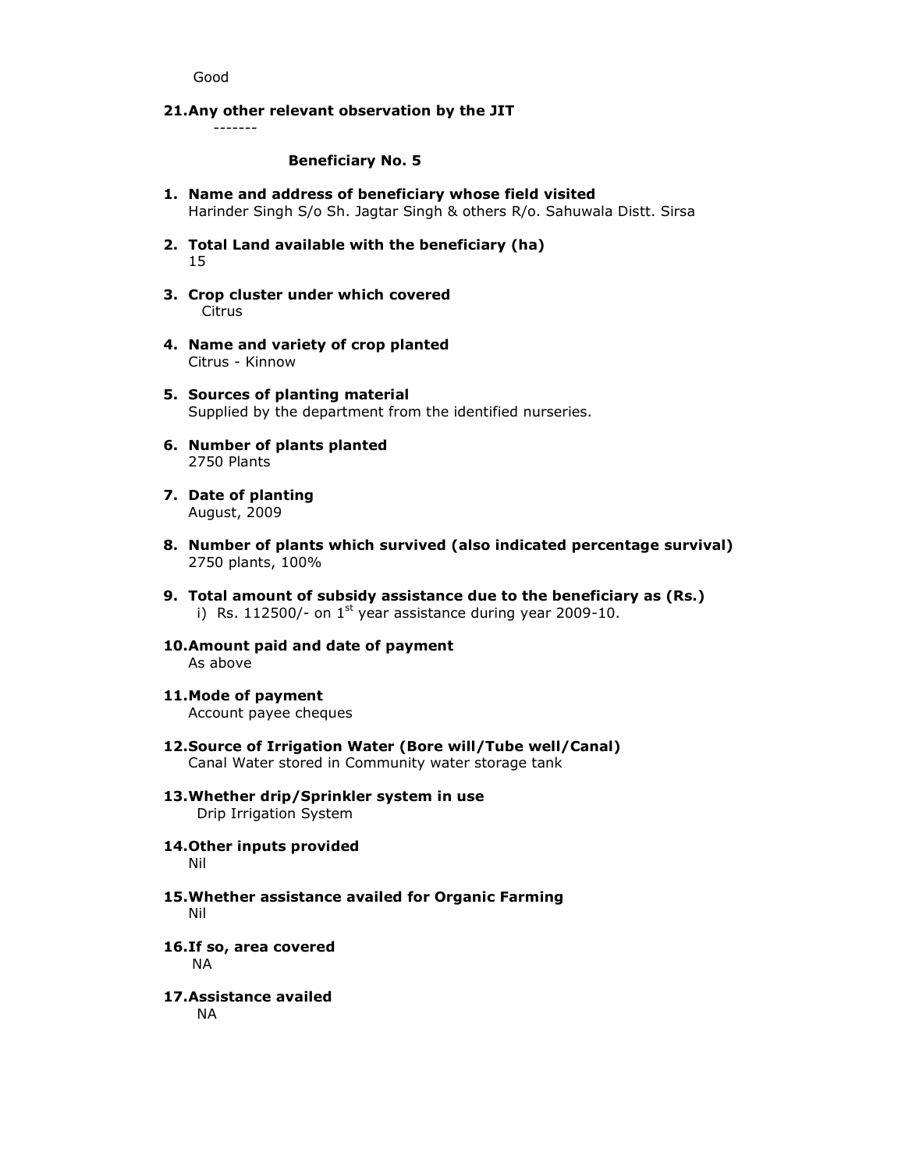Good

#### 21.Any other relevant observation by the JIT

-------

#### Beneficiary No. 5

- 1. Name and address of beneficiary whose field visited Harinder Singh S/o Sh. Jagtar Singh & others R/o. Sahuwala Distt. Sirsa
- 2. Total Land available with the beneficiary (ha) 15
- 3. Crop cluster under which covered Citrus
- 4. Name and variety of crop planted Citrus - Kinnow
- 5. Sources of planting material Supplied by the department from the identified nurseries.
- 6. Number of plants planted 2750 Plants
- 7. Date of planting August, 2009
- 8. Number of plants which survived (also indicated percentage survival) 2750 plants, 100%
- 9. Total amount of subsidy assistance due to the beneficiary as (Rs.) i) Rs. 112500/- on  $1<sup>st</sup>$  year assistance during year 2009-10.
- 10.Amount paid and date of payment As above
- 11.Mode of payment Account payee cheques
- 12.Source of Irrigation Water (Bore will/Tube well/Canal) Canal Water stored in Community water storage tank
- 13.Whether drip/Sprinkler system in use Drip Irrigation System
- 14.Other inputs provided Nil
- 15.Whether assistance availed for Organic Farming Nil
- 16.If so, area covered NA
- 17.Assistance availed NA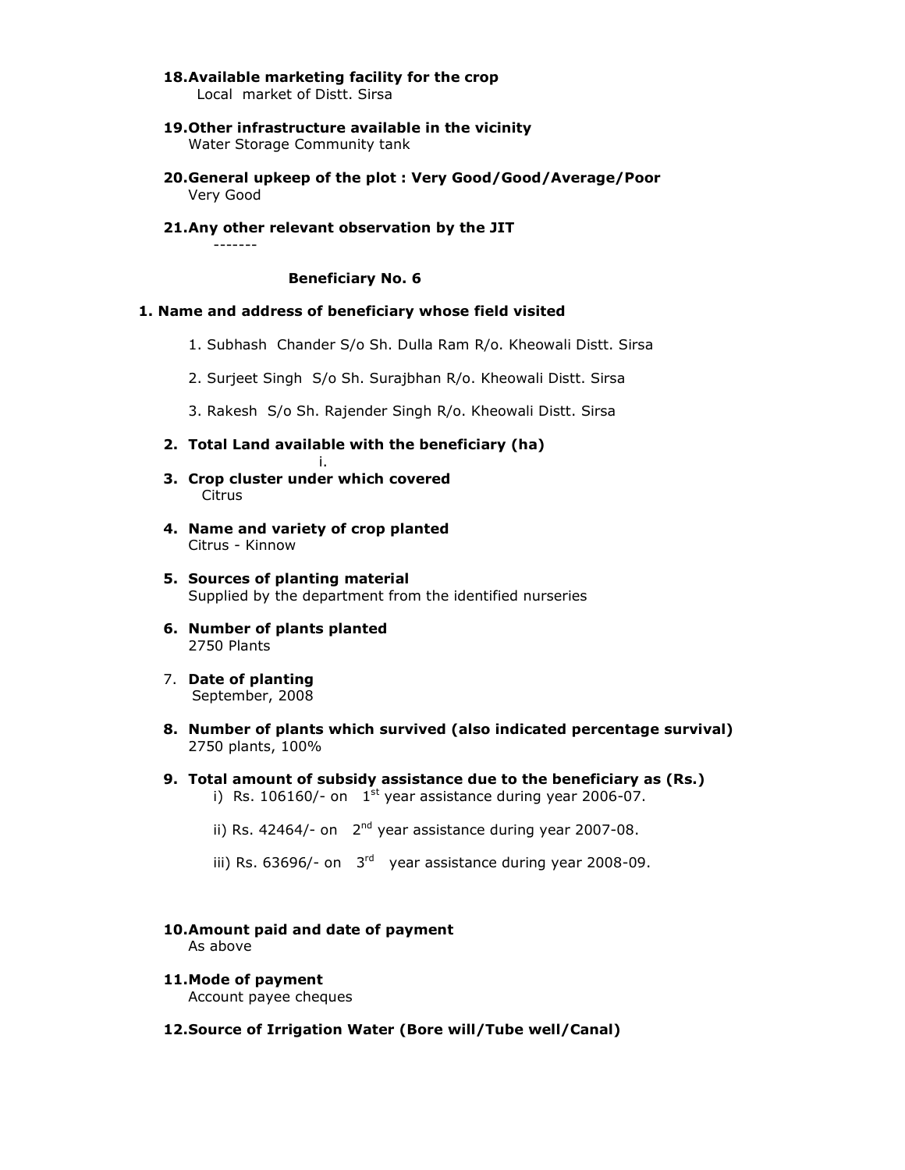- 18.Available marketing facility for the crop Local market of Distt. Sirsa
- 19.Other infrastructure available in the vicinity Water Storage Community tank
- 20.General upkeep of the plot : Very Good/Good/Average/Poor Very Good
- 21.Any other relevant observation by the JIT

-------

#### Beneficiary No. 6

#### 1. Name and address of beneficiary whose field visited

- 1. Subhash Chander S/o Sh. Dulla Ram R/o. Kheowali Distt. Sirsa
- 2. Surjeet Singh S/o Sh. Surajbhan R/o. Kheowali Distt. Sirsa
- 3. Rakesh S/o Sh. Rajender Singh R/o. Kheowali Distt. Sirsa
- 2. Total Land available with the beneficiary (ha)
- 3. Crop cluster under which covered **Citrus**

i.

- 4. Name and variety of crop planted Citrus - Kinnow
- 5. Sources of planting material Supplied by the department from the identified nurseries
- 6. Number of plants planted 2750 Plants
- 7. Date of planting September, 2008
- 8. Number of plants which survived (also indicated percentage survival) 2750 plants, 100%
- 9. Total amount of subsidy assistance due to the beneficiary as (Rs.) i) Rs. 106160/- on  $1^{st}$  year assistance during year 2006-07.
	- ii) Rs. 42464/- on  $2<sup>nd</sup>$  year assistance during year 2007-08.
	- iii) Rs.  $63696/-$  on  $3<sup>rd</sup>$  year assistance during year 2008-09.
- 10.Amount paid and date of payment

As above

11.Mode of payment

Account payee cheques

12.Source of Irrigation Water (Bore will/Tube well/Canal)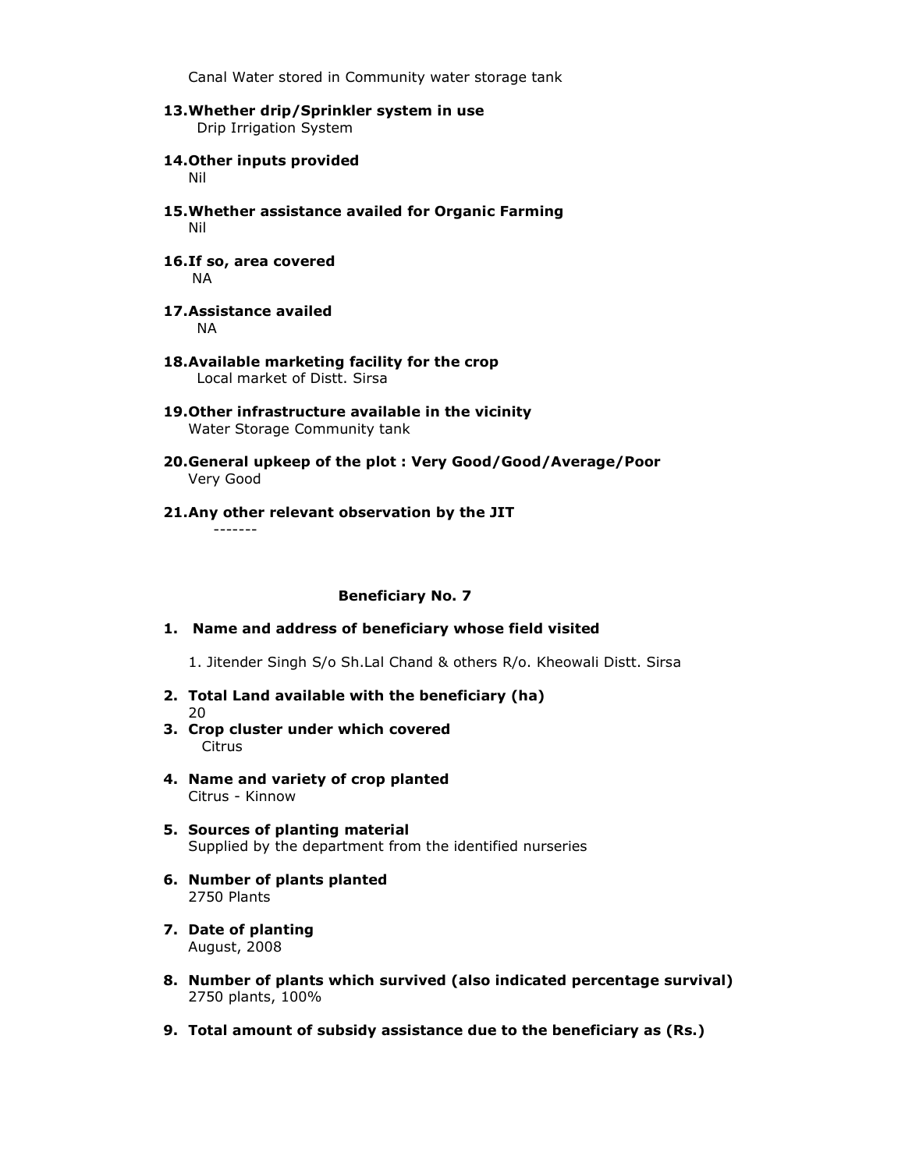Canal Water stored in Community water storage tank

#### 13.Whether drip/Sprinkler system in use Drip Irrigation System

- 14.Other inputs provided Nil
- 15.Whether assistance availed for Organic Farming Nil
- 16.If so, area covered NA
- 17.Assistance availed NA
- 18.Available marketing facility for the crop Local market of Distt. Sirsa
- 19.Other infrastructure available in the vicinity Water Storage Community tank
- 20.General upkeep of the plot : Very Good/Good/Average/Poor Very Good
- 21.Any other relevant observation by the JIT -------

## Beneficiary No. 7

1. Name and address of beneficiary whose field visited

1. Jitender Singh S/o Sh.Lal Chand & others R/o. Kheowali Distt. Sirsa

- 2. Total Land available with the beneficiary (ha) 20
- 3. Crop cluster under which covered **Citrus**
- 4. Name and variety of crop planted Citrus - Kinnow
- 5. Sources of planting material Supplied by the department from the identified nurseries
- 6. Number of plants planted 2750 Plants
- 7. Date of planting August, 2008
- 8. Number of plants which survived (also indicated percentage survival) 2750 plants, 100%
- 9. Total amount of subsidy assistance due to the beneficiary as (Rs.)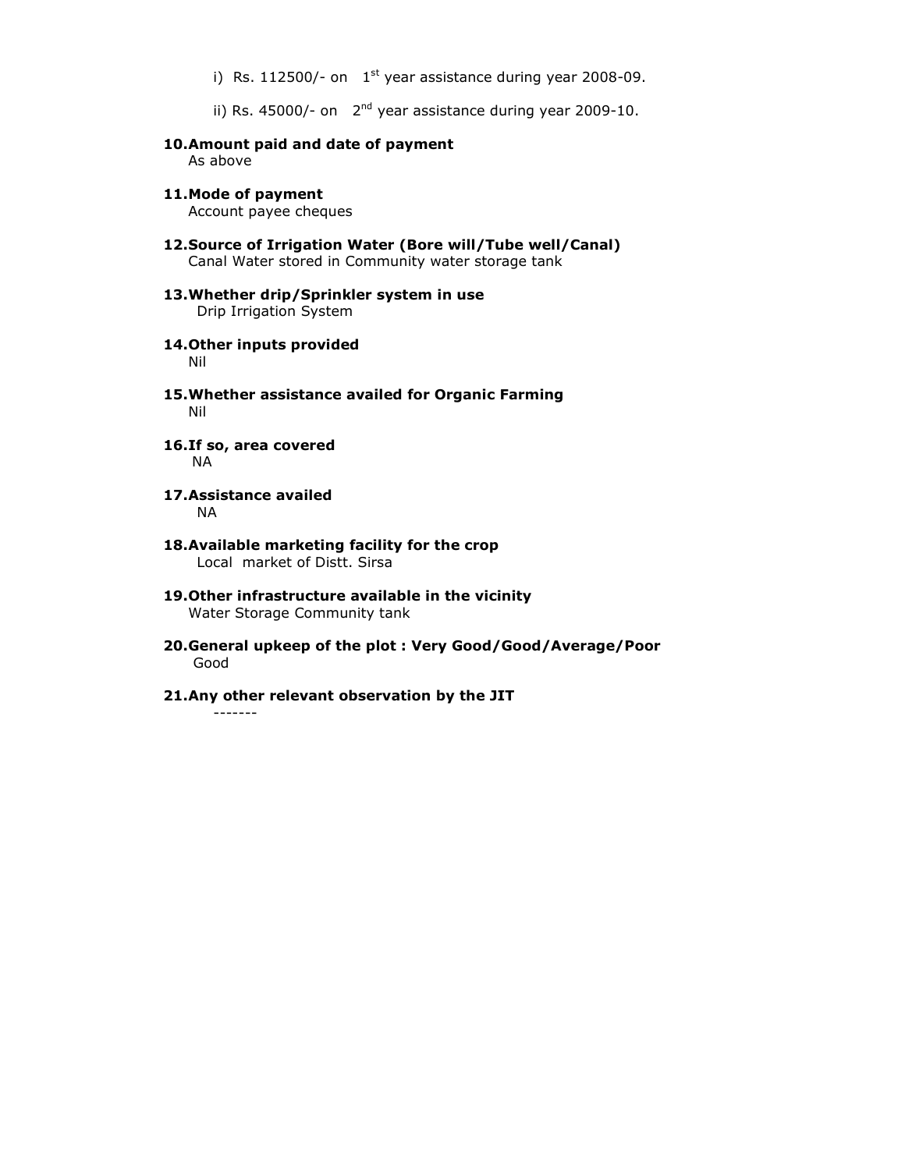- i) Rs. 112500/- on  $1^{\text{st}}$  year assistance during year 2008-09.
- ii) Rs. 45000/- on  $2^{nd}$  year assistance during year 2009-10.
- 10.Amount paid and date of payment As above

11.Mode of payment

Account payee cheques

- 12.Source of Irrigation Water (Bore will/Tube well/Canal) Canal Water stored in Community water storage tank
- 13.Whether drip/Sprinkler system in use Drip Irrigation System
- 14.Other inputs provided Nil

- 15.Whether assistance availed for Organic Farming Nil
- 16.If so, area covered NA
- 17.Assistance availed NA
- 18.Available marketing facility for the crop Local market of Distt. Sirsa
- 19.Other infrastructure available in the vicinity Water Storage Community tank
- 20.General upkeep of the plot : Very Good/Good/Average/Poor Good
- 21.Any other relevant observation by the JIT

-------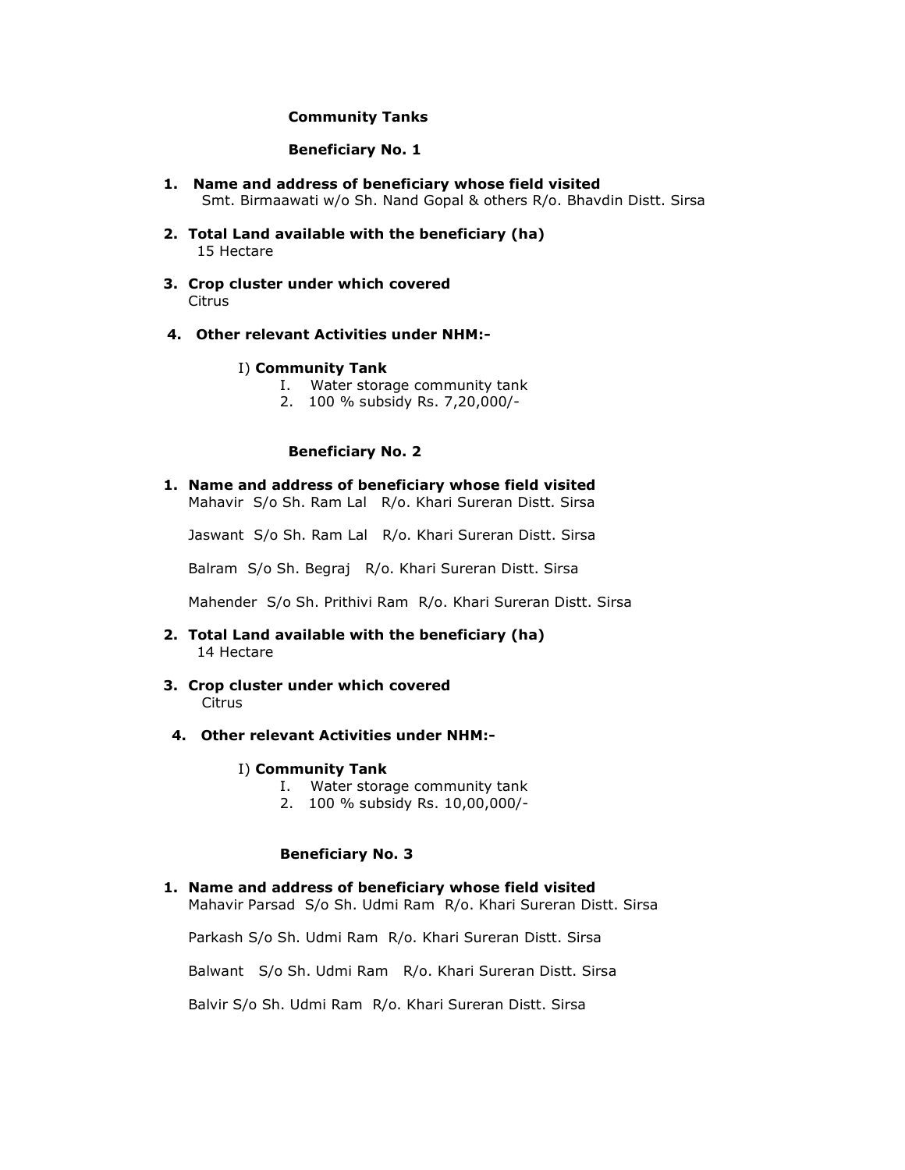#### Community Tanks

#### Beneficiary No. 1

- 1. Name and address of beneficiary whose field visited Smt. Birmaawati w/o Sh. Nand Gopal & others R/o. Bhavdin Distt. Sirsa
- 2. Total Land available with the beneficiary (ha) 15 Hectare
- 3. Crop cluster under which covered **Citrus**
- 4. Other relevant Activities under NHM:-

#### I) Community Tank

- I. Water storage community tank
- 2. 100 % subsidy Rs. 7,20,000/-

## Beneficiary No. 2

1. Name and address of beneficiary whose field visited Mahavir S/o Sh. Ram Lal R/o. Khari Sureran Distt. Sirsa

Jaswant S/o Sh. Ram Lal R/o. Khari Sureran Distt. Sirsa

Balram S/o Sh. Begraj R/o. Khari Sureran Distt. Sirsa

Mahender S/o Sh. Prithivi Ram R/o. Khari Sureran Distt. Sirsa

- 2. Total Land available with the beneficiary (ha) 14 Hectare
- 3. Crop cluster under which covered **Citrus**
- 4. Other relevant Activities under NHM:-

#### I) Community Tank

- I. Water storage community tank
- 2. 100 % subsidy Rs. 10,00,000/-

## Beneficiary No. 3

1. Name and address of beneficiary whose field visited Mahavir Parsad S/o Sh. Udmi Ram R/o. Khari Sureran Distt. Sirsa

Parkash S/o Sh. Udmi Ram R/o. Khari Sureran Distt. Sirsa

Balwant S/o Sh. Udmi Ram R/o. Khari Sureran Distt. Sirsa

Balvir S/o Sh. Udmi Ram R/o. Khari Sureran Distt. Sirsa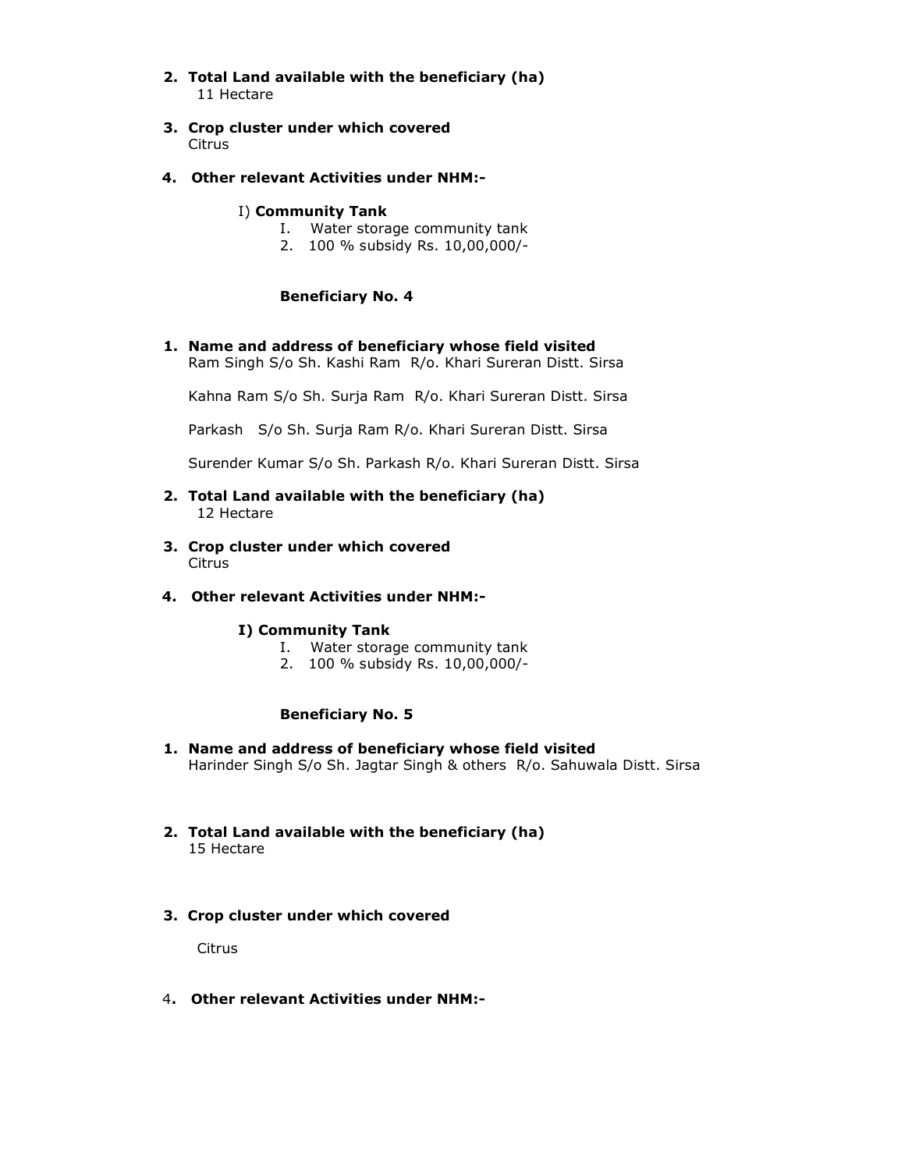- 2. Total Land available with the beneficiary (ha) 11 Hectare
- 3. Crop cluster under which covered **Citrus**
- 4. Other relevant Activities under NHM:-

#### I) Community Tank

- I. Water storage community tank
- 2. 100 % subsidy Rs. 10,00,000/-

#### Beneficiary No. 4

1. Name and address of beneficiary whose field visited Ram Singh S/o Sh. Kashi Ram R/o. Khari Sureran Distt. Sirsa

Kahna Ram S/o Sh. Surja Ram R/o. Khari Sureran Distt. Sirsa

Parkash S/o Sh. Surja Ram R/o. Khari Sureran Distt. Sirsa

Surender Kumar S/o Sh. Parkash R/o. Khari Sureran Distt. Sirsa

- 2. Total Land available with the beneficiary (ha) 12 Hectare
- 3. Crop cluster under which covered **Citrus**
- 4. Other relevant Activities under NHM:-

#### I) Community Tank

- I. Water storage community tank
- 2. 100 % subsidy Rs. 10,00,000/-

## Beneficiary No. 5

- 1. Name and address of beneficiary whose field visited Harinder Singh S/o Sh. Jagtar Singh & others R/o. Sahuwala Distt. Sirsa
- 2. Total Land available with the beneficiary (ha) 15 Hectare
- 3. Crop cluster under which covered

**Citrus** 

4. Other relevant Activities under NHM:-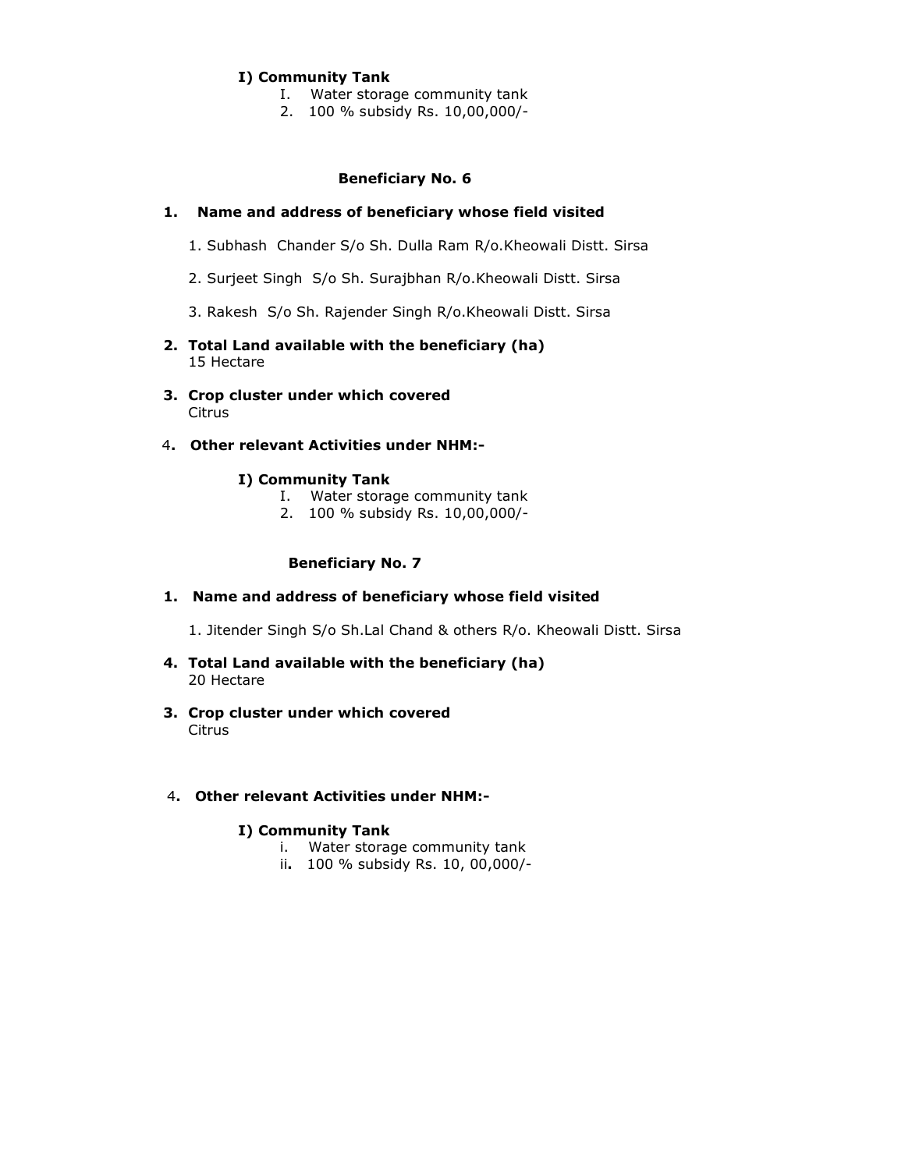## I) Community Tank

- I. Water storage community tank
- 2. 100 % subsidy Rs. 10,00,000/-

## Beneficiary No. 6

- 1. Name and address of beneficiary whose field visited
	- 1. Subhash Chander S/o Sh. Dulla Ram R/o.Kheowali Distt. Sirsa
	- 2. Surjeet Singh S/o Sh. Surajbhan R/o.Kheowali Distt. Sirsa
	- 3. Rakesh S/o Sh. Rajender Singh R/o.Kheowali Distt. Sirsa
- 2. Total Land available with the beneficiary (ha) 15 Hectare
- 3. Crop cluster under which covered **Citrus**
- 4. Other relevant Activities under NHM:-

## I) Community Tank

- I. Water storage community tank
- 2. 100 % subsidy Rs. 10,00,000/-

## Beneficiary No. 7

1. Name and address of beneficiary whose field visited

1. Jitender Singh S/o Sh.Lal Chand & others R/o. Kheowali Distt. Sirsa

- 4. Total Land available with the beneficiary (ha) 20 Hectare
- 3. Crop cluster under which covered Citrus

## 4. Other relevant Activities under NHM:-

## I) Community Tank

- i. Water storage community tank
- ii. 100 % subsidy Rs. 10, 00,000/-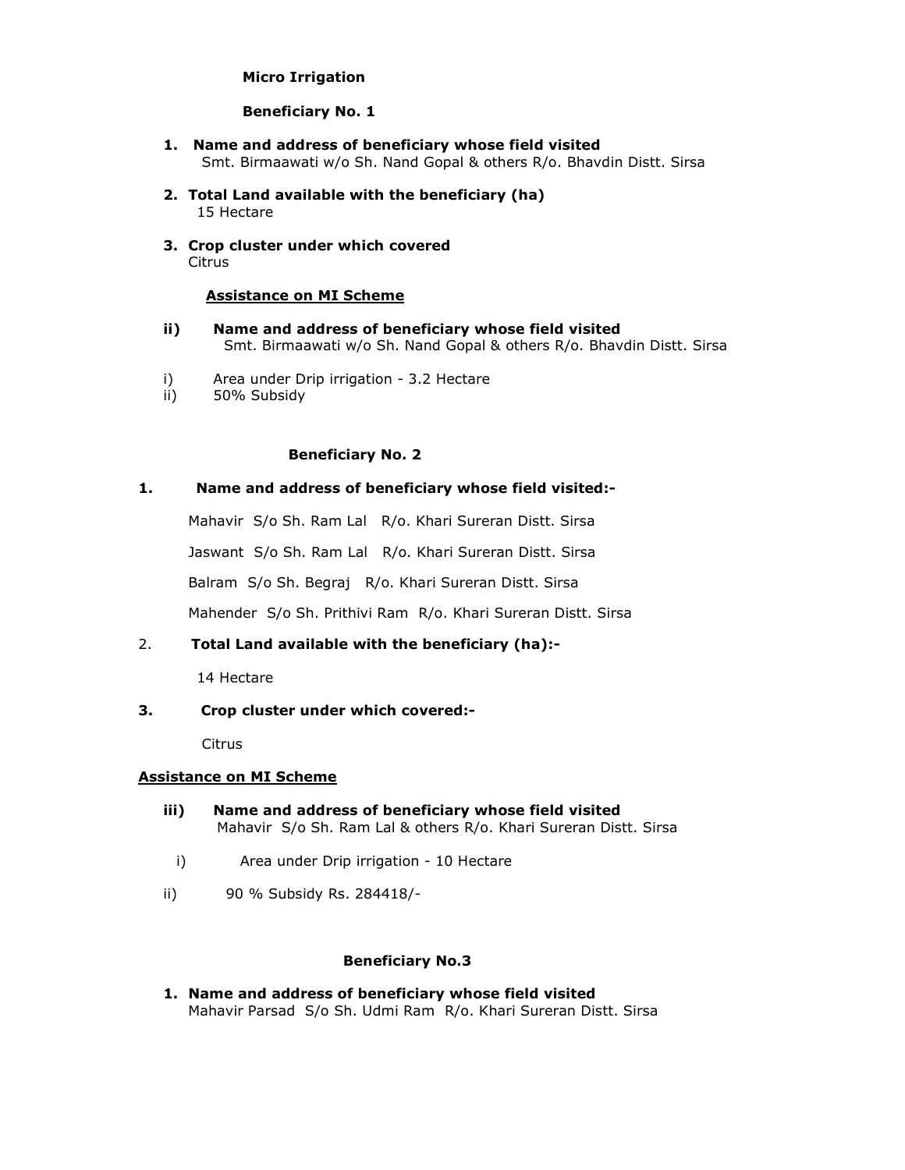## Micro Irrigation

## Beneficiary No. 1

- 1. Name and address of beneficiary whose field visited Smt. Birmaawati w/o Sh. Nand Gopal & others R/o. Bhavdin Distt. Sirsa
- 2. Total Land available with the beneficiary (ha) 15 Hectare
- 3. Crop cluster under which covered Citrus

## Assistance on MI Scheme

- ii) Name and address of beneficiary whose field visited Smt. Birmaawati w/o Sh. Nand Gopal & others R/o. Bhavdin Distt. Sirsa
- i) Area under Drip irrigation 3.2 Hectare
- ii) 50% Subsidy

## Beneficiary No. 2

## 1. Name and address of beneficiary whose field visited:-

Mahavir S/o Sh. Ram Lal R/o. Khari Sureran Distt. Sirsa

Jaswant S/o Sh. Ram Lal R/o. Khari Sureran Distt. Sirsa

Balram S/o Sh. Begraj R/o. Khari Sureran Distt. Sirsa

Mahender S/o Sh. Prithivi Ram R/o. Khari Sureran Distt. Sirsa

## 2. Total Land available with the beneficiary (ha):-

14 Hectare

## 3. Crop cluster under which covered:-

**Citrus** 

#### Assistance on MI Scheme

- iii) Name and address of beneficiary whose field visited Mahavir S/o Sh. Ram Lal & others R/o. Khari Sureran Distt. Sirsa
	- i) Area under Drip irrigation 10 Hectare
- ii) 90 % Subsidy Rs. 284418/-

#### Beneficiary No.3

1. Name and address of beneficiary whose field visited Mahavir Parsad S/o Sh. Udmi Ram R/o. Khari Sureran Distt. Sirsa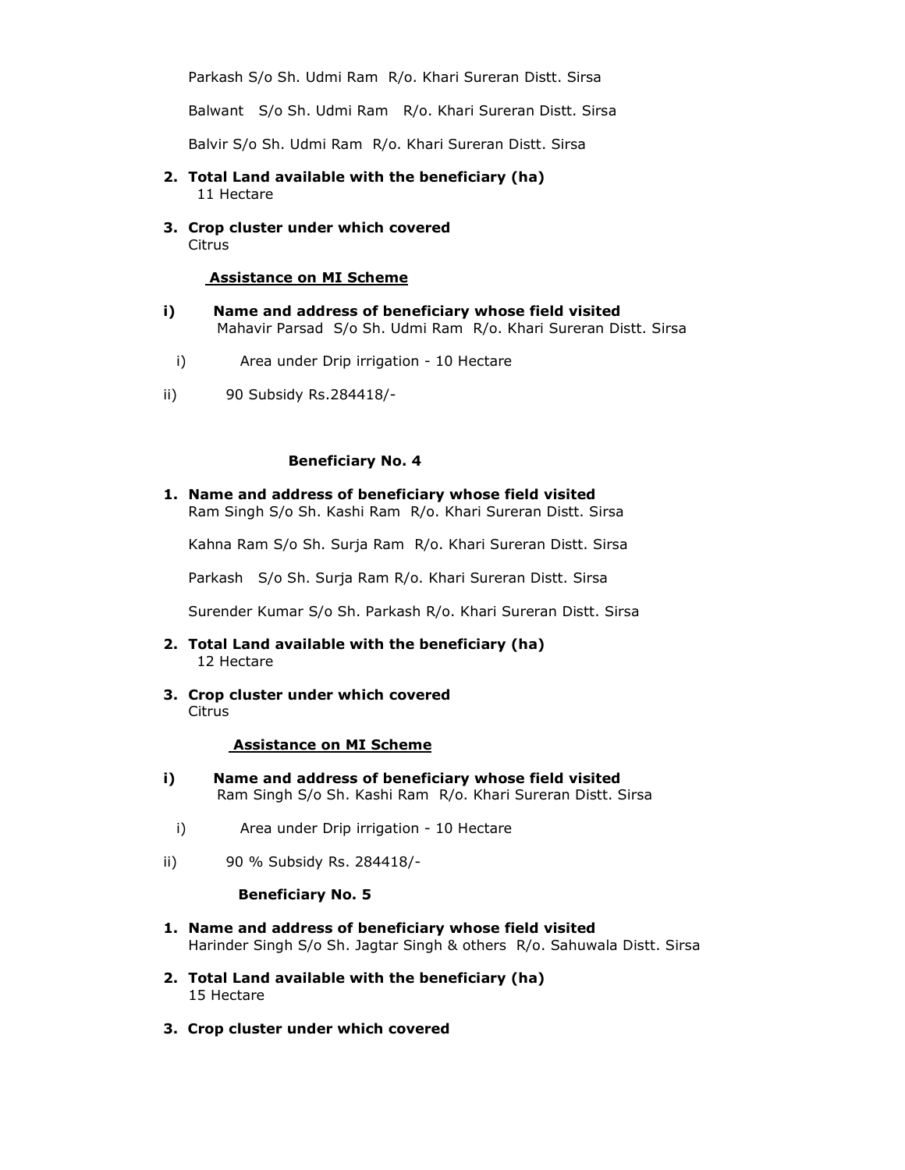Parkash S/o Sh. Udmi Ram R/o. Khari Sureran Distt. Sirsa

Balwant S/o Sh. Udmi Ram R/o. Khari Sureran Distt. Sirsa

Balvir S/o Sh. Udmi Ram R/o. Khari Sureran Distt. Sirsa

- 2. Total Land available with the beneficiary (ha) 11 Hectare
- 3. Crop cluster under which covered **Citrus**

## Assistance on MI Scheme

- i) Name and address of beneficiary whose field visited Mahavir Parsad S/o Sh. Udmi Ram R/o. Khari Sureran Distt. Sirsa
- i) Area under Drip irrigation 10 Hectare
- ii) 90 Subsidy Rs.284418/-

## Beneficiary No. 4

1. Name and address of beneficiary whose field visited Ram Singh S/o Sh. Kashi Ram R/o. Khari Sureran Distt. Sirsa

Kahna Ram S/o Sh. Surja Ram R/o. Khari Sureran Distt. Sirsa

Parkash S/o Sh. Surja Ram R/o. Khari Sureran Distt. Sirsa

Surender Kumar S/o Sh. Parkash R/o. Khari Sureran Distt. Sirsa

- 2. Total Land available with the beneficiary (ha) 12 Hectare
- 3. Crop cluster under which covered **Citrus**

#### Assistance on MI Scheme

- i) Name and address of beneficiary whose field visited Ram Singh S/o Sh. Kashi Ram R/o. Khari Sureran Distt. Sirsa
	- i) Area under Drip irrigation 10 Hectare
- ii) 90 % Subsidy Rs. 284418/-

## Beneficiary No. 5

- 1. Name and address of beneficiary whose field visited Harinder Singh S/o Sh. Jagtar Singh & others R/o. Sahuwala Distt. Sirsa
- 2. Total Land available with the beneficiary (ha) 15 Hectare
- 3. Crop cluster under which covered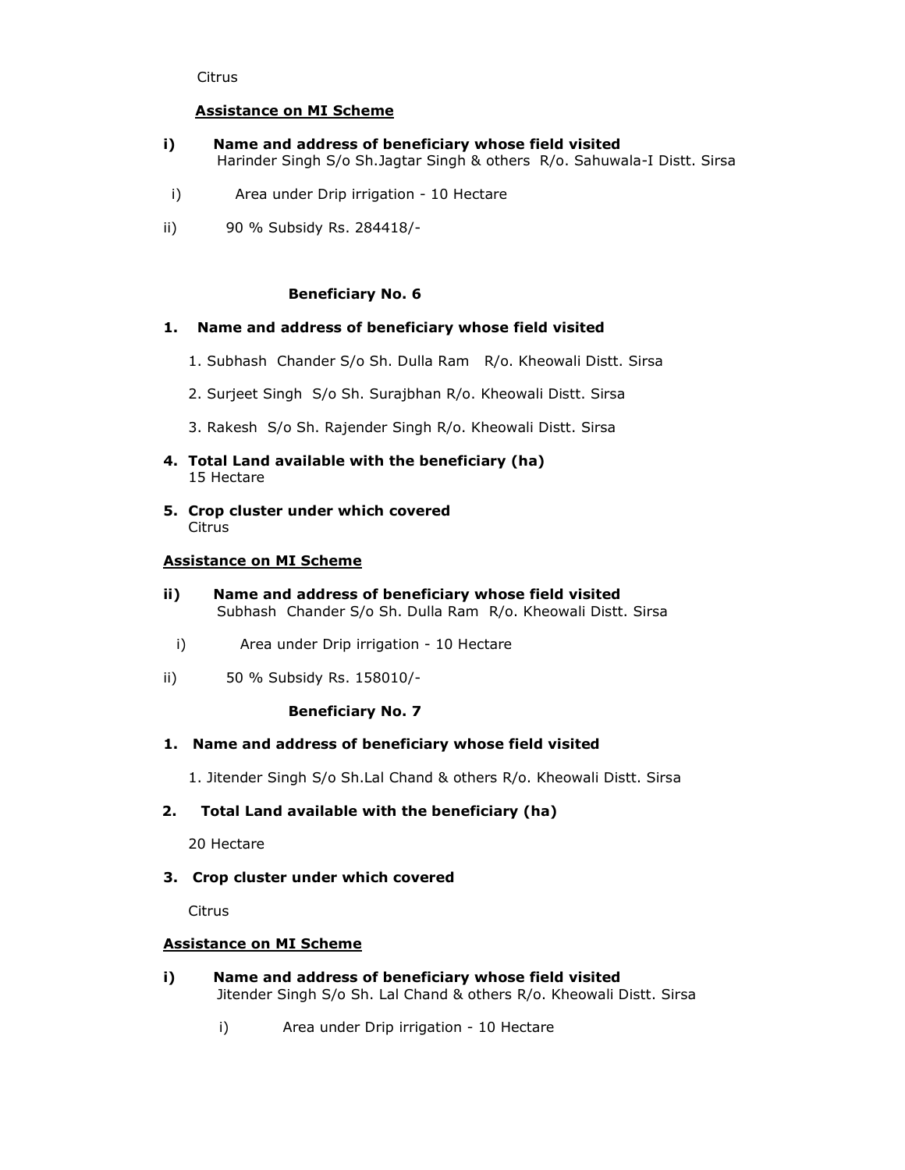**Citrus** 

## Assistance on MI Scheme

- i) Name and address of beneficiary whose field visited Harinder Singh S/o Sh.Jagtar Singh & others R/o. Sahuwala-I Distt. Sirsa
- i) Area under Drip irrigation 10 Hectare
- ii) 90 % Subsidy Rs. 284418/-

#### Beneficiary No. 6

#### 1. Name and address of beneficiary whose field visited

- 1. Subhash Chander S/o Sh. Dulla Ram R/o. Kheowali Distt. Sirsa
- 2. Surjeet Singh S/o Sh. Surajbhan R/o. Kheowali Distt. Sirsa
- 3. Rakesh S/o Sh. Rajender Singh R/o. Kheowali Distt. Sirsa
- 4. Total Land available with the beneficiary (ha) 15 Hectare
- 5. Crop cluster under which covered **Citrus**

## Assistance on MI Scheme

- ii) Name and address of beneficiary whose field visited Subhash Chander S/o Sh. Dulla Ram R/o. Kheowali Distt. Sirsa
	- i) Area under Drip irrigation 10 Hectare
- ii) 50 % Subsidy Rs. 158010/-

## Beneficiary No. 7

1. Name and address of beneficiary whose field visited

1. Jitender Singh S/o Sh.Lal Chand & others R/o. Kheowali Distt. Sirsa

## 2. Total Land available with the beneficiary (ha)

20 Hectare

## 3. Crop cluster under which covered

Citrus

## Assistance on MI Scheme

- i) Name and address of beneficiary whose field visited Jitender Singh S/o Sh. Lal Chand & others R/o. Kheowali Distt. Sirsa
	- i) Area under Drip irrigation 10 Hectare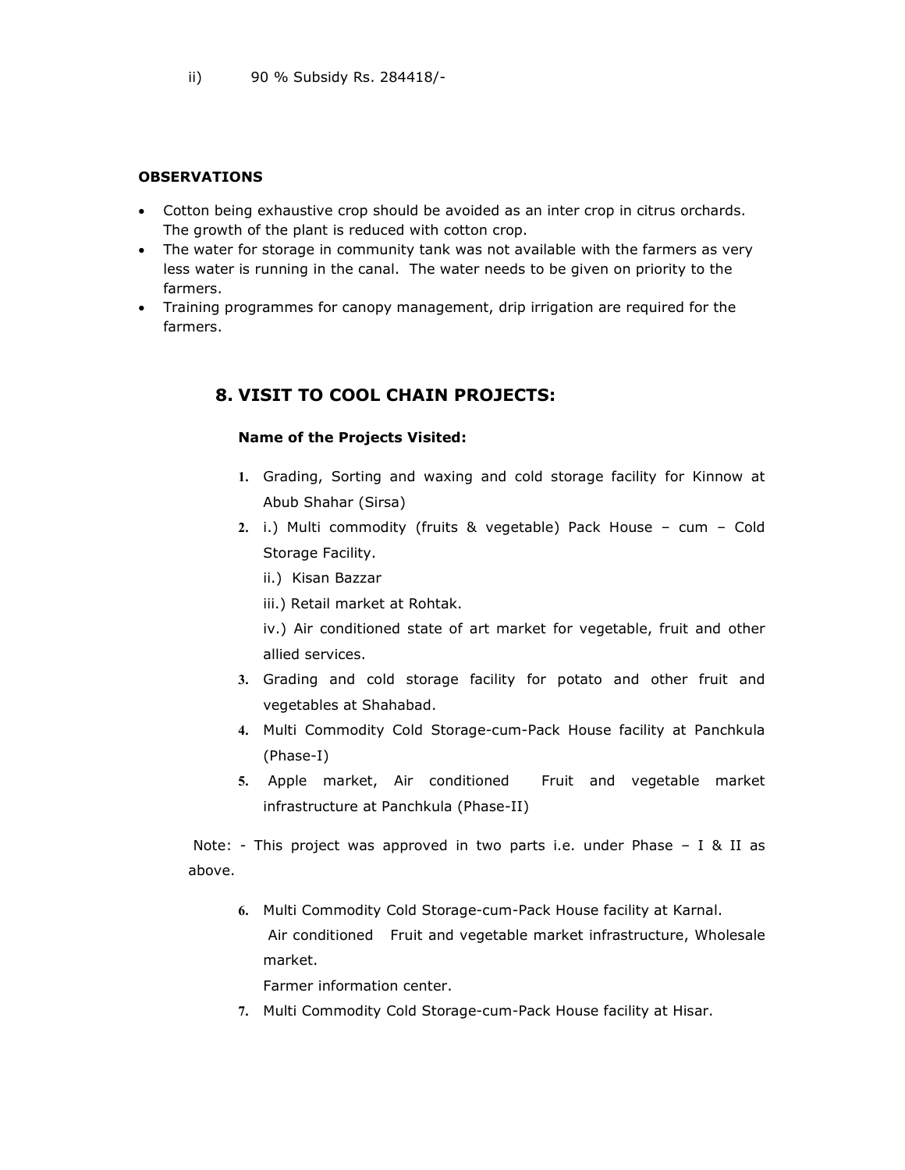## OBSERVATIONS

- Cotton being exhaustive crop should be avoided as an inter crop in citrus orchards. The growth of the plant is reduced with cotton crop.
- The water for storage in community tank was not available with the farmers as very less water is running in the canal. The water needs to be given on priority to the farmers.
- Training programmes for canopy management, drip irrigation are required for the farmers.

# 8. VISIT TO COOL CHAIN PROJECTS:

## Name of the Projects Visited:

- 1. Grading, Sorting and waxing and cold storage facility for Kinnow at Abub Shahar (Sirsa)
- 2. i.) Multi commodity (fruits & vegetable) Pack House cum Cold Storage Facility.
	- ii.) Kisan Bazzar
	- iii.) Retail market at Rohtak.
	- iv.) Air conditioned state of art market for vegetable, fruit and other allied services.
- 3. Grading and cold storage facility for potato and other fruit and vegetables at Shahabad.
- 4. Multi Commodity Cold Storage-cum-Pack House facility at Panchkula (Phase-I)
- 5. Apple market, Air conditioned Fruit and vegetable market infrastructure at Panchkula (Phase-II)

 Note: - This project was approved in two parts i.e. under Phase – I & II as above.

6. Multi Commodity Cold Storage-cum-Pack House facility at Karnal. Air conditioned Fruit and vegetable market infrastructure, Wholesale market.

Farmer information center.

7. Multi Commodity Cold Storage-cum-Pack House facility at Hisar.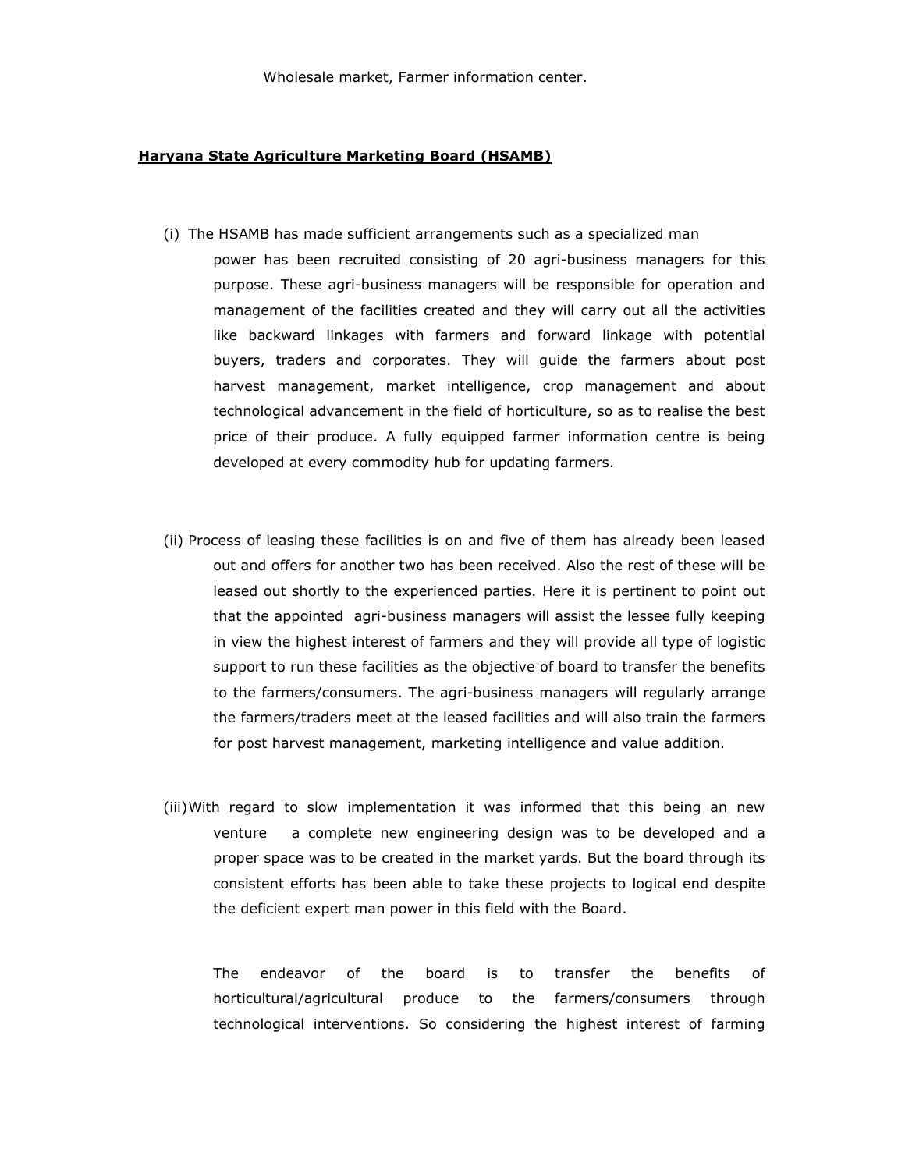Wholesale market, Farmer information center.

#### Haryana State Agriculture Marketing Board (HSAMB)

- (i) The HSAMB has made sufficient arrangements such as a specialized man power has been recruited consisting of 20 agri-business managers for this purpose. These agri-business managers will be responsible for operation and management of the facilities created and they will carry out all the activities like backward linkages with farmers and forward linkage with potential buyers, traders and corporates. They will guide the farmers about post harvest management, market intelligence, crop management and about technological advancement in the field of horticulture, so as to realise the best price of their produce. A fully equipped farmer information centre is being developed at every commodity hub for updating farmers.
- (ii) Process of leasing these facilities is on and five of them has already been leased out and offers for another two has been received. Also the rest of these will be leased out shortly to the experienced parties. Here it is pertinent to point out that the appointed agri-business managers will assist the lessee fully keeping in view the highest interest of farmers and they will provide all type of logistic support to run these facilities as the objective of board to transfer the benefits to the farmers/consumers. The agri-business managers will regularly arrange the farmers/traders meet at the leased facilities and will also train the farmers for post harvest management, marketing intelligence and value addition.
- (iii)With regard to slow implementation it was informed that this being an new venture a complete new engineering design was to be developed and a proper space was to be created in the market yards. But the board through its consistent efforts has been able to take these projects to logical end despite the deficient expert man power in this field with the Board.

The endeavor of the board is to transfer the benefits of horticultural/agricultural produce to the farmers/consumers through technological interventions. So considering the highest interest of farming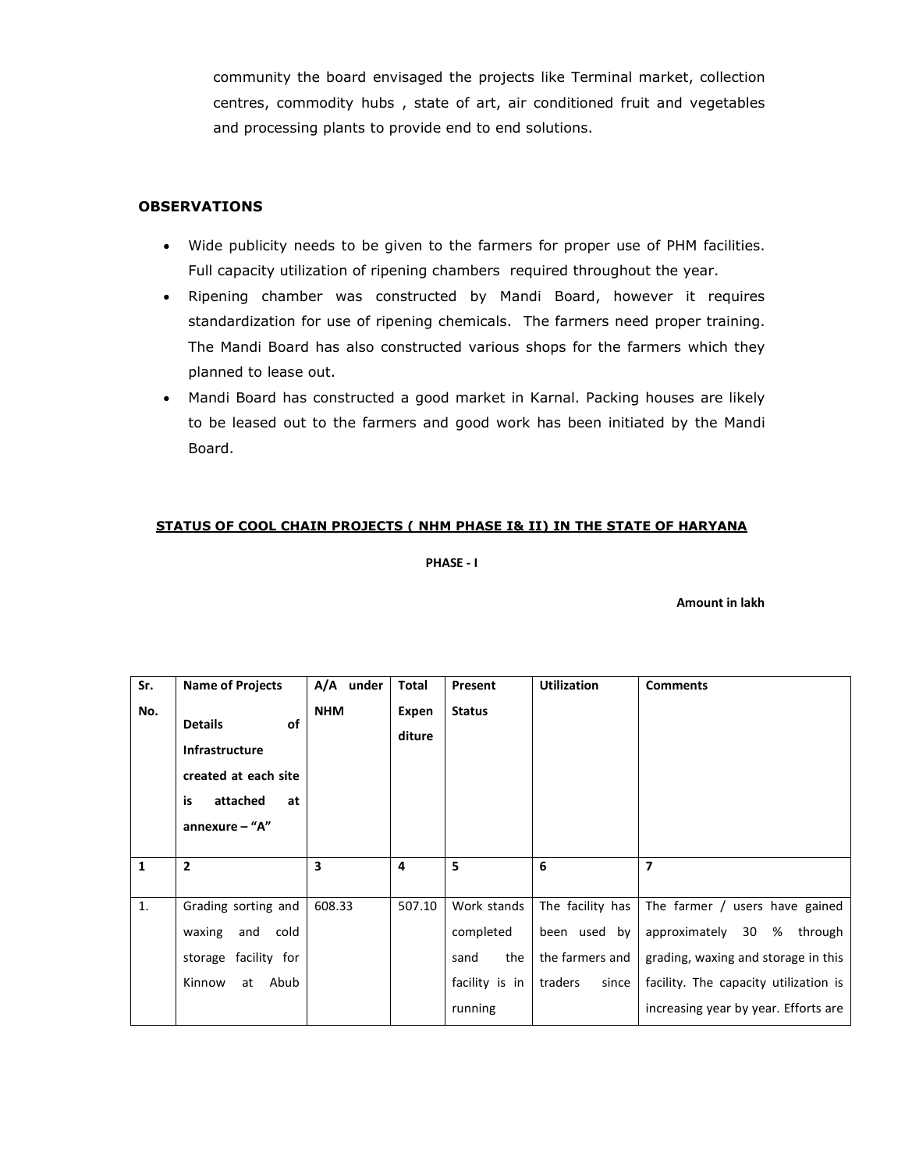community the board envisaged the projects like Terminal market, collection centres, commodity hubs , state of art, air conditioned fruit and vegetables and processing plants to provide end to end solutions.

## **OBSERVATIONS**

- Wide publicity needs to be given to the farmers for proper use of PHM facilities. Full capacity utilization of ripening chambers required throughout the year.
- Ripening chamber was constructed by Mandi Board, however it requires standardization for use of ripening chemicals. The farmers need proper training. The Mandi Board has also constructed various shops for the farmers which they planned to lease out.
- Mandi Board has constructed a good market in Karnal. Packing houses are likely to be leased out to the farmers and good work has been initiated by the Mandi Board.

## STATUS OF COOL CHAIN PROJECTS ( NHM PHASE I& II) IN THE STATE OF HARYANA

PHASE - I

Amount in lakh

| Sr.<br>No.   | <b>Name of Projects</b><br>of<br><b>Details</b><br><b>Infrastructure</b><br>created at each site<br>is<br>attached<br>at<br>annexure $-$ "A" | A/A under<br><b>NHM</b> | <b>Total</b><br>Expen<br>diture | Present<br><b>Status</b>                                             | <b>Utilization</b>                                                      | <b>Comments</b>                                                                                                                                                                      |
|--------------|----------------------------------------------------------------------------------------------------------------------------------------------|-------------------------|---------------------------------|----------------------------------------------------------------------|-------------------------------------------------------------------------|--------------------------------------------------------------------------------------------------------------------------------------------------------------------------------------|
| $\mathbf{1}$ | $\overline{2}$                                                                                                                               | 3                       | 4                               | 5                                                                    | 6                                                                       | $\overline{\mathbf{z}}$                                                                                                                                                              |
| 1.           | Grading sorting and<br>waxing<br>and cold<br>storage facility for<br>Abub<br>Kinnow<br>at                                                    | 608.33                  | 507.10                          | Work stands<br>completed<br>the<br>sand<br>facility is in<br>running | The facility has<br>been used by<br>the farmers and<br>traders<br>since | The farmer / users have gained<br>approximately 30 % through<br>grading, waxing and storage in this<br>facility. The capacity utilization is<br>increasing year by year. Efforts are |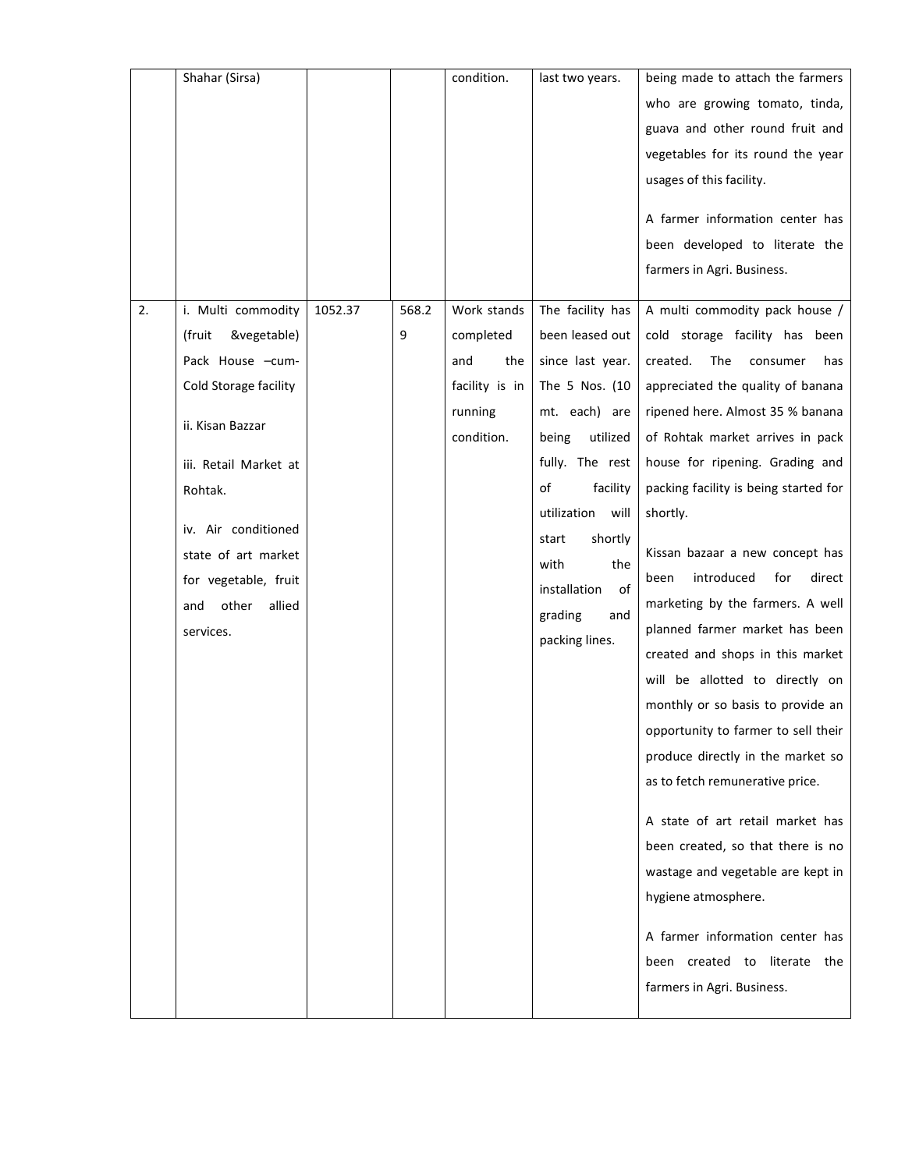|                     | Shahar (Sirsa)                                                                                                                                                                                                                               |         |            | condition.                                                                        | last two years.                                                                                                                                                                                                                                                          | being made to attach the farmers<br>who are growing tomato, tinda,<br>guava and other round fruit and<br>vegetables for its round the year<br>usages of this facility.<br>A farmer information center has<br>been developed to literate the<br>farmers in Agri. Business.                                                                                                                                                                                                                                                                                                                                                                                                                                                                                                                                                                                                                                                    |
|---------------------|----------------------------------------------------------------------------------------------------------------------------------------------------------------------------------------------------------------------------------------------|---------|------------|-----------------------------------------------------------------------------------|--------------------------------------------------------------------------------------------------------------------------------------------------------------------------------------------------------------------------------------------------------------------------|------------------------------------------------------------------------------------------------------------------------------------------------------------------------------------------------------------------------------------------------------------------------------------------------------------------------------------------------------------------------------------------------------------------------------------------------------------------------------------------------------------------------------------------------------------------------------------------------------------------------------------------------------------------------------------------------------------------------------------------------------------------------------------------------------------------------------------------------------------------------------------------------------------------------------|
| 2.<br>(fruit<br>and | i. Multi commodity<br>&vegetable)<br>Pack House -cum-<br>Cold Storage facility<br>ii. Kisan Bazzar<br>iii. Retail Market at<br>Rohtak.<br>iv. Air conditioned<br>state of art market<br>for vegetable, fruit<br>other<br>allied<br>services. | 1052.37 | 568.2<br>9 | Work stands<br>completed<br>the<br>and<br>facility is in<br>running<br>condition. | The facility has<br>been leased out<br>since last year.<br>The 5 Nos. (10<br>mt. each) are<br>being<br>utilized<br>fully. The rest<br>facility<br>of<br>utilization<br>will<br>shortly<br>start<br>with<br>the<br>installation<br>0f<br>grading<br>and<br>packing lines. | A multi commodity pack house /<br>cold storage facility has been<br>created.<br>The<br>consumer<br>has<br>appreciated the quality of banana<br>ripened here. Almost 35 % banana<br>of Rohtak market arrives in pack<br>house for ripening. Grading and<br>packing facility is being started for<br>shortly.<br>Kissan bazaar a new concept has<br>introduced<br>for<br>direct<br>been<br>marketing by the farmers. A well<br>planned farmer market has been<br>created and shops in this market<br>will be allotted to directly on<br>monthly or so basis to provide an<br>opportunity to farmer to sell their<br>produce directly in the market so<br>as to fetch remunerative price.<br>A state of art retail market has<br>been created, so that there is no<br>wastage and vegetable are kept in<br>hygiene atmosphere.<br>A farmer information center has<br>been created to literate the<br>farmers in Agri. Business. |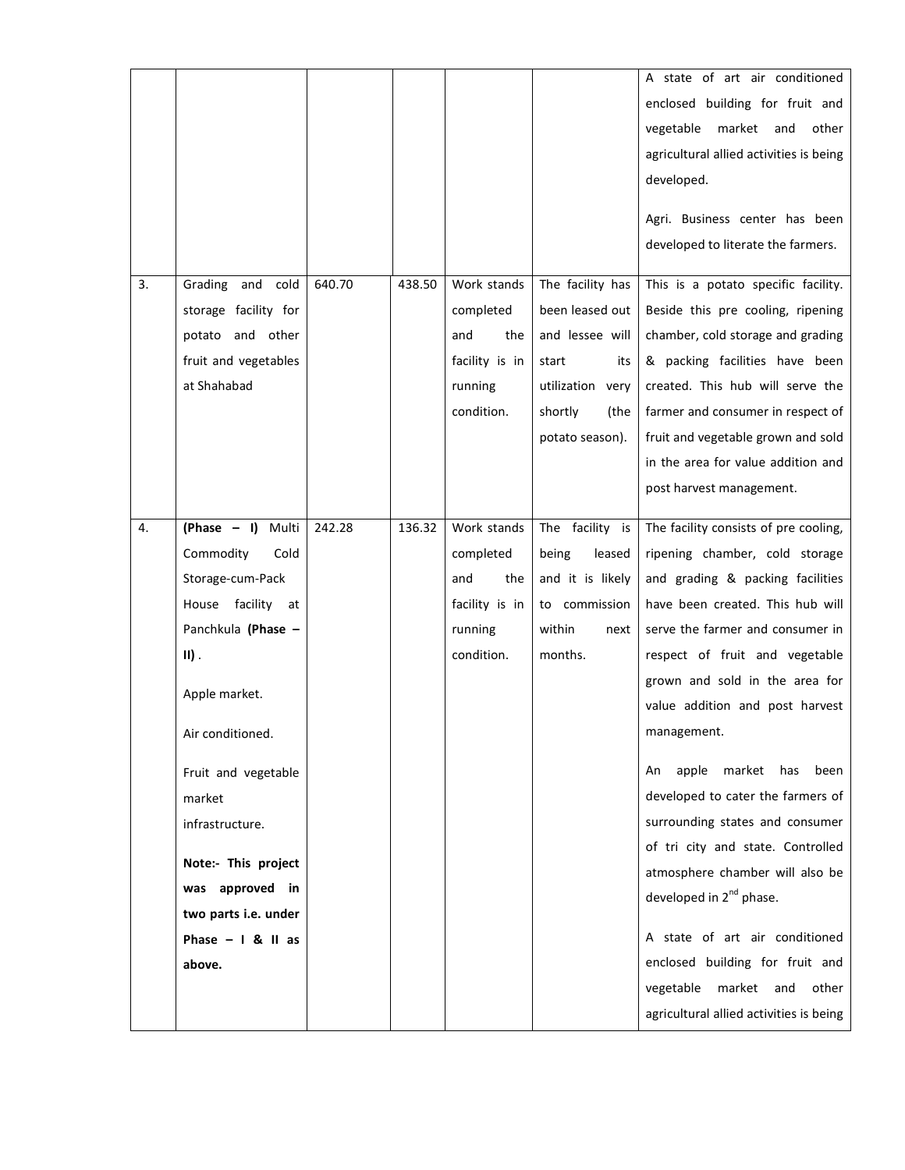|    |                        |        |        |                |                  | A state of art air conditioned          |
|----|------------------------|--------|--------|----------------|------------------|-----------------------------------------|
|    |                        |        |        |                |                  | enclosed building for fruit and         |
|    |                        |        |        |                |                  | market<br>vegetable<br>and<br>other     |
|    |                        |        |        |                |                  | agricultural allied activities is being |
|    |                        |        |        |                |                  | developed.                              |
|    |                        |        |        |                |                  |                                         |
|    |                        |        |        |                |                  | Agri. Business center has been          |
|    |                        |        |        |                |                  | developed to literate the farmers.      |
| 3. | Grading<br>and cold    | 640.70 | 438.50 | Work stands    | The facility has | This is a potato specific facility.     |
|    | storage facility for   |        |        | completed      | been leased out  | Beside this pre cooling, ripening       |
|    | potato and other       |        |        | and<br>the     | and lessee will  | chamber, cold storage and grading       |
|    | fruit and vegetables   |        |        | facility is in | start<br>its     | & packing facilities have been          |
|    | at Shahabad            |        |        | running        | utilization very | created. This hub will serve the        |
|    |                        |        |        | condition.     | shortly<br>(the  | farmer and consumer in respect of       |
|    |                        |        |        |                | potato season).  | fruit and vegetable grown and sold      |
|    |                        |        |        |                |                  | in the area for value addition and      |
|    |                        |        |        |                |                  | post harvest management.                |
|    |                        |        |        |                |                  |                                         |
| 4. | $(Phase - I)$<br>Multi | 242.28 | 136.32 | Work stands    | The facility is  | The facility consists of pre cooling,   |
|    | Commodity<br>Cold      |        |        | completed      | being<br>leased  | ripening chamber, cold storage          |
|    | Storage-cum-Pack       |        |        | and<br>the     | and it is likely | and grading & packing facilities        |
|    | House facility<br>at   |        |        | facility is in | to commission    | have been created. This hub will        |
|    | Panchkula (Phase -     |        |        | running        | within<br>next   | serve the farmer and consumer in        |
|    | $II)$ .                |        |        | condition.     | months.          | respect of fruit and vegetable          |
|    | Apple market.          |        |        |                |                  | grown and sold in the area for          |
|    |                        |        |        |                |                  | value addition and post harvest         |
|    | Air conditioned.       |        |        |                |                  | management.                             |
|    | Fruit and vegetable    |        |        |                |                  | apple market<br>has<br>been<br>An       |
|    | market                 |        |        |                |                  | developed to cater the farmers of       |
|    | infrastructure.        |        |        |                |                  | surrounding states and consumer         |
|    |                        |        |        |                |                  | of tri city and state. Controlled       |
|    | Note:- This project    |        |        |                |                  | atmosphere chamber will also be         |
|    | was approved in        |        |        |                |                  | developed in 2 <sup>nd</sup> phase.     |
|    | two parts i.e. under   |        |        |                |                  |                                         |
|    | Phase $-1$ & II as     |        |        |                |                  | A state of art air conditioned          |
|    | above.                 |        |        |                |                  | enclosed building for fruit and         |
|    |                        |        |        |                |                  | vegetable market and<br>other           |
|    |                        |        |        |                |                  | agricultural allied activities is being |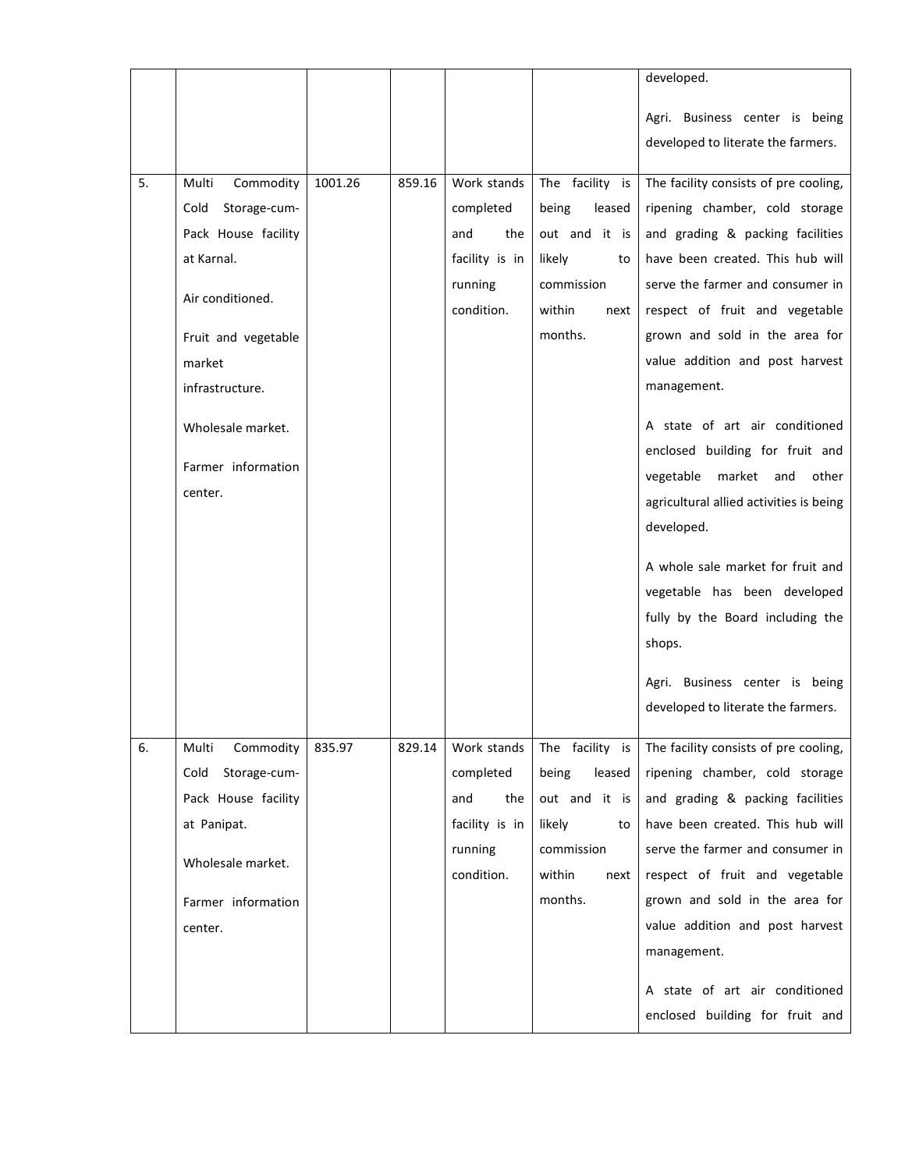|    |                      |         |        |                |                 | developed.                              |
|----|----------------------|---------|--------|----------------|-----------------|-----------------------------------------|
|    |                      |         |        |                |                 | Agri. Business center is being          |
|    |                      |         |        |                |                 | developed to literate the farmers.      |
|    |                      |         |        |                |                 |                                         |
| 5. | Multi<br>Commodity   | 1001.26 | 859.16 | Work stands    | The facility is | The facility consists of pre cooling,   |
|    | Storage-cum-<br>Cold |         |        | completed      | being<br>leased | ripening chamber, cold storage          |
|    | Pack House facility  |         |        | the<br>and     | out and it is   | and grading & packing facilities        |
|    | at Karnal.           |         |        | facility is in | likely<br>to    | have been created. This hub will        |
|    | Air conditioned.     |         |        | running        | commission      | serve the farmer and consumer in        |
|    |                      |         |        | condition.     | within<br>next  | respect of fruit and vegetable          |
|    | Fruit and vegetable  |         |        |                | months.         | grown and sold in the area for          |
|    | market               |         |        |                |                 | value addition and post harvest         |
|    | infrastructure.      |         |        |                |                 | management.                             |
|    | Wholesale market.    |         |        |                |                 | A state of art air conditioned          |
|    | Farmer information   |         |        |                |                 | enclosed building for fruit and         |
|    |                      |         |        |                |                 | market and<br>vegetable<br>other        |
|    | center.              |         |        |                |                 | agricultural allied activities is being |
|    |                      |         |        |                |                 | developed.                              |
|    |                      |         |        |                |                 | A whole sale market for fruit and       |
|    |                      |         |        |                |                 | vegetable has been developed            |
|    |                      |         |        |                |                 | fully by the Board including the        |
|    |                      |         |        |                |                 | shops.                                  |
|    |                      |         |        |                |                 | Agri. Business center is being          |
|    |                      |         |        |                |                 | developed to literate the farmers.      |
|    |                      |         |        |                |                 |                                         |
| 6. | Commodity<br>Multi   | 835.97  | 829.14 | Work stands    | The facility is | The facility consists of pre cooling,   |
|    | Storage-cum-<br>Cold |         |        | completed      | being<br>leased | ripening chamber, cold storage          |
|    | Pack House facility  |         |        | the<br>and     | out and it is   | and grading & packing facilities        |
|    | at Panipat.          |         |        | facility is in | likely<br>to    | have been created. This hub will        |
|    | Wholesale market.    |         |        | running        | commission      | serve the farmer and consumer in        |
|    |                      |         |        | condition.     | within<br>next  | respect of fruit and vegetable          |
|    | Farmer information   |         |        |                | months.         | grown and sold in the area for          |
|    | center.              |         |        |                |                 | value addition and post harvest         |
|    |                      |         |        |                |                 | management.                             |
|    |                      |         |        |                |                 | A state of art air conditioned          |
|    |                      |         |        |                |                 | enclosed building for fruit and         |
|    |                      |         |        |                |                 |                                         |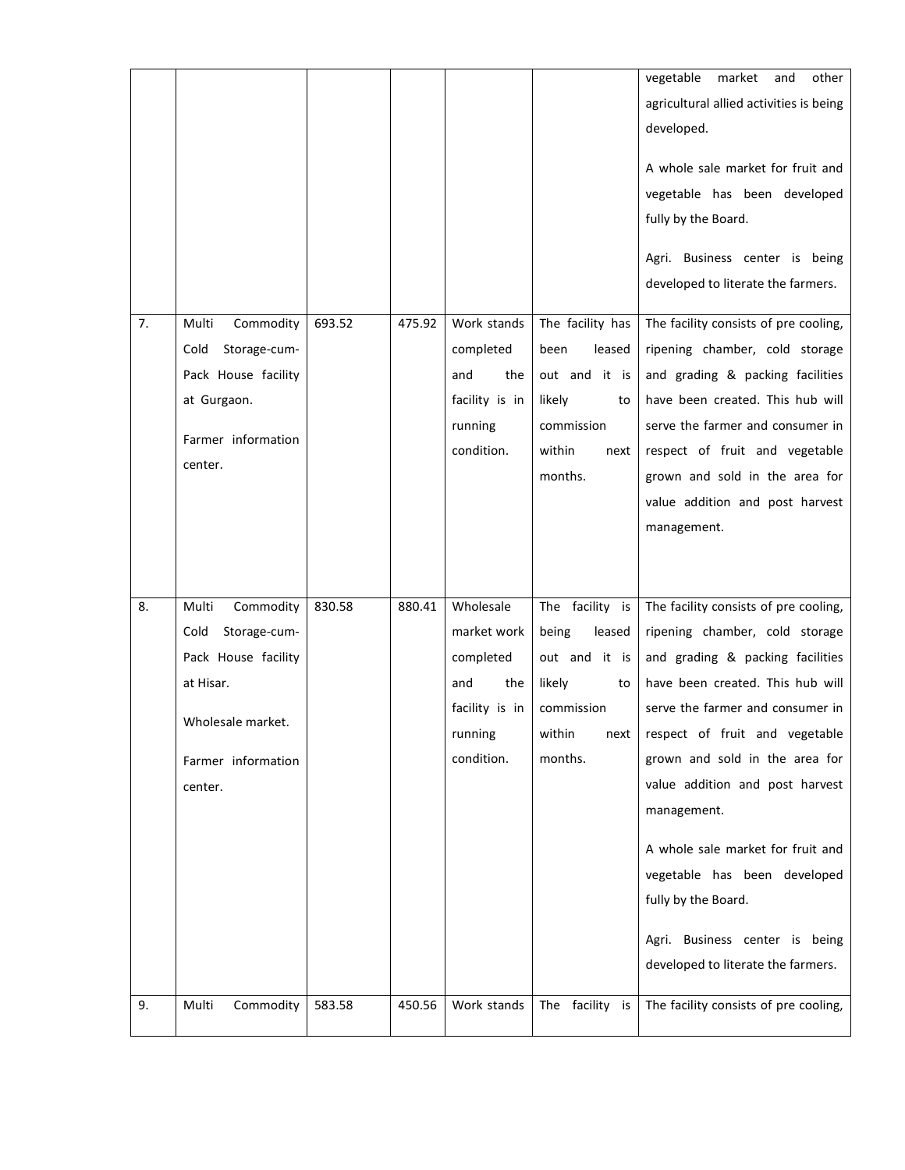| 7.       | Commodity<br>Multi<br>Storage-cum-<br>Cold<br>Pack House facility<br>at Gurgaon.<br>Farmer information<br>center.                                          | 693.52           | 475.92           | Work stands<br>completed<br>the<br>and<br>facility is in<br>running<br>condition.                             | The facility has<br>been<br>leased<br>out and it is<br>likely<br>to<br>commission<br>within<br>next<br>months.                    | vegetable<br>market<br>and<br>other<br>agricultural allied activities is being<br>developed.<br>A whole sale market for fruit and<br>vegetable has been developed<br>fully by the Board.<br>Agri. Business center is being<br>developed to literate the farmers.<br>The facility consists of pre cooling,<br>ripening chamber, cold storage<br>and grading & packing facilities<br>have been created. This hub will<br>serve the farmer and consumer in<br>respect of fruit and vegetable<br>grown and sold in the area for<br>value addition and post harvest<br>management. |
|----------|------------------------------------------------------------------------------------------------------------------------------------------------------------|------------------|------------------|---------------------------------------------------------------------------------------------------------------|-----------------------------------------------------------------------------------------------------------------------------------|-------------------------------------------------------------------------------------------------------------------------------------------------------------------------------------------------------------------------------------------------------------------------------------------------------------------------------------------------------------------------------------------------------------------------------------------------------------------------------------------------------------------------------------------------------------------------------|
| 8.<br>9. | Multi<br>Commodity<br>Storage-cum-<br>Cold<br>Pack House facility<br>at Hisar.<br>Wholesale market.<br>Farmer information<br>center.<br>Commodity<br>Multi | 830.58<br>583.58 | 880.41<br>450.56 | Wholesale<br>market work<br>completed<br>the<br>and<br>facility is in<br>running<br>condition.<br>Work stands | The facility is<br>being<br>leased<br>out and it is<br>likely<br>to<br>commission<br>within<br>next<br>months.<br>The facility is | The facility consists of pre cooling,<br>ripening chamber, cold storage<br>and grading & packing facilities<br>have been created. This hub will<br>serve the farmer and consumer in<br>respect of fruit and vegetable<br>grown and sold in the area for<br>value addition and post harvest<br>management.<br>A whole sale market for fruit and<br>vegetable has been developed<br>fully by the Board.<br>Agri. Business center is being<br>developed to literate the farmers.<br>The facility consists of pre cooling,                                                        |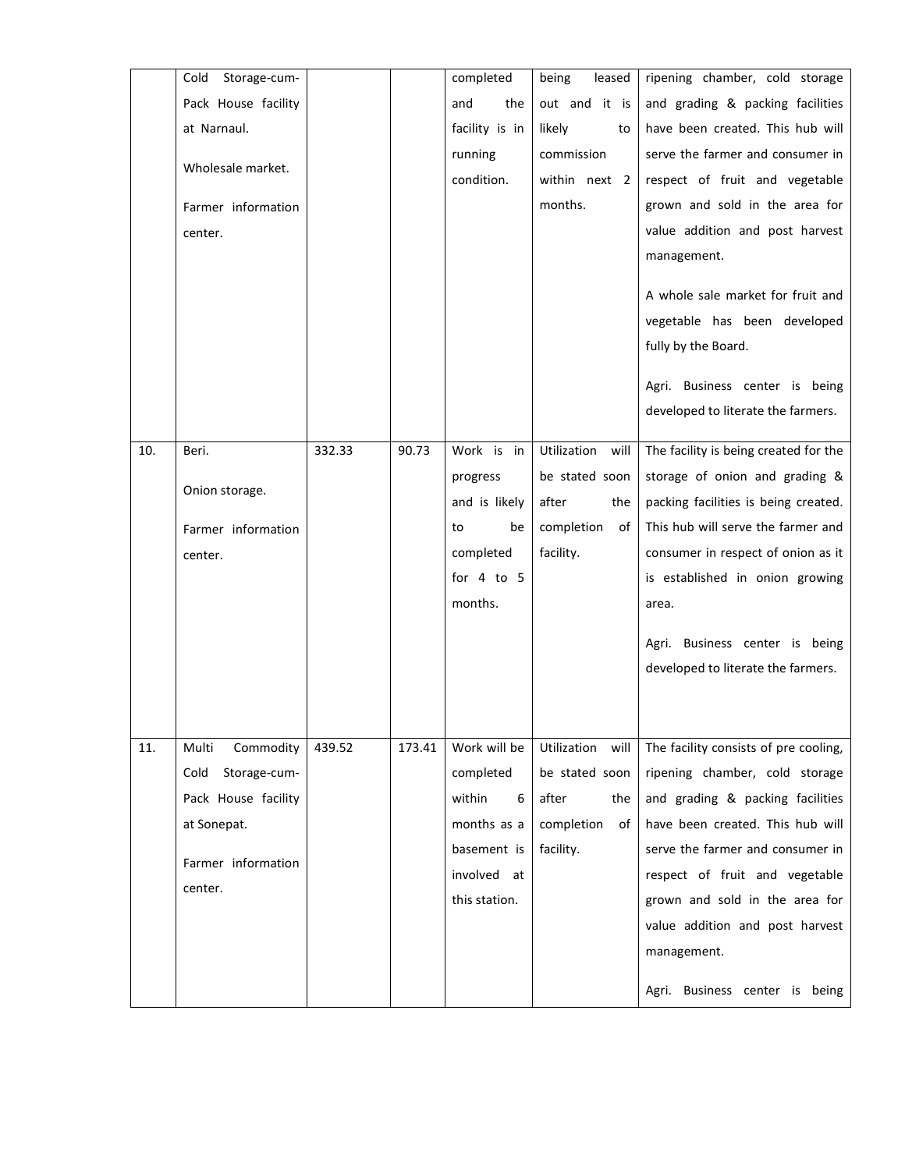|     | Cold<br>Storage-cum- |        |        | completed      | leased<br>being     | ripening chamber, cold storage        |
|-----|----------------------|--------|--------|----------------|---------------------|---------------------------------------|
|     | Pack House facility  |        |        | and<br>the     | out and it is       | and grading & packing facilities      |
|     | at Narnaul.          |        |        | facility is in | likely<br>to        | have been created. This hub will      |
|     |                      |        |        | running        | commission          | serve the farmer and consumer in      |
|     | Wholesale market.    |        |        | condition.     | within next 2       | respect of fruit and vegetable        |
|     | Farmer information   |        |        |                | months.             | grown and sold in the area for        |
|     | center.              |        |        |                |                     | value addition and post harvest       |
|     |                      |        |        |                |                     | management.                           |
|     |                      |        |        |                |                     | A whole sale market for fruit and     |
|     |                      |        |        |                |                     | vegetable has been developed          |
|     |                      |        |        |                |                     | fully by the Board.                   |
|     |                      |        |        |                |                     | Agri. Business center is being        |
|     |                      |        |        |                |                     | developed to literate the farmers.    |
| 10. | Beri.                | 332.33 | 90.73  | Work is in     | Utilization<br>will | The facility is being created for the |
|     |                      |        |        | progress       | be stated soon      | storage of onion and grading &        |
|     | Onion storage.       |        |        | and is likely  | after<br>the        | packing facilities is being created.  |
|     | Farmer information   |        |        | be<br>to       | completion<br>of    | This hub will serve the farmer and    |
|     |                      |        |        | completed      | facility.           | consumer in respect of onion as it    |
|     | center.              |        |        | for $4$ to $5$ |                     | is established in onion growing       |
|     |                      |        |        | months.        |                     | area.                                 |
|     |                      |        |        |                |                     |                                       |
|     |                      |        |        |                |                     | Agri. Business center is being        |
|     |                      |        |        |                |                     | developed to literate the farmers.    |
|     |                      |        |        |                |                     |                                       |
|     |                      |        |        |                |                     |                                       |
| 11. | Commodity<br>Multi   | 439.52 | 173.41 | Work will be   | Utilization will    | The facility consists of pre cooling, |
|     | Cold<br>Storage-cum- |        |        | completed      | be stated soon      | ripening chamber, cold storage        |
|     | Pack House facility  |        |        | within<br>6    | after<br>the        | and grading & packing facilities      |
|     | at Sonepat.          |        |        | months as a    | completion<br>of    | have been created. This hub will      |
|     | Farmer information   |        |        | basement is    | facility.           | serve the farmer and consumer in      |
|     | center.              |        |        | involved at    |                     | respect of fruit and vegetable        |
|     |                      |        |        | this station.  |                     | grown and sold in the area for        |
|     |                      |        |        |                |                     | value addition and post harvest       |
|     |                      |        |        |                |                     | management.                           |
|     |                      |        |        |                |                     | Agri. Business center is being        |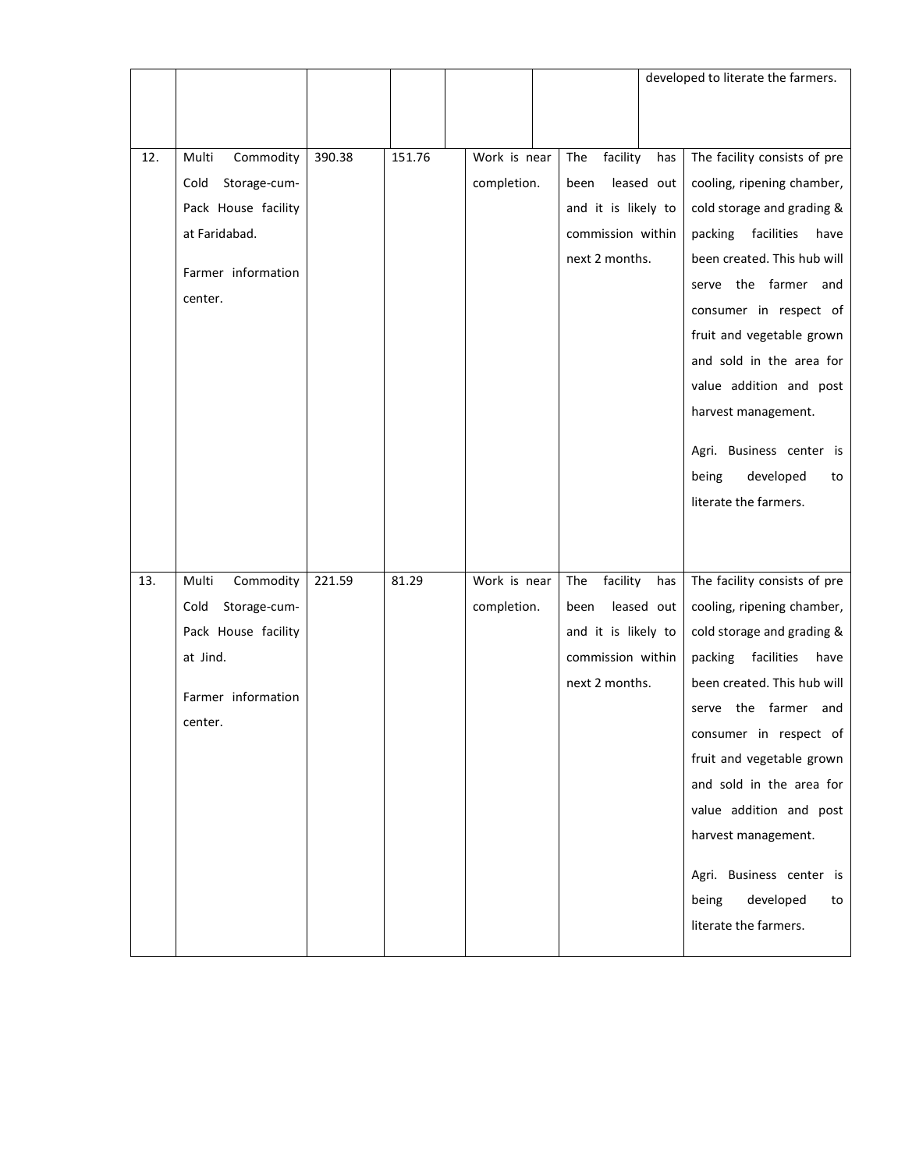|     |                      |        |        |              |                     | developed to literate the farmers. |                               |  |
|-----|----------------------|--------|--------|--------------|---------------------|------------------------------------|-------------------------------|--|
|     |                      |        |        |              |                     |                                    |                               |  |
|     |                      |        |        |              |                     |                                    |                               |  |
| 12. | Multi<br>Commodity   | 390.38 | 151.76 | Work is near | facility<br>The     | has                                | The facility consists of pre  |  |
|     | Storage-cum-<br>Cold |        |        | completion.  | been                | leased out                         | cooling, ripening chamber,    |  |
|     | Pack House facility  |        |        |              | and it is likely to |                                    | cold storage and grading &    |  |
|     | at Faridabad.        |        |        |              | commission within   |                                    | packing<br>facilities<br>have |  |
|     |                      |        |        |              | next 2 months.      |                                    | been created. This hub will   |  |
|     | Farmer information   |        |        |              |                     |                                    | the farmer and<br>serve       |  |
|     | center.              |        |        |              |                     |                                    | consumer in respect of        |  |
|     |                      |        |        |              |                     |                                    | fruit and vegetable grown     |  |
|     |                      |        |        |              |                     |                                    | and sold in the area for      |  |
|     |                      |        |        |              |                     |                                    | value addition and post       |  |
|     |                      |        |        |              |                     |                                    | harvest management.           |  |
|     |                      |        |        |              |                     |                                    |                               |  |
|     |                      |        |        |              |                     |                                    | Agri. Business center is      |  |
|     |                      |        |        |              |                     |                                    | being<br>developed<br>to      |  |
|     |                      |        |        |              |                     |                                    | literate the farmers.         |  |
|     |                      |        |        |              |                     |                                    |                               |  |
|     |                      |        |        |              |                     |                                    |                               |  |
| 13. | Multi<br>Commodity   | 221.59 | 81.29  | Work is near | facility<br>The     | has                                | The facility consists of pre  |  |
|     | Storage-cum-<br>Cold |        |        | completion.  | been                | leased out                         | cooling, ripening chamber,    |  |
|     | Pack House facility  |        |        |              | and it is likely to |                                    | cold storage and grading &    |  |
|     | at Jind.             |        |        |              | commission within   |                                    | facilities<br>packing<br>have |  |
|     | Farmer information   |        |        |              | next 2 months.      |                                    | been created. This hub will   |  |
|     | center.              |        |        |              |                     |                                    | the farmer and<br>serve       |  |
|     |                      |        |        |              |                     |                                    | consumer in respect of        |  |
|     |                      |        |        |              |                     |                                    | fruit and vegetable grown     |  |
|     |                      |        |        |              |                     |                                    | and sold in the area for      |  |
|     |                      |        |        |              |                     |                                    | value addition and post       |  |
|     |                      |        |        |              |                     |                                    | harvest management.           |  |
|     |                      |        |        |              |                     |                                    | Agri. Business center is      |  |
|     |                      |        |        |              |                     |                                    | being<br>developed            |  |
|     |                      |        |        |              |                     |                                    | to<br>literate the farmers.   |  |
|     |                      |        |        |              |                     |                                    |                               |  |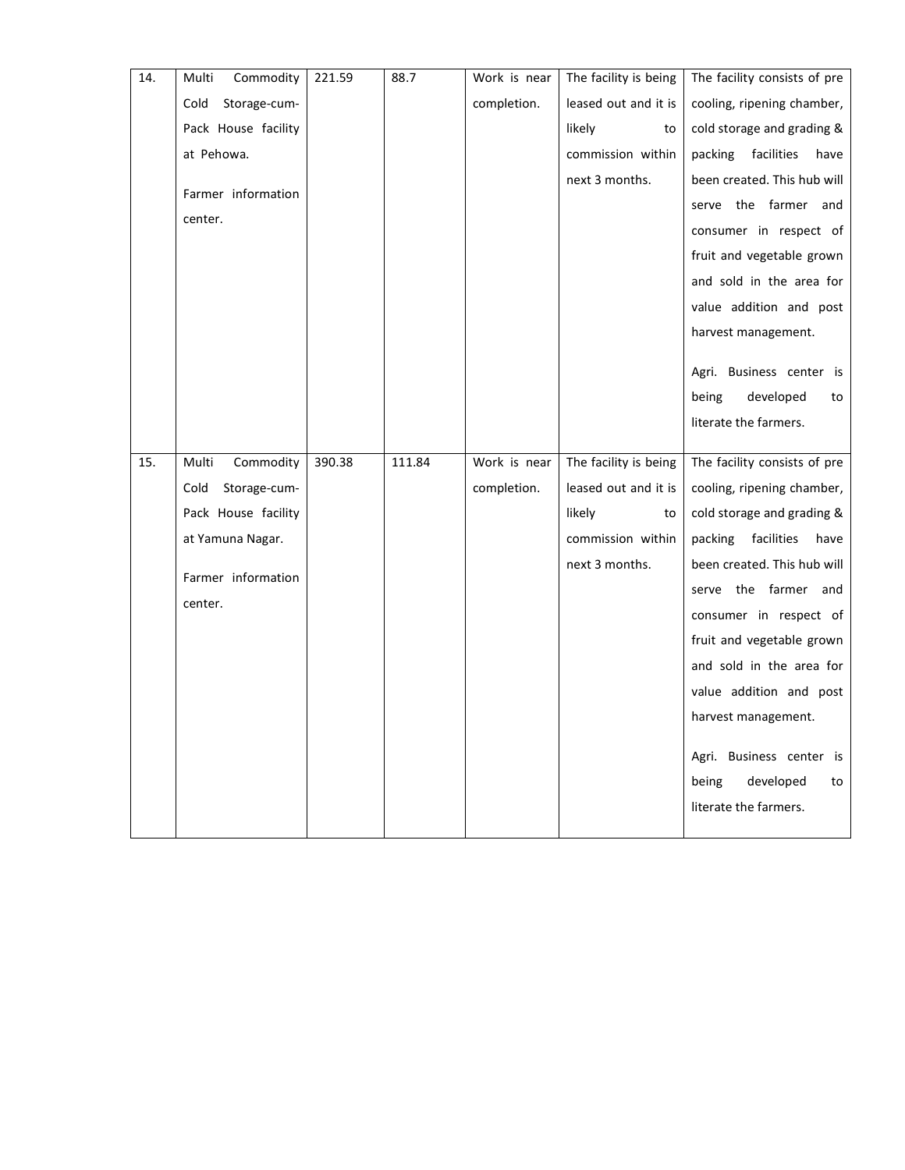| 14. | Multi<br>Commodity   | 221.59 | 88.7   | Work is near | The facility is being | The facility consists of pre  |
|-----|----------------------|--------|--------|--------------|-----------------------|-------------------------------|
|     | Cold<br>Storage-cum- |        |        | completion.  | leased out and it is  | cooling, ripening chamber,    |
|     | Pack House facility  |        |        |              | likely<br>to          | cold storage and grading &    |
|     | at Pehowa.           |        |        |              | commission within     | facilities<br>packing<br>have |
|     |                      |        |        |              | next 3 months.        | been created. This hub will   |
|     | Farmer information   |        |        |              |                       | serve the farmer and          |
|     | center.              |        |        |              |                       | consumer in respect of        |
|     |                      |        |        |              |                       | fruit and vegetable grown     |
|     |                      |        |        |              |                       | and sold in the area for      |
|     |                      |        |        |              |                       | value addition and post       |
|     |                      |        |        |              |                       | harvest management.           |
|     |                      |        |        |              |                       | Agri. Business center is      |
|     |                      |        |        |              |                       | being<br>developed<br>to      |
|     |                      |        |        |              |                       | literate the farmers.         |
|     |                      |        |        |              |                       |                               |
| 15. | Multi<br>Commodity   | 390.38 | 111.84 | Work is near | The facility is being | The facility consists of pre  |
|     | Cold<br>Storage-cum- |        |        | completion.  | leased out and it is  | cooling, ripening chamber,    |
|     | Pack House facility  |        |        |              | likely<br>to          | cold storage and grading &    |
|     | at Yamuna Nagar.     |        |        |              | commission within     | facilities<br>packing<br>have |
|     |                      |        |        |              | next 3 months.        | been created. This hub will   |
|     | Farmer information   |        |        |              |                       | serve the farmer and          |
|     | center.              |        |        |              |                       | consumer in respect of        |
|     |                      |        |        |              |                       | fruit and vegetable grown     |
|     |                      |        |        |              |                       | and sold in the area for      |
|     |                      |        |        |              |                       | value addition and post       |
|     |                      |        |        |              |                       | harvest management.           |
|     |                      |        |        |              |                       | Agri. Business center is      |
|     |                      |        |        |              |                       | developed<br>being<br>to      |
|     |                      |        |        |              |                       | literate the farmers.         |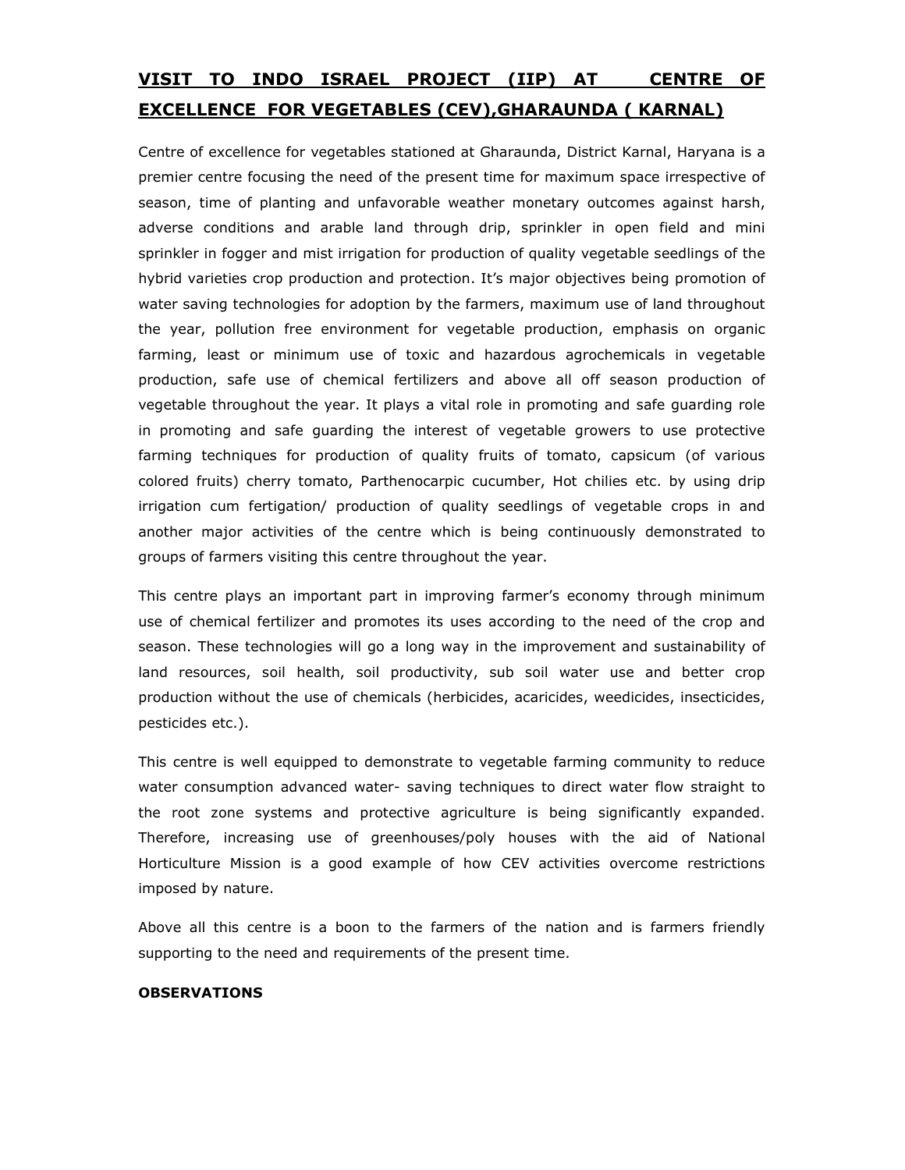# VISIT TO INDO ISRAEL PROJECT (IIP) AT CENTRE OF EXCELLENCE FOR VEGETABLES (CEV),GHARAUNDA ( KARNAL)

Centre of excellence for vegetables stationed at Gharaunda, District Karnal, Haryana is a premier centre focusing the need of the present time for maximum space irrespective of season, time of planting and unfavorable weather monetary outcomes against harsh, adverse conditions and arable land through drip, sprinkler in open field and mini sprinkler in fogger and mist irrigation for production of quality vegetable seedlings of the hybrid varieties crop production and protection. It's major objectives being promotion of water saving technologies for adoption by the farmers, maximum use of land throughout the year, pollution free environment for vegetable production, emphasis on organic farming, least or minimum use of toxic and hazardous agrochemicals in vegetable production, safe use of chemical fertilizers and above all off season production of vegetable throughout the year. It plays a vital role in promoting and safe guarding role in promoting and safe guarding the interest of vegetable growers to use protective farming techniques for production of quality fruits of tomato, capsicum (of various colored fruits) cherry tomato, Parthenocarpic cucumber, Hot chilies etc. by using drip irrigation cum fertigation/ production of quality seedlings of vegetable crops in and another major activities of the centre which is being continuously demonstrated to groups of farmers visiting this centre throughout the year.

This centre plays an important part in improving farmer's economy through minimum use of chemical fertilizer and promotes its uses according to the need of the crop and season. These technologies will go a long way in the improvement and sustainability of land resources, soil health, soil productivity, sub soil water use and better crop production without the use of chemicals (herbicides, acaricides, weedicides, insecticides, pesticides etc.).

This centre is well equipped to demonstrate to vegetable farming community to reduce water consumption advanced water- saving techniques to direct water flow straight to the root zone systems and protective agriculture is being significantly expanded. Therefore, increasing use of greenhouses/poly houses with the aid of National Horticulture Mission is a good example of how CEV activities overcome restrictions imposed by nature.

Above all this centre is a boon to the farmers of the nation and is farmers friendly supporting to the need and requirements of the present time.

## **OBSERVATIONS**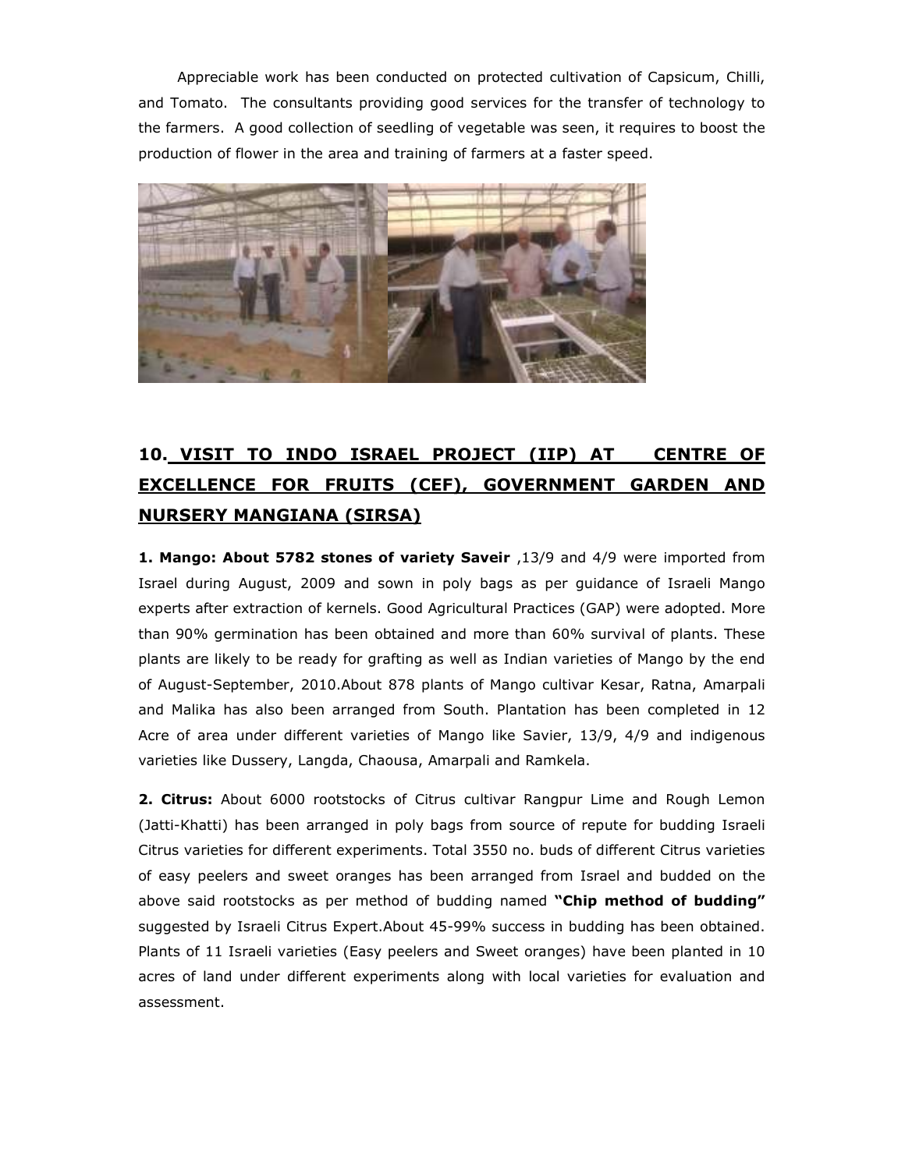Appreciable work has been conducted on protected cultivation of Capsicum, Chilli, and Tomato. The consultants providing good services for the transfer of technology to the farmers. A good collection of seedling of vegetable was seen, it requires to boost the production of flower in the area and training of farmers at a faster speed.



# 10. VISIT TO INDO ISRAEL PROJECT (IIP) AT CENTRE OF EXCELLENCE FOR FRUITS (CEF), GOVERNMENT GARDEN AND NURSERY MANGIANA (SIRSA)

1. Mango: About 5782 stones of variety Saveir , 13/9 and 4/9 were imported from Israel during August, 2009 and sown in poly bags as per guidance of Israeli Mango experts after extraction of kernels. Good Agricultural Practices (GAP) were adopted. More than 90% germination has been obtained and more than 60% survival of plants. These plants are likely to be ready for grafting as well as Indian varieties of Mango by the end of August-September, 2010.About 878 plants of Mango cultivar Kesar, Ratna, Amarpali and Malika has also been arranged from South. Plantation has been completed in 12 Acre of area under different varieties of Mango like Savier, 13/9, 4/9 and indigenous varieties like Dussery, Langda, Chaousa, Amarpali and Ramkela.

2. Citrus: About 6000 rootstocks of Citrus cultivar Rangpur Lime and Rough Lemon (Jatti-Khatti) has been arranged in poly bags from source of repute for budding Israeli Citrus varieties for different experiments. Total 3550 no. buds of different Citrus varieties of easy peelers and sweet oranges has been arranged from Israel and budded on the above said rootstocks as per method of budding named "Chip method of budding" suggested by Israeli Citrus Expert.About 45-99% success in budding has been obtained. Plants of 11 Israeli varieties (Easy peelers and Sweet oranges) have been planted in 10 acres of land under different experiments along with local varieties for evaluation and assessment.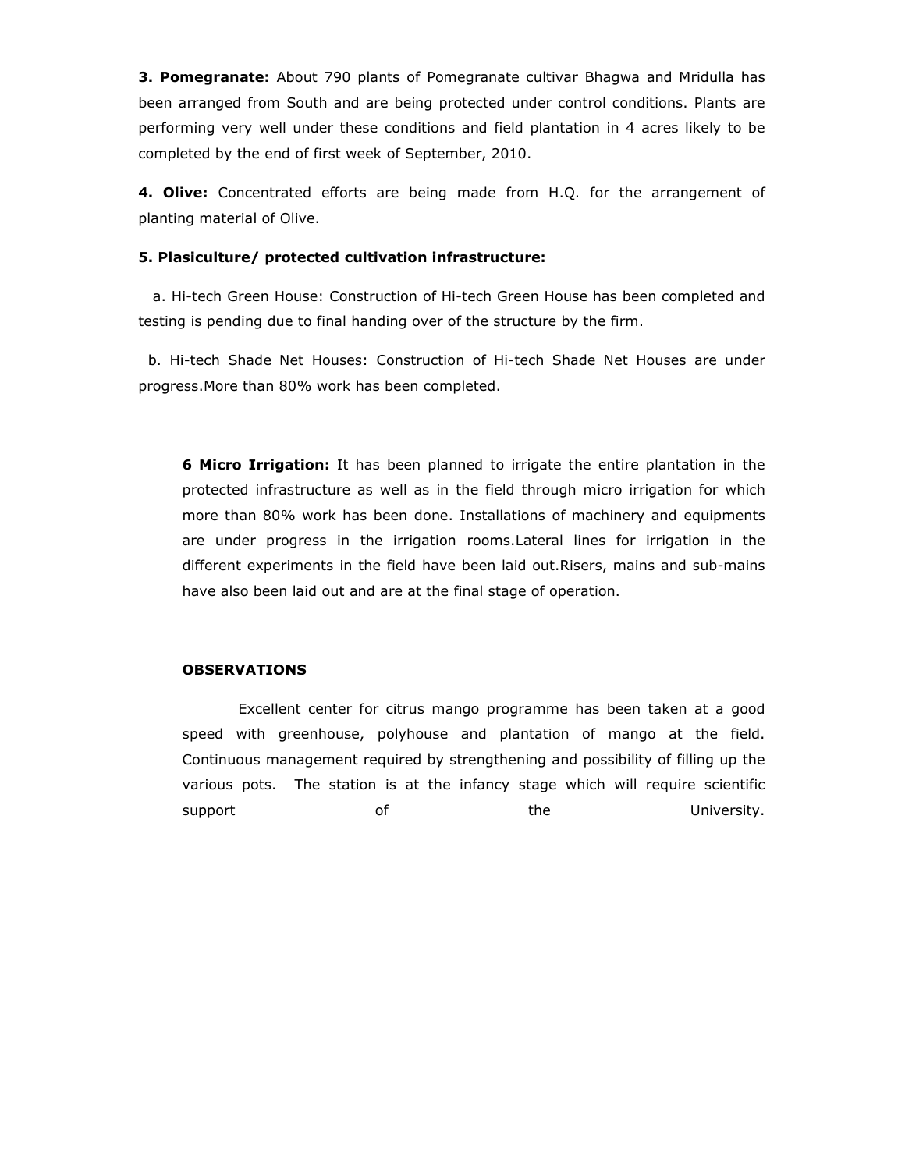**3. Pomegranate:** About 790 plants of Pomegranate cultivar Bhagwa and Mridulla has been arranged from South and are being protected under control conditions. Plants are performing very well under these conditions and field plantation in 4 acres likely to be completed by the end of first week of September, 2010.

4. Olive: Concentrated efforts are being made from H.Q. for the arrangement of planting material of Olive.

## 5. Plasiculture/ protected cultivation infrastructure:

 a. Hi-tech Green House: Construction of Hi-tech Green House has been completed and testing is pending due to final handing over of the structure by the firm.

 b. Hi-tech Shade Net Houses: Construction of Hi-tech Shade Net Houses are under progress.More than 80% work has been completed.

**6 Micro Irrigation:** It has been planned to irrigate the entire plantation in the protected infrastructure as well as in the field through micro irrigation for which more than 80% work has been done. Installations of machinery and equipments are under progress in the irrigation rooms.Lateral lines for irrigation in the different experiments in the field have been laid out.Risers, mains and sub-mains have also been laid out and are at the final stage of operation.

#### OBSERVATIONS

 Excellent center for citrus mango programme has been taken at a good speed with greenhouse, polyhouse and plantation of mango at the field. Continuous management required by strengthening and possibility of filling up the various pots. The station is at the infancy stage which will require scientific support of of the University.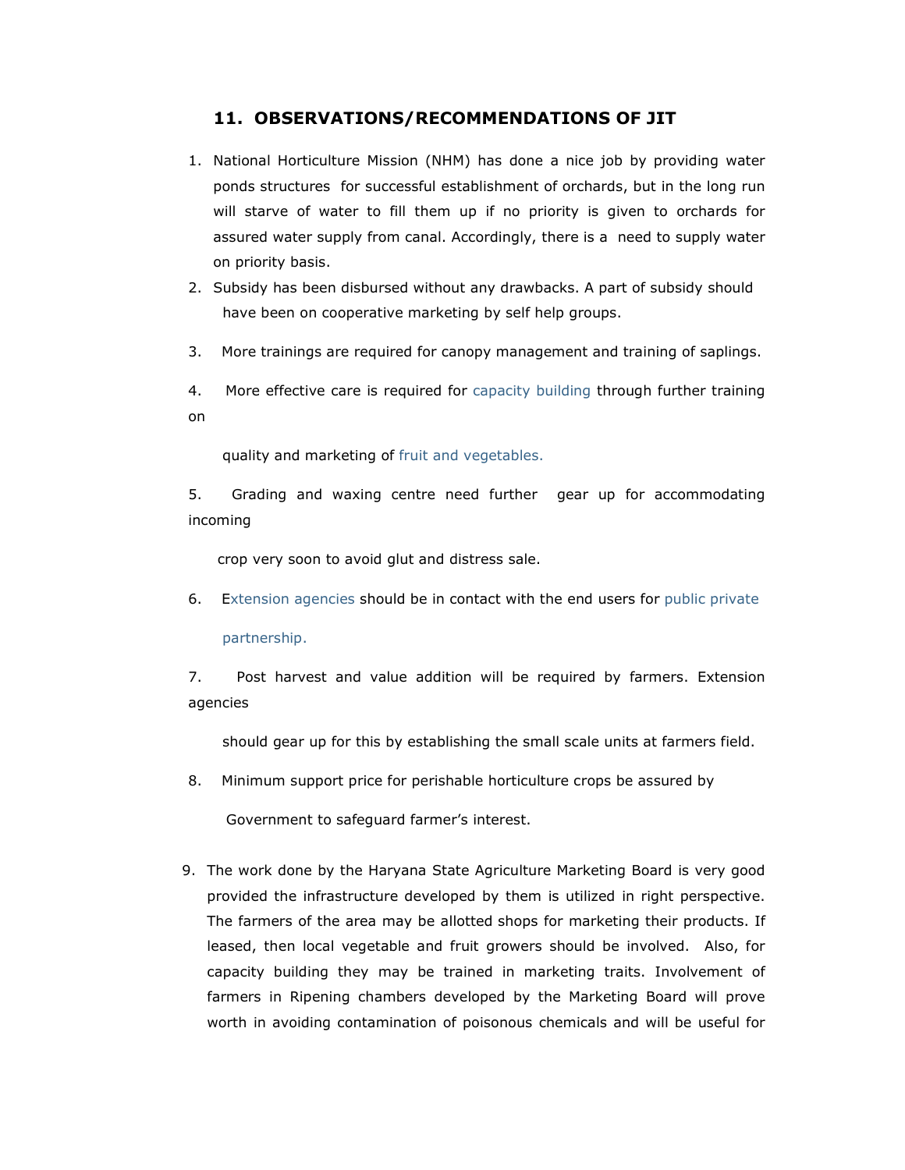## 11. OBSERVATIONS/RECOMMENDATIONS OF JIT

- 1. National Horticulture Mission (NHM) has done a nice job by providing water ponds structures for successful establishment of orchards, but in the long run will starve of water to fill them up if no priority is given to orchards for assured water supply from canal. Accordingly, there is a need to supply water on priority basis.
- 2. Subsidy has been disbursed without any drawbacks. A part of subsidy should have been on cooperative marketing by self help groups.
- 3. More trainings are required for canopy management and training of saplings.

4. More effective care is required for capacity building through further training on

quality and marketing of fruit and vegetables.

5. Grading and waxing centre need further gear up for accommodating incoming

crop very soon to avoid glut and distress sale.

6. Extension agencies should be in contact with the end users for public private

partnership.

7. Post harvest and value addition will be required by farmers. Extension agencies

should gear up for this by establishing the small scale units at farmers field.

8. Minimum support price for perishable horticulture crops be assured by

Government to safeguard farmer's interest.

9. The work done by the Haryana State Agriculture Marketing Board is very good provided the infrastructure developed by them is utilized in right perspective. The farmers of the area may be allotted shops for marketing their products. If leased, then local vegetable and fruit growers should be involved. Also, for capacity building they may be trained in marketing traits. Involvement of farmers in Ripening chambers developed by the Marketing Board will prove worth in avoiding contamination of poisonous chemicals and will be useful for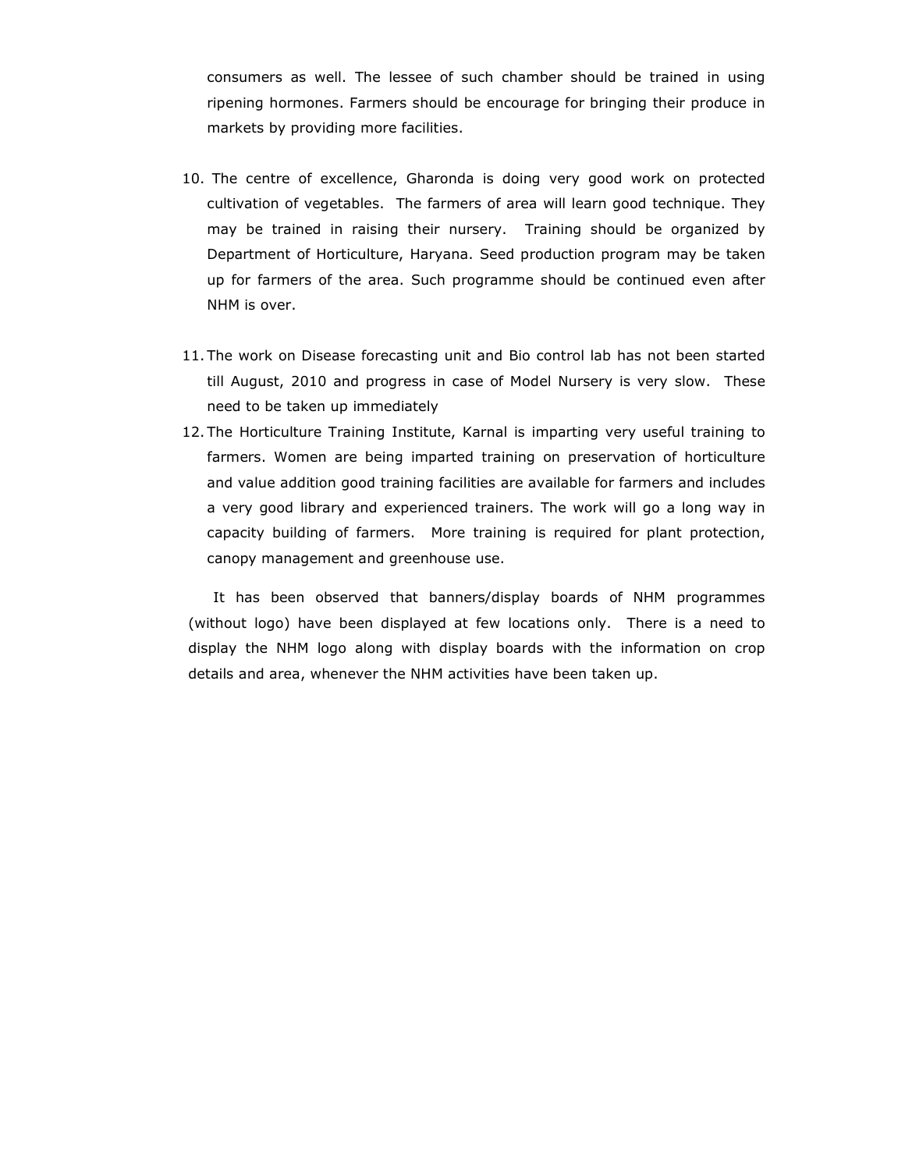consumers as well. The lessee of such chamber should be trained in using ripening hormones. Farmers should be encourage for bringing their produce in markets by providing more facilities.

- 10. The centre of excellence, Gharonda is doing very good work on protected cultivation of vegetables. The farmers of area will learn good technique. They may be trained in raising their nursery. Training should be organized by Department of Horticulture, Haryana. Seed production program may be taken up for farmers of the area. Such programme should be continued even after NHM is over.
- 11. The work on Disease forecasting unit and Bio control lab has not been started till August, 2010 and progress in case of Model Nursery is very slow. These need to be taken up immediately
- 12. The Horticulture Training Institute, Karnal is imparting very useful training to farmers. Women are being imparted training on preservation of horticulture and value addition good training facilities are available for farmers and includes a very good library and experienced trainers. The work will go a long way in capacity building of farmers. More training is required for plant protection, canopy management and greenhouse use.

It has been observed that banners/display boards of NHM programmes (without logo) have been displayed at few locations only. There is a need to display the NHM logo along with display boards with the information on crop details and area, whenever the NHM activities have been taken up.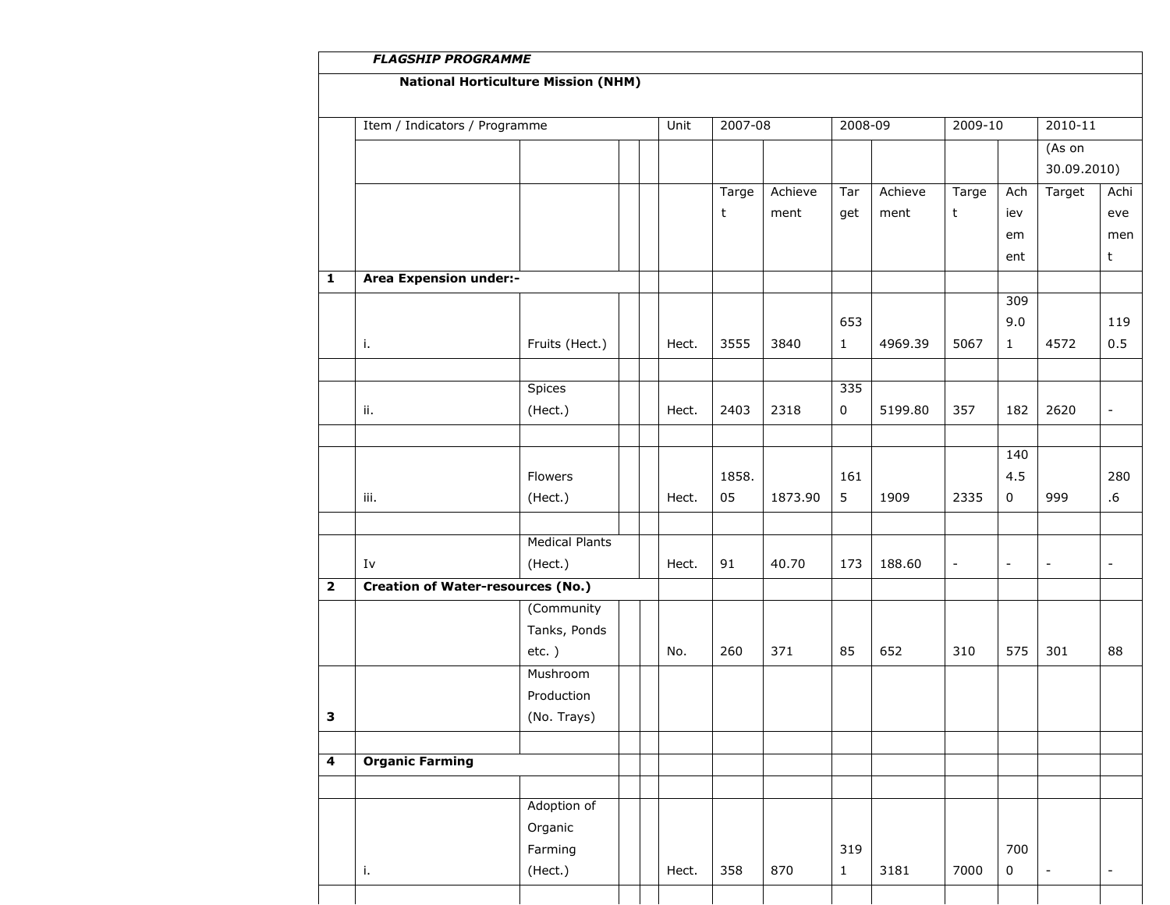|                         | <b>FLAGSHIP PROGRAMME</b>                  |                       |  |       |         |         |                 |         |                |                |                          |                          |
|-------------------------|--------------------------------------------|-----------------------|--|-------|---------|---------|-----------------|---------|----------------|----------------|--------------------------|--------------------------|
|                         | <b>National Horticulture Mission (NHM)</b> |                       |  |       |         |         |                 |         |                |                |                          |                          |
|                         | Item / Indicators / Programme              |                       |  | Unit  | 2007-08 |         | 2008-09         |         | 2009-10        |                | $2010 - 11$              |                          |
|                         |                                            |                       |  |       |         |         |                 |         |                |                | (As on                   |                          |
|                         |                                            |                       |  |       |         |         |                 |         |                |                | 30.09.2010)              |                          |
|                         |                                            |                       |  |       | Targe   | Achieve | Tar             | Achieve | Targe          | Ach            | Target                   | Achi                     |
|                         |                                            |                       |  |       | $\sf t$ | ment    | get             | ment    | t              | iev            |                          | eve                      |
|                         |                                            |                       |  |       |         |         |                 |         |                | em             |                          | men                      |
|                         |                                            |                       |  |       |         |         |                 |         |                | ent            |                          | t                        |
| $\mathbf 1$             | Area Expension under:-                     |                       |  |       |         |         |                 |         |                |                |                          |                          |
|                         |                                            |                       |  |       |         |         |                 |         |                | 309            |                          |                          |
|                         |                                            |                       |  |       |         |         | 653             |         |                | 9.0            |                          | 119                      |
|                         | i.                                         | Fruits (Hect.)        |  | Hect. | 3555    | 3840    | $\mathbf{1}$    | 4969.39 | 5067           | $\mathbf{1}$   | 4572                     | 0.5                      |
|                         |                                            |                       |  |       |         |         |                 |         |                |                |                          |                          |
|                         |                                            | <b>Spices</b>         |  |       |         |         | $\frac{1}{335}$ |         |                |                |                          |                          |
|                         | ii.                                        | (Hect.)               |  | Hect. | 2403    | 2318    | 0               | 5199.80 | 357            | 182            | 2620                     | $\overline{\phantom{a}}$ |
|                         |                                            |                       |  |       |         |         |                 |         |                |                |                          |                          |
|                         |                                            |                       |  |       |         |         |                 |         |                | 140            |                          |                          |
|                         |                                            | Flowers               |  |       | 1858.   |         | 161             |         |                | 4.5            |                          | 280                      |
|                         | iii.                                       | (Hect.)               |  | Hect. | 05      | 1873.90 | 5               | 1909    | 2335           | 0              | 999                      | .6                       |
|                         |                                            |                       |  |       |         |         |                 |         |                |                |                          |                          |
|                         |                                            | <b>Medical Plants</b> |  |       |         |         |                 |         |                |                |                          |                          |
|                         | Iv                                         | (Hect.)               |  | Hect. | 91      | 40.70   | 173             | 188.60  | $\blacksquare$ | $\blacksquare$ | $\overline{\phantom{a}}$ | $\overline{\phantom{a}}$ |
| $\overline{\mathbf{2}}$ | <b>Creation of Water-resources (No.)</b>   |                       |  |       |         |         |                 |         |                |                |                          |                          |
|                         |                                            | (Community            |  |       |         |         |                 |         |                |                |                          |                          |
|                         |                                            | Tanks, Ponds          |  |       |         |         |                 |         |                |                |                          |                          |
|                         |                                            | $etc.$ )              |  | No.   | 260     | 371     | 85              | 652     | 310            | 575            | 301                      | 88                       |
|                         |                                            | Mushroom              |  |       |         |         |                 |         |                |                |                          |                          |
|                         |                                            | Production            |  |       |         |         |                 |         |                |                |                          |                          |
| 3                       |                                            | (No. Trays)           |  |       |         |         |                 |         |                |                |                          |                          |
|                         |                                            |                       |  |       |         |         |                 |         |                |                |                          |                          |
| 4                       | <b>Organic Farming</b>                     |                       |  |       |         |         |                 |         |                |                |                          |                          |
|                         |                                            |                       |  |       |         |         |                 |         |                |                |                          |                          |
|                         |                                            | Adoption of           |  |       |         |         |                 |         |                |                |                          |                          |
|                         |                                            | Organic               |  |       |         |         |                 |         |                |                |                          |                          |
|                         |                                            | Farming               |  |       |         |         | 319             |         |                | 700            |                          |                          |
|                         | i.                                         | (Hect.)               |  | Hect. | 358     | 870     | $\mathbf{1}$    | 3181    | 7000           | 0              | $\blacksquare$           | $\overline{\phantom{a}}$ |
|                         |                                            |                       |  |       |         |         |                 |         |                |                |                          |                          |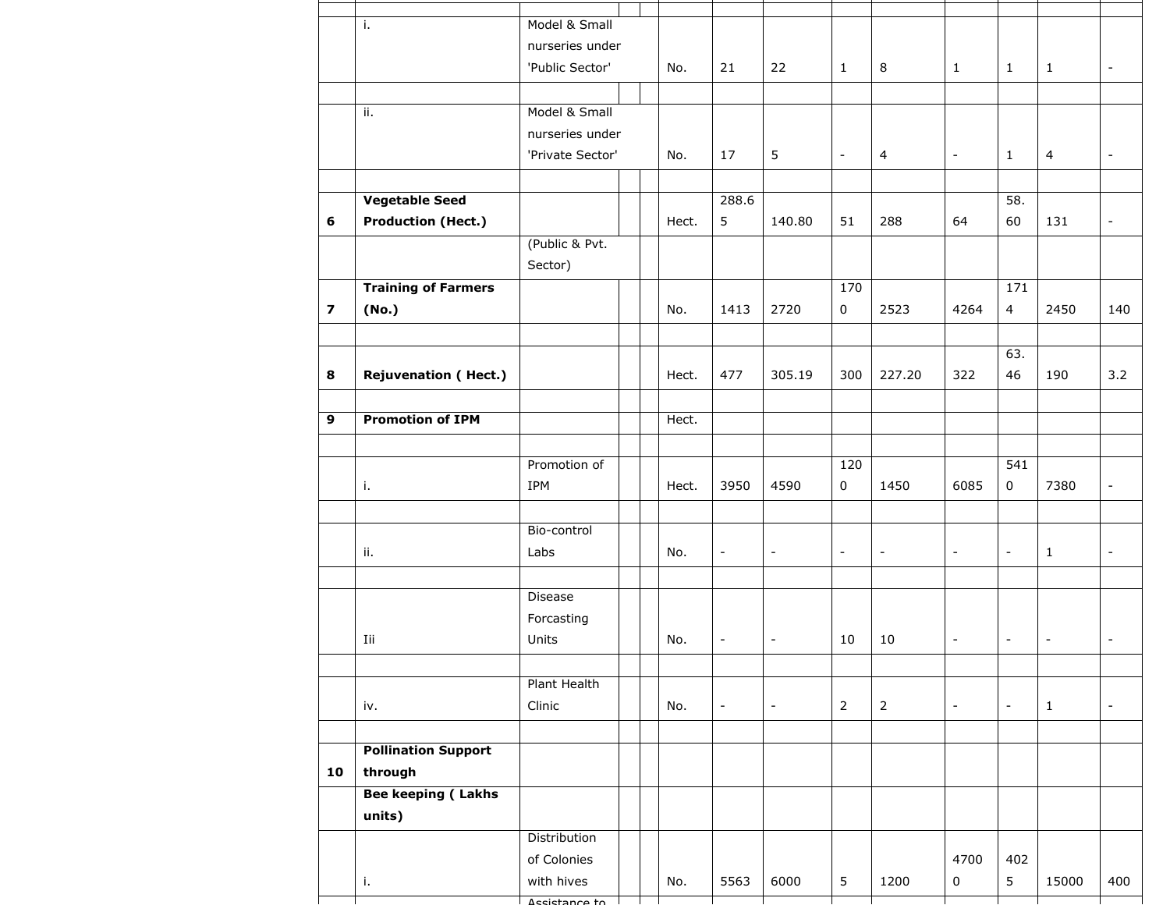|                         | i.                          | Model & Small    |  |       |                |                |                          |                |                          |                          |                          |                          |
|-------------------------|-----------------------------|------------------|--|-------|----------------|----------------|--------------------------|----------------|--------------------------|--------------------------|--------------------------|--------------------------|
|                         |                             | nurseries under  |  |       |                |                |                          |                |                          |                          |                          |                          |
|                         |                             | 'Public Sector'  |  | No.   | 21             | 22             | $\mathbf{1}$             | $\,8\,$        | $\mathbf{1}$             | $\mathbf{1}$             | $\mathbf{1}$             | $\blacksquare$           |
|                         |                             |                  |  |       |                |                |                          |                |                          |                          |                          |                          |
|                         | ii.                         | Model & Small    |  |       |                |                |                          |                |                          |                          |                          |                          |
|                         |                             | nurseries under  |  |       |                |                |                          |                |                          |                          |                          |                          |
|                         |                             | 'Private Sector' |  | No.   | 17             | 5              | $\overline{\phantom{a}}$ | $\overline{4}$ | $\blacksquare$           | $\mathbf{1}$             | $\overline{4}$           | $\blacksquare$           |
|                         |                             |                  |  |       |                |                |                          |                |                          |                          |                          |                          |
|                         | <b>Vegetable Seed</b>       |                  |  |       | 288.6          |                |                          |                |                          | 58.                      |                          |                          |
| 6                       | <b>Production (Hect.)</b>   |                  |  | Hect. | $\sqrt{5}$     | 140.80         | 51                       | 288            | 64                       | 60                       | 131                      | $\overline{\phantom{a}}$ |
|                         |                             | (Public & Pvt.   |  |       |                |                |                          |                |                          |                          |                          |                          |
|                         |                             |                  |  |       |                |                |                          |                |                          |                          |                          |                          |
|                         |                             | Sector)          |  |       |                |                |                          |                |                          |                          |                          |                          |
|                         | <b>Training of Farmers</b>  |                  |  |       |                |                | $\overline{170}$         |                |                          | $\overline{171}$         |                          |                          |
| $\overline{\mathbf{z}}$ | (No.)                       |                  |  | No.   | 1413           | 2720           | 0                        | 2523           | 4264                     | 4                        | 2450                     | 140                      |
|                         |                             |                  |  |       |                |                |                          |                |                          |                          |                          |                          |
|                         |                             |                  |  |       |                |                |                          |                |                          | 63.                      |                          |                          |
| 8                       | <b>Rejuvenation (Hect.)</b> |                  |  | Hect. | 477            | 305.19         | 300                      | 227.20         | 322                      | 46                       | 190                      | 3.2                      |
|                         |                             |                  |  |       |                |                |                          |                |                          |                          |                          |                          |
| $\overline{9}$          | <b>Promotion of IPM</b>     |                  |  | Hect. |                |                |                          |                |                          |                          |                          |                          |
|                         |                             |                  |  |       |                |                |                          |                |                          |                          |                          |                          |
|                         |                             | Promotion of     |  |       |                |                | 120                      |                |                          | 541                      |                          |                          |
|                         | i.                          | IPM              |  | Hect. | 3950           | 4590           | 0                        | 1450           | 6085                     | 0                        | 7380                     | $\overline{\phantom{a}}$ |
|                         |                             |                  |  |       |                |                |                          |                |                          |                          |                          |                          |
|                         |                             |                  |  |       |                |                |                          |                |                          |                          |                          |                          |
|                         |                             | Bio-control      |  |       |                |                |                          |                |                          |                          |                          |                          |
|                         | ii.                         | Labs             |  | No.   | $\blacksquare$ | $\blacksquare$ | $\overline{\phantom{a}}$ | $\blacksquare$ | $\blacksquare$           | $\equiv$                 | $\mathbf{1}$             | $\blacksquare$           |
|                         |                             |                  |  |       |                |                |                          |                |                          |                          |                          |                          |
|                         |                             | Disease          |  |       |                |                |                          |                |                          |                          |                          |                          |
|                         |                             | Forcasting       |  |       |                |                |                          |                |                          |                          |                          |                          |
|                         | Iii                         | Units            |  | No.   | $\blacksquare$ | $\blacksquare$ | 10                       | 10             | $\blacksquare$           | $\blacksquare$           | $\overline{\phantom{a}}$ | $\blacksquare$           |
|                         |                             |                  |  |       |                |                |                          |                |                          |                          |                          |                          |
|                         |                             | Plant Health     |  |       |                |                |                          |                |                          |                          |                          |                          |
|                         | iv.                         | Clinic           |  | No.   | $\blacksquare$ | $\blacksquare$ | $\overline{2}$           | $\overline{2}$ | $\overline{\phantom{a}}$ | $\overline{\phantom{a}}$ | $\mathbf{1}$             | $\equiv$                 |
|                         |                             |                  |  |       |                |                |                          |                |                          |                          |                          |                          |
|                         | <b>Pollination Support</b>  |                  |  |       |                |                |                          |                |                          |                          |                          |                          |
| 10                      | through                     |                  |  |       |                |                |                          |                |                          |                          |                          |                          |
|                         | <b>Bee keeping (Lakhs</b>   |                  |  |       |                |                |                          |                |                          |                          |                          |                          |
|                         | units)                      |                  |  |       |                |                |                          |                |                          |                          |                          |                          |
|                         |                             |                  |  |       |                |                |                          |                |                          |                          |                          |                          |
|                         |                             | Distribution     |  |       |                |                |                          |                |                          |                          |                          |                          |
|                         |                             | of Colonies      |  |       |                |                |                          |                | 4700                     | 402                      |                          |                          |
|                         | i.                          | with hives       |  | No.   | 5563           | 6000           | 5                        | 1200           | $\pmb{0}$                | 5                        | 15000                    | 400                      |
|                         |                             | Accistance to    |  |       |                |                |                          |                |                          |                          |                          |                          |